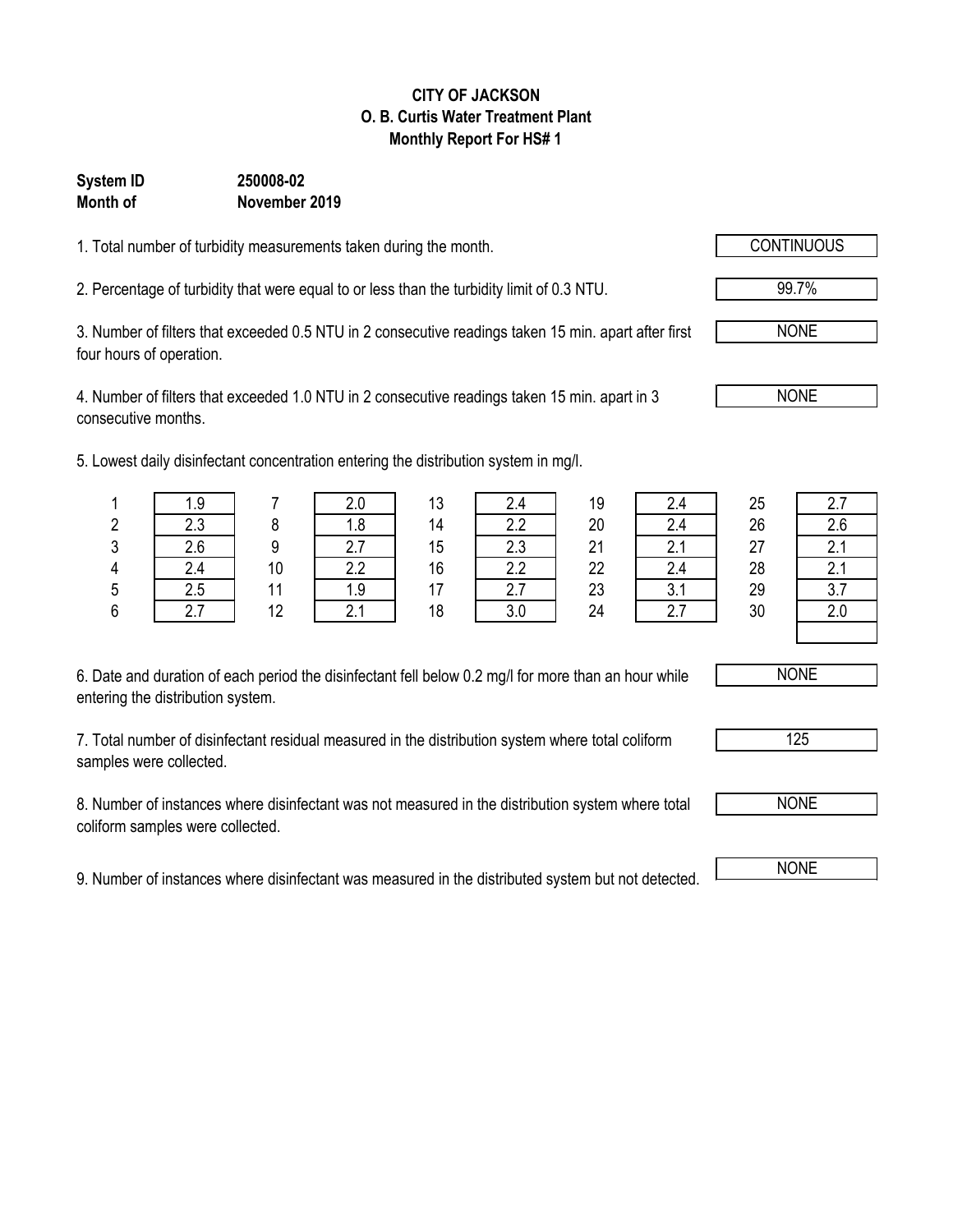## **CITY OF JACKSON O. B. Curtis Water Treatment Plant Monthly Report For HS# 1**

## **System ID 250008-02 Month of November 2019**

1. Total number of turbidity measurements taken during the month.

2. Percentage of turbidity that were equal to or less than the turbidity limit of 0.3 NTU.

3. Number of filters that exceeded 0.5 NTU in 2 consecutive readings taken 15 min. apart after first four hours of operation.

4. Number of filters that exceeded 1.0 NTU in 2 consecutive readings taken 15 min. apart in 3 consecutive months.

5. Lowest daily disinfectant concentration entering the distribution system in mg/l.

| 1.9 |    | 2.0           | 12<br>ں ا      | 2.4      | 19 | 2.4      | 25 | 2.7            |
|-----|----|---------------|----------------|----------|----|----------|----|----------------|
| 2.3 |    | 1.8           | 14             | 2.2      | 20 | 2.4      | 26 | 2.6            |
| 2.6 |    | –<br><u>.</u> | 15             | 2.3      | 21 | C<br>Z.I | 27 | $\Omega$<br>z. |
| 2.4 | 10 | 2.2           | 16             | 2.2      | 22 | 2.4      | 28 | $\sim$<br>Z.I  |
| 2.5 |    | 1.9           | $\overline{1}$ | C<br>۷.I | 23 | ົ<br>J.I | 29 | ર.<br>، ب      |
|     | 12 |               | 18             | 3.0      | 24 | 2.7      | 30 | 2.0            |
|     |    |               |                |          |    |          |    |                |

| 2.4 |  |
|-----|--|
| 2.4 |  |
| 21  |  |
| 2.4 |  |
| 3.1 |  |
| 27  |  |

| 2.7 |
|-----|
| 2.6 |
| 2.1 |
| 21  |
| 3.7 |
| 2.0 |
|     |

6. Date and duration of each period the disinfectant fell below 0.2 mg/l for more than an hour while entering the distribution system.

7. Total number of disinfectant residual measured in the distribution system where total coliform samples were collected.

8. Number of instances where disinfectant was not measured in the distribution system where total coliform samples were collected.

9. Number of instances where disinfectant was measured in the distributed system but not detected. NONE



99.7%



NONE

NONE

125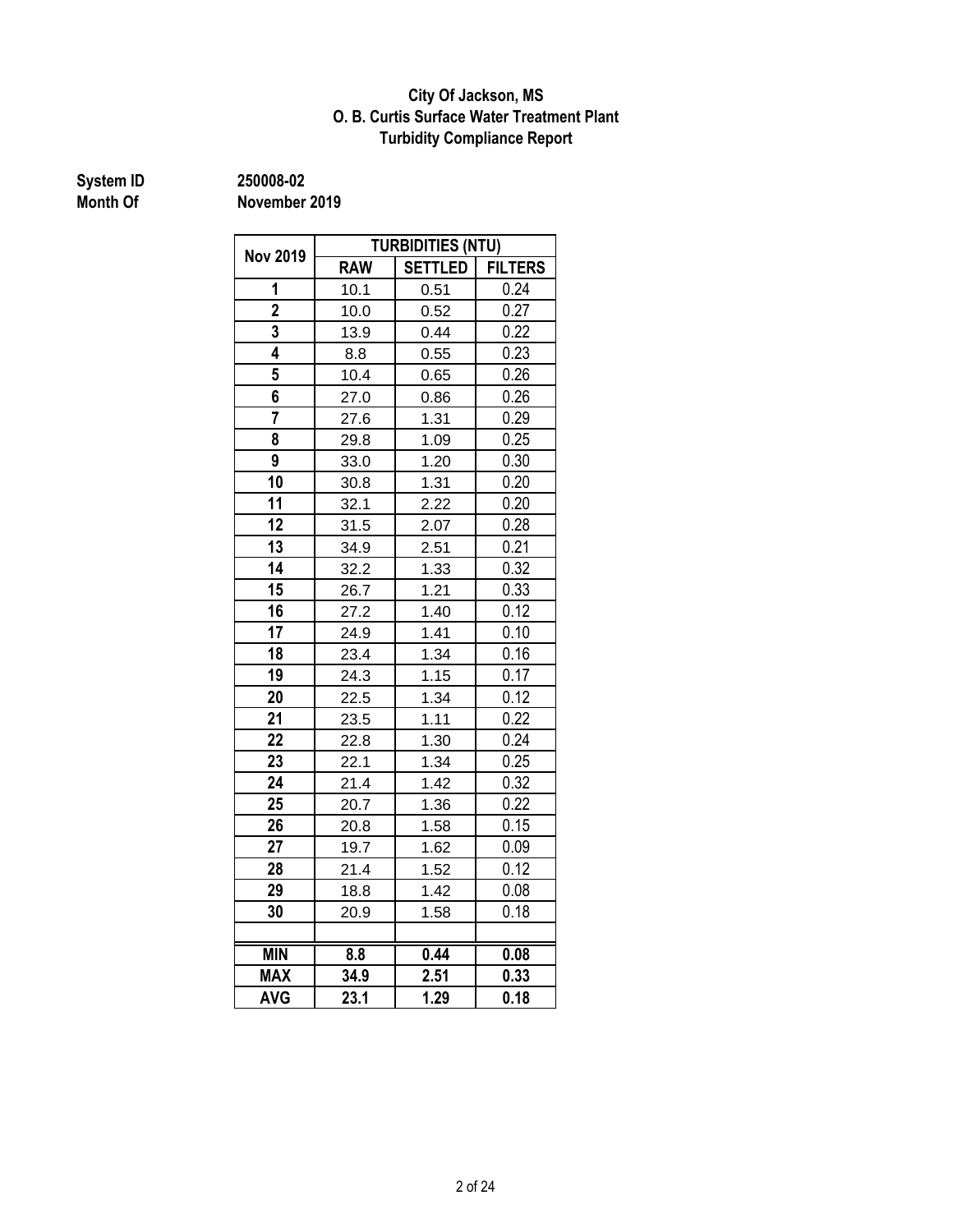## **Turbidity Compliance Report O. B. Curtis Surface Water Treatment Plant City Of Jackson, MS**

# **System ID 250008-02**

|                      | <b>TURBIDITIES (NTU)</b>  |                |                |  |  |  |
|----------------------|---------------------------|----------------|----------------|--|--|--|
| <b>Nov 2019</b><br>1 | <b>RAW</b>                | <b>SETTLED</b> | <b>FILTERS</b> |  |  |  |
|                      | 10.1                      | 0.51           | 0.24           |  |  |  |
| $\overline{2}$       | 10.0                      | 0.52           | 0.27           |  |  |  |
| 3                    | 13.9                      | 0.44           | 0.22           |  |  |  |
| 4                    | 8.8                       | 0.55           | 0.23           |  |  |  |
| 5                    | 10.4                      | 0.65           | 0.26           |  |  |  |
| 6                    | 27.0                      | 0.86           | 0.26           |  |  |  |
| $\overline{7}$       | 27.6                      | 1.31           | 0.29           |  |  |  |
| 8                    | 29.8                      | 1.09           | 0.25           |  |  |  |
| 9                    | 33.0                      | 1.20           | 0.30           |  |  |  |
| 10                   | 30.8                      | 1.31           | 0.20           |  |  |  |
| 11                   | 32.1                      | 2.22           | 0.20           |  |  |  |
| 12                   | 31.5                      | 2.07           | 0.28           |  |  |  |
| 13                   | 34.9                      | 2.51           | 0.21           |  |  |  |
| 14                   | 32.2                      | 1.33           | 0.32           |  |  |  |
| 15                   | 26.7                      | 1.21           | 0.33           |  |  |  |
| 16                   | 27.2                      | 1.40           | 0.12           |  |  |  |
| 17                   | 24.9                      | 1.41           | 0.10           |  |  |  |
| 18                   | 23.4                      | 1.34           | 0.16           |  |  |  |
| 19                   | 24.3                      | 1.15           | 0.17           |  |  |  |
| 20                   | 22.5                      | 1.34           | 0.12           |  |  |  |
| 21                   | 23.5                      | 1.11           | 0.22           |  |  |  |
| 22                   | 22.8                      | 1.30           | 0.24           |  |  |  |
| 23                   | 22.1                      | 1.34           | 0.25           |  |  |  |
| 24                   | 21.4                      | 1.42           | 0.32           |  |  |  |
| 25                   | 20.7                      | 1.36           | 0.22           |  |  |  |
| 26                   | 20.8                      | 1.58           | 0.15           |  |  |  |
| 27                   | 19.7                      | 1.62           | 0.09           |  |  |  |
| 28                   | 21.4                      | 1.52           | 0.12           |  |  |  |
| 29                   | 18.8                      | 1.42           | 0.08           |  |  |  |
| 30                   | 20.9                      | 1.58           | 0.18           |  |  |  |
|                      |                           |                |                |  |  |  |
| <b>MIN</b>           | $\overline{\mathbf{8.8}}$ | 0.44           | 0.08           |  |  |  |
| <b>MAX</b>           | 34.9                      | 2.51           | 0.33           |  |  |  |
| <b>AVG</b>           | 23.1                      | 1.29           | 0.18           |  |  |  |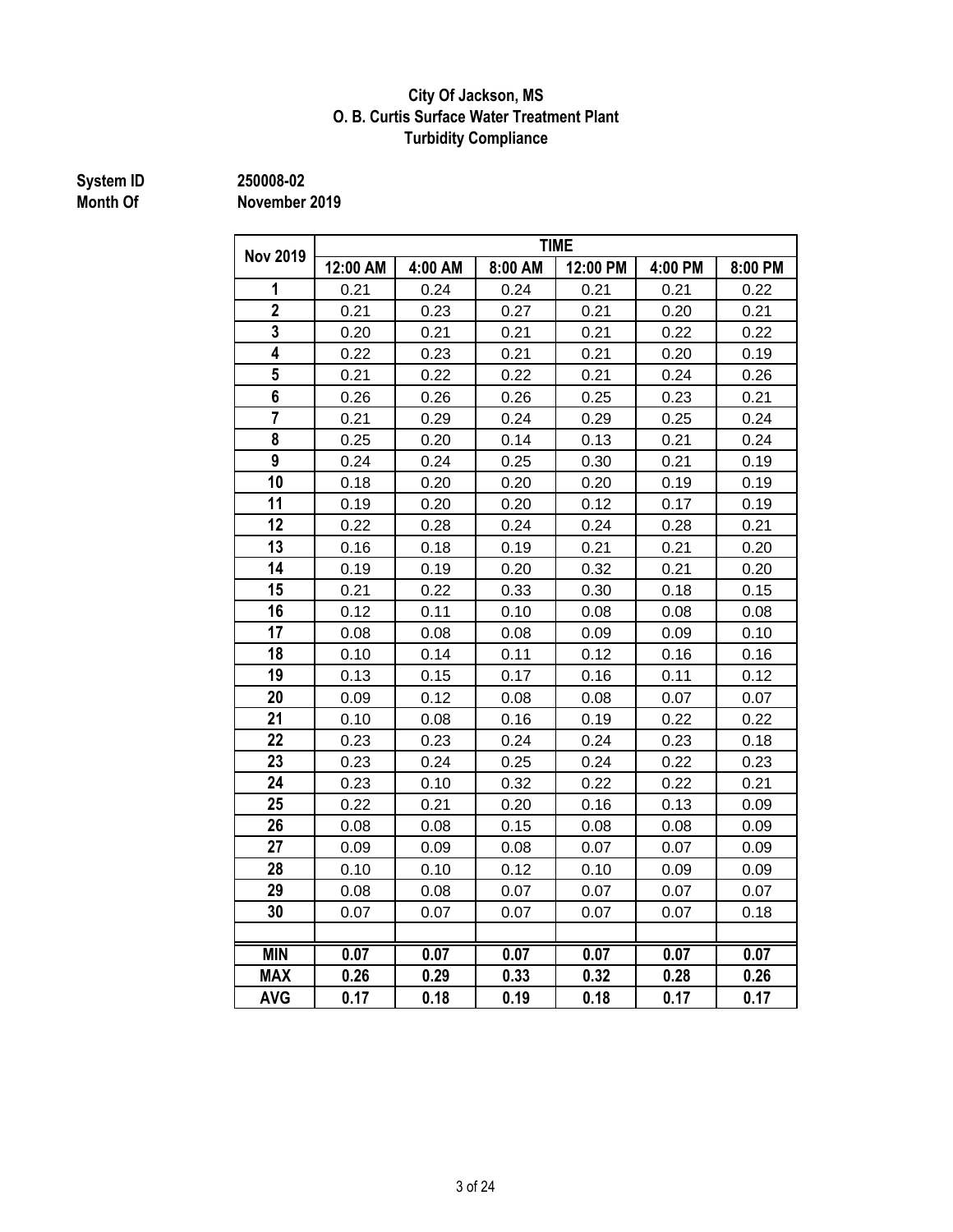## **Turbidity Compliance City Of Jackson, MS O. B. Curtis Surface Water Treatment Plant**

# **System ID 250008-02**

|                         | <b>TIME</b> |         |         |          |         |         |  |
|-------------------------|-------------|---------|---------|----------|---------|---------|--|
| <b>Nov 2019</b>         | 12:00 AM    | 4:00 AM | 8:00 AM | 12:00 PM | 4:00 PM | 8:00 PM |  |
| 1                       | 0.21        | 0.24    | 0.24    | 0.21     | 0.21    | 0.22    |  |
| $\overline{\mathbf{2}}$ | 0.21        | 0.23    | 0.27    | 0.21     | 0.20    | 0.21    |  |
| 3                       | 0.20        | 0.21    | 0.21    | 0.21     | 0.22    | 0.22    |  |
| $\overline{\mathbf{4}}$ | 0.22        | 0.23    | 0.21    | 0.21     | 0.20    | 0.19    |  |
| 5                       | 0.21        | 0.22    | 0.22    | 0.21     | 0.24    | 0.26    |  |
| 6                       | 0.26        | 0.26    | 0.26    | 0.25     | 0.23    | 0.21    |  |
| $\overline{7}$          | 0.21        | 0.29    | 0.24    | 0.29     | 0.25    | 0.24    |  |
| 8                       | 0.25        | 0.20    | 0.14    | 0.13     | 0.21    | 0.24    |  |
| 9                       | 0.24        | 0.24    | 0.25    | 0.30     | 0.21    | 0.19    |  |
| 10                      | 0.18        | 0.20    | 0.20    | 0.20     | 0.19    | 0.19    |  |
| 11                      | 0.19        | 0.20    | 0.20    | 0.12     | 0.17    | 0.19    |  |
| 12                      | 0.22        | 0.28    | 0.24    | 0.24     | 0.28    | 0.21    |  |
| 13                      | 0.16        | 0.18    | 0.19    | 0.21     | 0.21    | 0.20    |  |
| 14                      | 0.19        | 0.19    | 0.20    | 0.32     | 0.21    | 0.20    |  |
| 15                      | 0.21        | 0.22    | 0.33    | 0.30     | 0.18    | 0.15    |  |
| 16                      | 0.12        | 0.11    | 0.10    | 0.08     | 0.08    | 0.08    |  |
| 17                      | 0.08        | 0.08    | 0.08    | 0.09     | 0.09    | 0.10    |  |
| 18                      | 0.10        | 0.14    | 0.11    | 0.12     | 0.16    | 0.16    |  |
| 19                      | 0.13        | 0.15    | 0.17    | 0.16     | 0.11    | 0.12    |  |
| 20                      | 0.09        | 0.12    | 0.08    | 0.08     | 0.07    | 0.07    |  |
| 21                      | 0.10        | 0.08    | 0.16    | 0.19     | 0.22    | 0.22    |  |
| 22                      | 0.23        | 0.23    | 0.24    | 0.24     | 0.23    | 0.18    |  |
| 23                      | 0.23        | 0.24    | 0.25    | 0.24     | 0.22    | 0.23    |  |
| 24                      | 0.23        | 0.10    | 0.32    | 0.22     | 0.22    | 0.21    |  |
| 25                      | 0.22        | 0.21    | 0.20    | 0.16     | 0.13    | 0.09    |  |
| 26                      | 0.08        | 0.08    | 0.15    | 0.08     | 0.08    | 0.09    |  |
| 27                      | 0.09        | 0.09    | 0.08    | 0.07     | 0.07    | 0.09    |  |
| 28                      | 0.10        | 0.10    | 0.12    | 0.10     | 0.09    | 0.09    |  |
| 29                      | 0.08        | 0.08    | 0.07    | 0.07     | 0.07    | 0.07    |  |
| 30                      | 0.07        | 0.07    | 0.07    | 0.07     | 0.07    | 0.18    |  |
|                         |             |         |         |          |         |         |  |
| <b>MIN</b>              | 0.07        | 0.07    | 0.07    | 0.07     | 0.07    | 0.07    |  |
| <b>MAX</b>              | 0.26        | 0.29    | 0.33    | 0.32     | 0.28    | 0.26    |  |
| <b>AVG</b>              | 0.17        | 0.18    | 0.19    | 0.18     | 0.17    | 0.17    |  |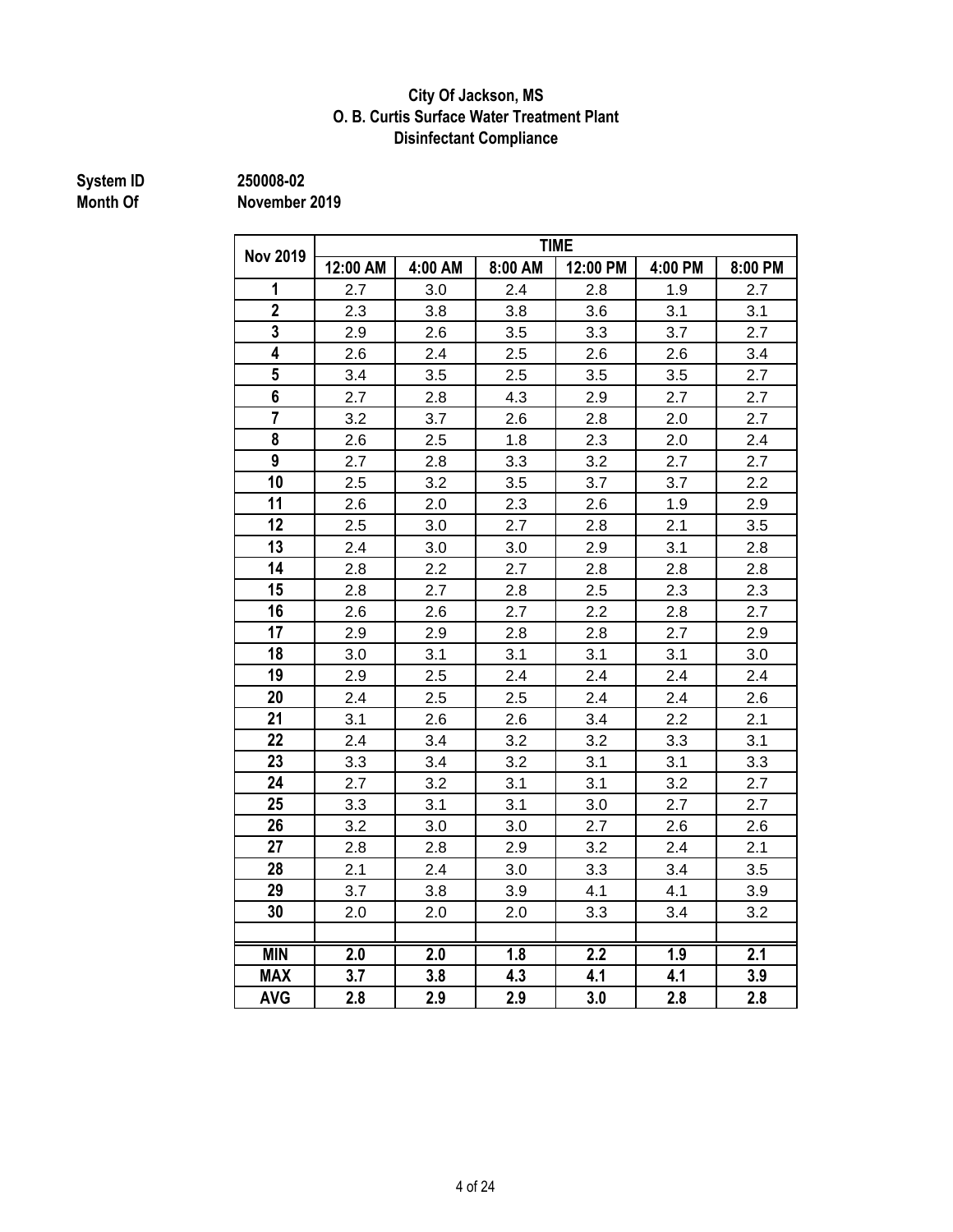## **City Of Jackson, MS O. B. Curtis Surface Water Treatment Plant Disinfectant Compliance**

# **System ID 250008-02**

|                         | <b>TIME</b> |         |         |          |         |         |  |
|-------------------------|-------------|---------|---------|----------|---------|---------|--|
| <b>Nov 2019</b>         | 12:00 AM    | 4:00 AM | 8:00 AM | 12:00 PM | 4:00 PM | 8:00 PM |  |
| 1                       | 2.7         | 3.0     | 2.4     | 2.8      | 1.9     | 2.7     |  |
| $\overline{\mathbf{2}}$ | 2.3         | 3.8     | 3.8     | 3.6      | 3.1     | 3.1     |  |
| $\overline{3}$          | 2.9         | 2.6     | 3.5     | 3.3      | 3.7     | 2.7     |  |
| 4                       | 2.6         | 2.4     | 2.5     | 2.6      | 2.6     | 3.4     |  |
| 5                       | 3.4         | 3.5     | 2.5     | 3.5      | 3.5     | 2.7     |  |
| 6                       | 2.7         | 2.8     | 4.3     | 2.9      | 2.7     | 2.7     |  |
| $\overline{7}$          | 3.2         | 3.7     | 2.6     | 2.8      | 2.0     | 2.7     |  |
| 8                       | 2.6         | 2.5     | 1.8     | 2.3      | 2.0     | 2.4     |  |
| 9                       | 2.7         | 2.8     | 3.3     | 3.2      | 2.7     | 2.7     |  |
| 10                      | 2.5         | 3.2     | 3.5     | 3.7      | 3.7     | 2.2     |  |
| 11                      | 2.6         | 2.0     | 2.3     | 2.6      | 1.9     | 2.9     |  |
| 12                      | 2.5         | 3.0     | 2.7     | 2.8      | 2.1     | 3.5     |  |
| 13                      | 2.4         | 3.0     | 3.0     | 2.9      | 3.1     | 2.8     |  |
| 14                      | 2.8         | 2.2     | 2.7     | 2.8      | 2.8     | 2.8     |  |
| 15                      | 2.8         | 2.7     | 2.8     | 2.5      | 2.3     | 2.3     |  |
| 16                      | 2.6         | 2.6     | 2.7     | 2.2      | 2.8     | 2.7     |  |
| 17                      | 2.9         | 2.9     | 2.8     | 2.8      | 2.7     | 2.9     |  |
| 18                      | 3.0         | 3.1     | 3.1     | 3.1      | 3.1     | 3.0     |  |
| 19                      | 2.9         | 2.5     | 2.4     | 2.4      | 2.4     | 2.4     |  |
| 20                      | 2.4         | 2.5     | 2.5     | 2.4      | 2.4     | 2.6     |  |
| 21                      | 3.1         | 2.6     | 2.6     | 3.4      | 2.2     | 2.1     |  |
| 22                      | 2.4         | 3.4     | 3.2     | 3.2      | 3.3     | 3.1     |  |
| 23                      | 3.3         | 3.4     | 3.2     | 3.1      | 3.1     | 3.3     |  |
| 24                      | 2.7         | 3.2     | 3.1     | 3.1      | 3.2     | 2.7     |  |
| 25                      | 3.3         | 3.1     | 3.1     | 3.0      | 2.7     | 2.7     |  |
| 26                      | 3.2         | 3.0     | 3.0     | 2.7      | 2.6     | 2.6     |  |
| 27                      | 2.8         | 2.8     | 2.9     | 3.2      | 2.4     | 2.1     |  |
| 28                      | 2.1         | 2.4     | 3.0     | 3.3      | 3.4     | 3.5     |  |
| 29                      | 3.7         | 3.8     | 3.9     | 4.1      | 4.1     | 3.9     |  |
| 30                      | 2.0         | 2.0     | 2.0     | 3.3      | 3.4     | 3.2     |  |
|                         |             |         |         |          |         |         |  |
| <b>MIN</b>              | 2.0         | 2.0     | 1.8     | 2.2      | 1.9     | 2.1     |  |
| <b>MAX</b>              | 3.7         | 3.8     | 4.3     | 4.1      | 4.1     | 3.9     |  |
| <b>AVG</b>              | 2.8         | 2.9     | 2.9     | 3.0      | 2.8     | 2.8     |  |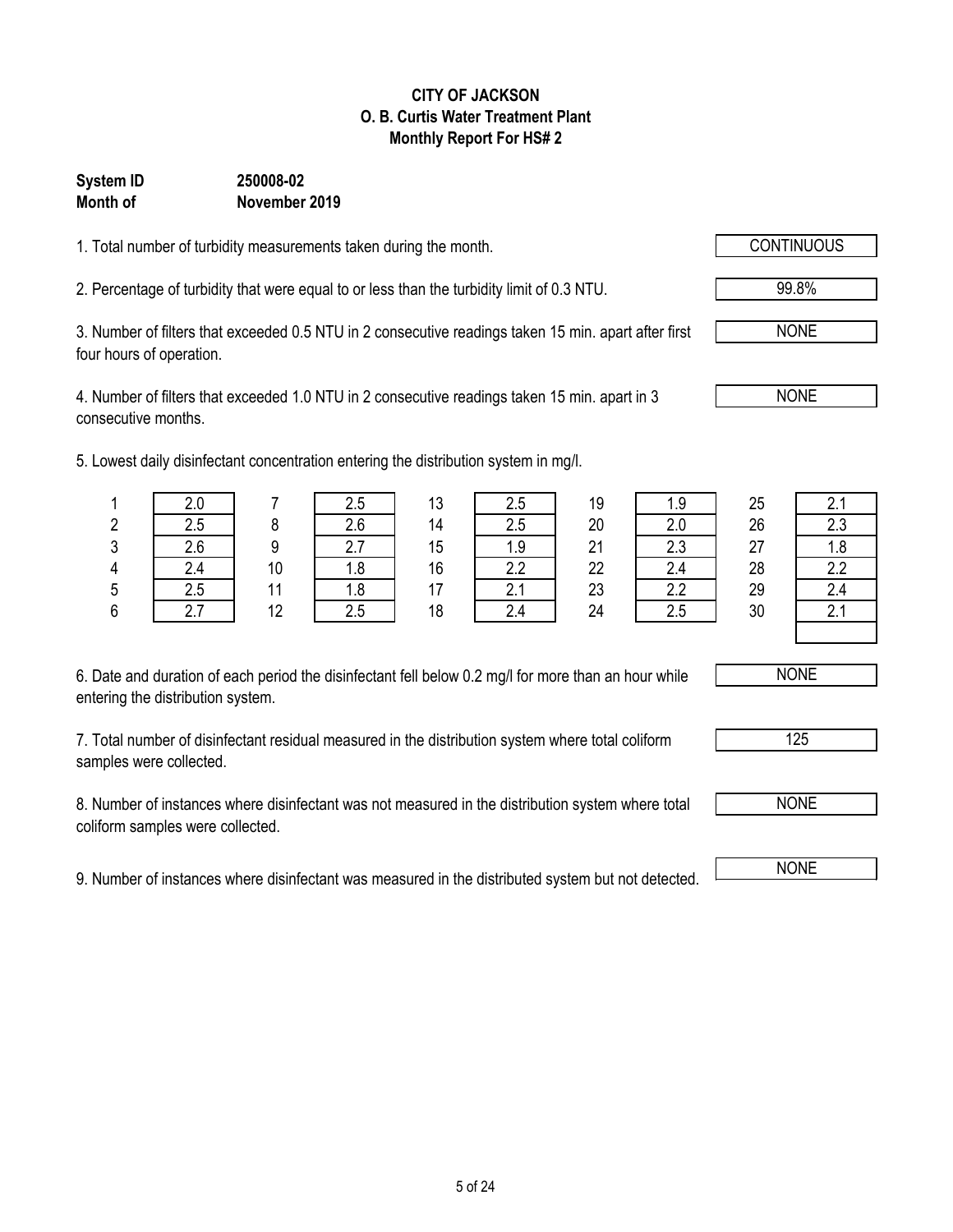## **CITY OF JACKSON O. B. Curtis Water Treatment Plant Monthly Report For HS# 2**

## **Month of November 2019 System ID 250008-02**

1. Total number of turbidity measurements taken during the month.

2. Percentage of turbidity that were equal to or less than the turbidity limit of 0.3 NTU. 99.8%

3. Number of filters that exceeded 0.5 NTU in 2 consecutive readings taken 15 min. apart after first four hours of operation.

4. Number of filters that exceeded 1.0 NTU in 2 consecutive readings taken 15 min. apart in 3 consecutive months.

5. Lowest daily disinfectant concentration entering the distribution system in mg/l.

| 6. Date and duration of each period the disinfectant fell below 0.2 mg/l for more than an hour while |
|------------------------------------------------------------------------------------------------------|
| entering the distribution system.                                                                    |

7. Total number of disinfectant residual measured in the distribution system where total coliform samples were collected.

8. Number of instances where disinfectant was not measured in the distribution system where total coliform samples were collected.

9. Number of instances where disinfectant was measured in the distributed system but not detected. NONE

|   |     |    | west daily disinfectant concentration entering the distribution system in mg/l. |    |     |    |      |    |     |
|---|-----|----|---------------------------------------------------------------------------------|----|-----|----|------|----|-----|
|   |     |    | 2.5                                                                             |    | 2.5 | 19 | 9. ا | 25 |     |
| 2 | 2.5 |    | 2.6                                                                             | 14 | 2.5 | 20 |      | 26 | 2.3 |
| s | 2.6 |    |                                                                                 | 15 |     | 21 | 2.3  | 27 |     |
| 4 |     | 10 |                                                                                 | 16 |     | 22 |      | 28 |     |
| 5 | 2.5 |    |                                                                                 |    |     | 23 | າ າ  | 29 | 24  |

6 2.7 12 2.5 18 2.4 24 2.5 30 2.1

NONE

NONE

125



NONE

NONE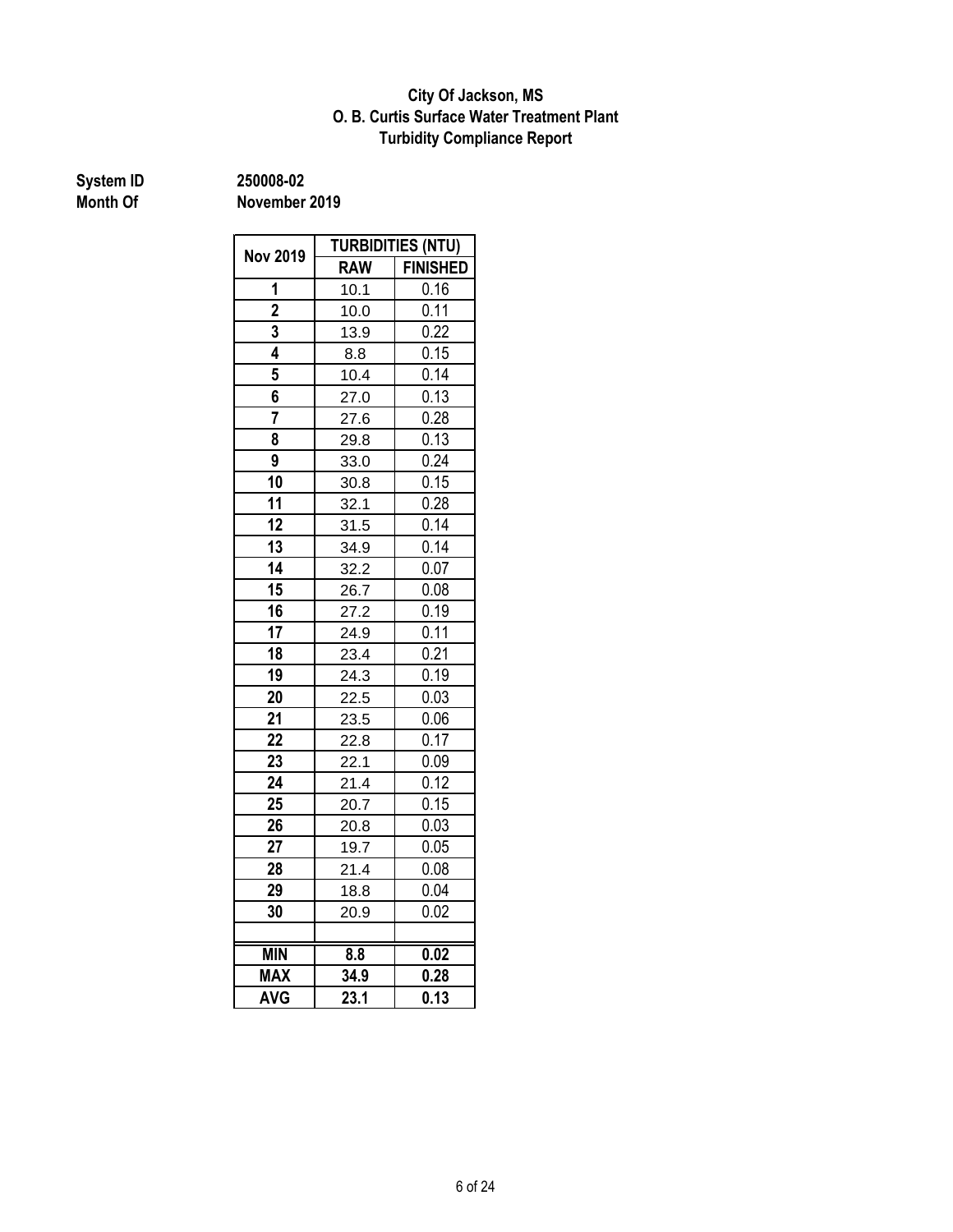## **Turbidity Compliance Report O. B. Curtis Surface Water Treatment Plant City Of Jackson, MS**

**System ID 250008-02**

| <b>TURBIDITIES (NTU)</b>                             |            |                 |
|------------------------------------------------------|------------|-----------------|
| <b>Nov 2019</b><br>1<br>$\overline{\mathbf{2}}$<br>3 | <b>RAW</b> | <b>FINISHED</b> |
|                                                      | 10.1       | 0.16            |
|                                                      | 10.0       | 0.11            |
|                                                      | 13.9       | 0.22            |
| 4                                                    | 8.8        | 0.15            |
| 5                                                    | 10.4       | 0.14            |
| 6                                                    | 27.0       | 0.13            |
| $\overline{7}$                                       | 27.6       | 0.28            |
| 8                                                    | 29.8       | 0.13            |
| 9                                                    | 33.0       | 0.24            |
| 10                                                   | 30.8       | 0.15            |
| 11                                                   | 32.1       | 0.28            |
| 12                                                   | 31.5       | 0.14            |
| 13                                                   | 34.9       | 0.14            |
| 14                                                   | 32.2       | 0.07            |
| 15                                                   | 26.7       | 0.08            |
| 16                                                   | 27.2       | 0.19            |
| 17                                                   | 24.9       | 0.11            |
| 18                                                   | 23.4       | 0.21            |
| 19                                                   | 24.3       | 0.19            |
| 20                                                   | 22.5       | 0.03            |
| 21                                                   | 23.5       | 0.06            |
| 22                                                   | 22.8       | 0.17            |
| 23                                                   | 22.1       | 0.09            |
| 24                                                   | 21.4       | 0.12            |
| 25                                                   | 20.7       | 0.15            |
| 26                                                   | 20.8       | 0.03            |
| 27                                                   | 19.7       | 0.05            |
| 28                                                   | 21.4       | 0.08            |
| 29                                                   | 18.8       | 0.04            |
| 30                                                   | 20.9       | 0.02            |
|                                                      |            |                 |
| <b>MIN</b>                                           | 8.8        | 0.02            |
| <b>MAX</b>                                           | 34.9       | 0.28            |
| <b>AVG</b>                                           | 23.1       | 0.13            |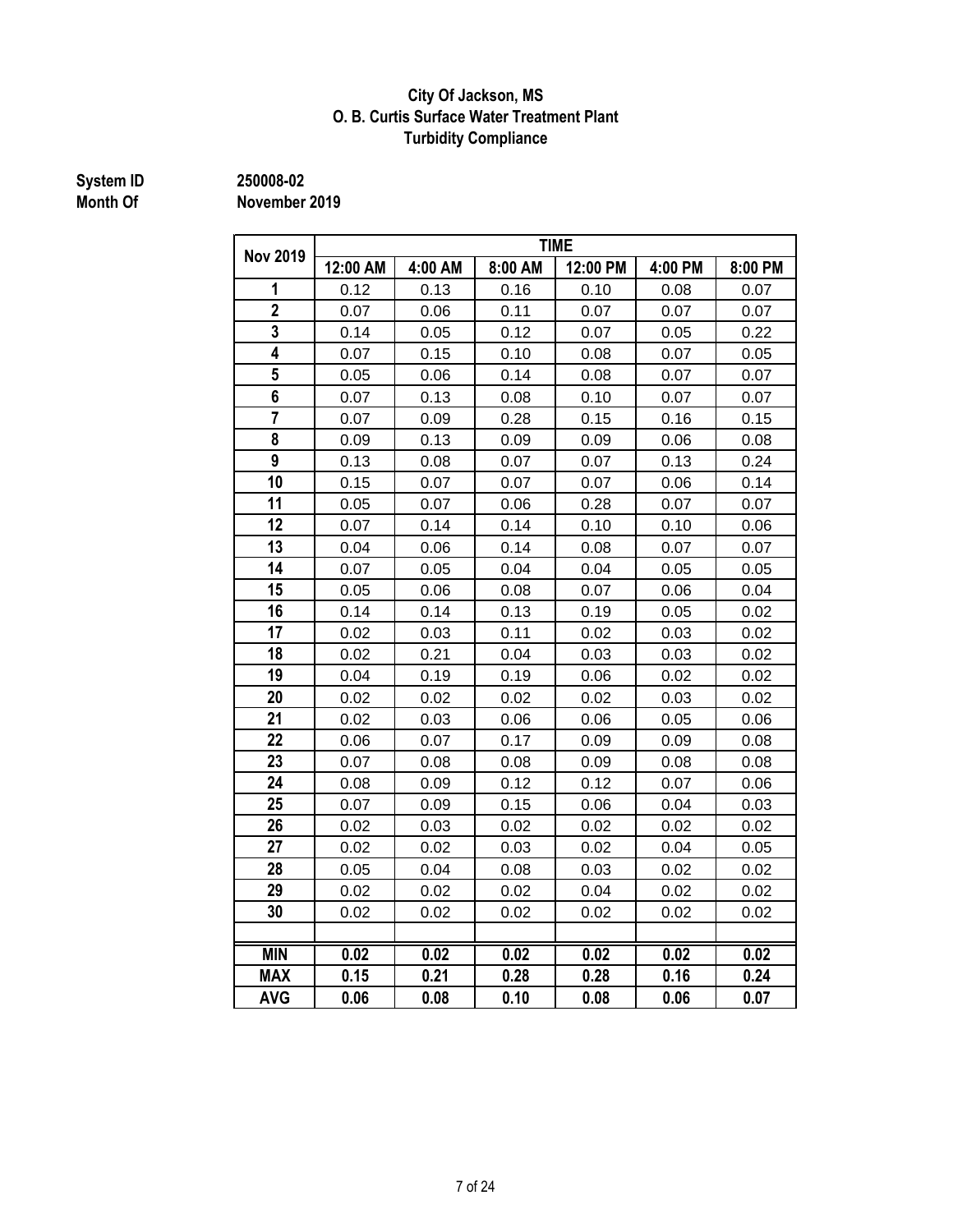## **City Of Jackson, MS O. B. Curtis Surface Water Treatment Plant Turbidity Compliance**

**System ID 250008-02**

**Month Of November 2019**

|                         | <b>TIME</b> |         |                   |          |         |         |  |
|-------------------------|-------------|---------|-------------------|----------|---------|---------|--|
| <b>Nov 2019</b>         | 12:00 AM    | 4:00 AM | 8:00 AM           | 12:00 PM | 4:00 PM | 8:00 PM |  |
| 1                       | 0.12        | 0.13    | 0.16              | 0.10     | 0.08    | 0.07    |  |
| $\overline{2}$          | 0.07        | 0.06    | 0.11              | 0.07     | 0.07    | 0.07    |  |
| $\overline{3}$          | 0.14        | 0.05    | 0.12              | 0.07     | 0.05    | 0.22    |  |
| 4                       | 0.07        | 0.15    | 0.10              | 0.08     | 0.07    | 0.05    |  |
| 5                       | 0.05        | 0.06    | 0.14              | 0.08     | 0.07    | 0.07    |  |
| 6                       | 0.07        | 0.13    | 0.08              | 0.10     | 0.07    | 0.07    |  |
| $\overline{\mathbf{7}}$ | 0.07        | 0.09    | 0.28              | 0.15     | 0.16    | 0.15    |  |
| 8                       | 0.09        | 0.13    | 0.09              | 0.09     | 0.06    | 0.08    |  |
| 9                       | 0.13        | 0.08    | 0.07              | 0.07     | 0.13    | 0.24    |  |
| 10                      | 0.15        | 0.07    | 0.07              | 0.07     | 0.06    | 0.14    |  |
| 11                      | 0.05        | 0.07    | 0.06              | 0.28     | 0.07    | 0.07    |  |
| 12                      | 0.07        | 0.14    | 0.14              | 0.10     | 0.10    | 0.06    |  |
| 13                      | 0.04        | 0.06    | 0.14              | 0.08     | 0.07    | 0.07    |  |
| 14                      | 0.07        | 0.05    | 0.04              | 0.04     | 0.05    | 0.05    |  |
| 15                      | 0.05        | 0.06    | 0.08              | 0.07     | 0.06    | 0.04    |  |
| 16                      | 0.14        | 0.14    | 0.13              | 0.19     | 0.05    | 0.02    |  |
| 17                      | 0.02        | 0.03    | 0.11              | 0.02     | 0.03    | 0.02    |  |
| 18                      | 0.02        | 0.21    | 0.04              | 0.03     | 0.03    | 0.02    |  |
| 19                      | 0.04        | 0.19    | 0.19              | 0.06     | 0.02    | 0.02    |  |
| 20                      | 0.02        | 0.02    | 0.02              | 0.02     | 0.03    | 0.02    |  |
| 21                      | 0.02        | 0.03    | 0.06              | 0.06     | 0.05    | 0.06    |  |
| 22                      | 0.06        | 0.07    | 0.17              | 0.09     | 0.09    | 0.08    |  |
| 23                      | 0.07        | 0.08    | 0.08              | 0.09     | 0.08    | 0.08    |  |
| 24                      | 0.08        | 0.09    | 0.12              | 0.12     | 0.07    | 0.06    |  |
| 25                      | 0.07        | 0.09    | 0.15              | 0.06     | 0.04    | 0.03    |  |
| 26                      | 0.02        | 0.03    | 0.02              | 0.02     | 0.02    | 0.02    |  |
| 27                      | 0.02        | 0.02    | 0.03              | 0.02     | 0.04    | 0.05    |  |
| 28                      | 0.05        | 0.04    | 0.08              | 0.03     | 0.02    | 0.02    |  |
| 29                      | 0.02        | 0.02    | 0.02              | 0.04     | 0.02    | 0.02    |  |
| 30                      | 0.02        | 0.02    | 0.02              | 0.02     | 0.02    | 0.02    |  |
|                         |             |         |                   |          |         |         |  |
| <b>MIN</b>              | 0.02        | 0.02    | $\overline{0.02}$ | 0.02     | 0.02    | 0.02    |  |
| <b>MAX</b>              | 0.15        | 0.21    | 0.28              | 0.28     | 0.16    | 0.24    |  |
| <b>AVG</b>              | 0.06        | 0.08    | 0.10              | 0.08     | 0.06    | 0.07    |  |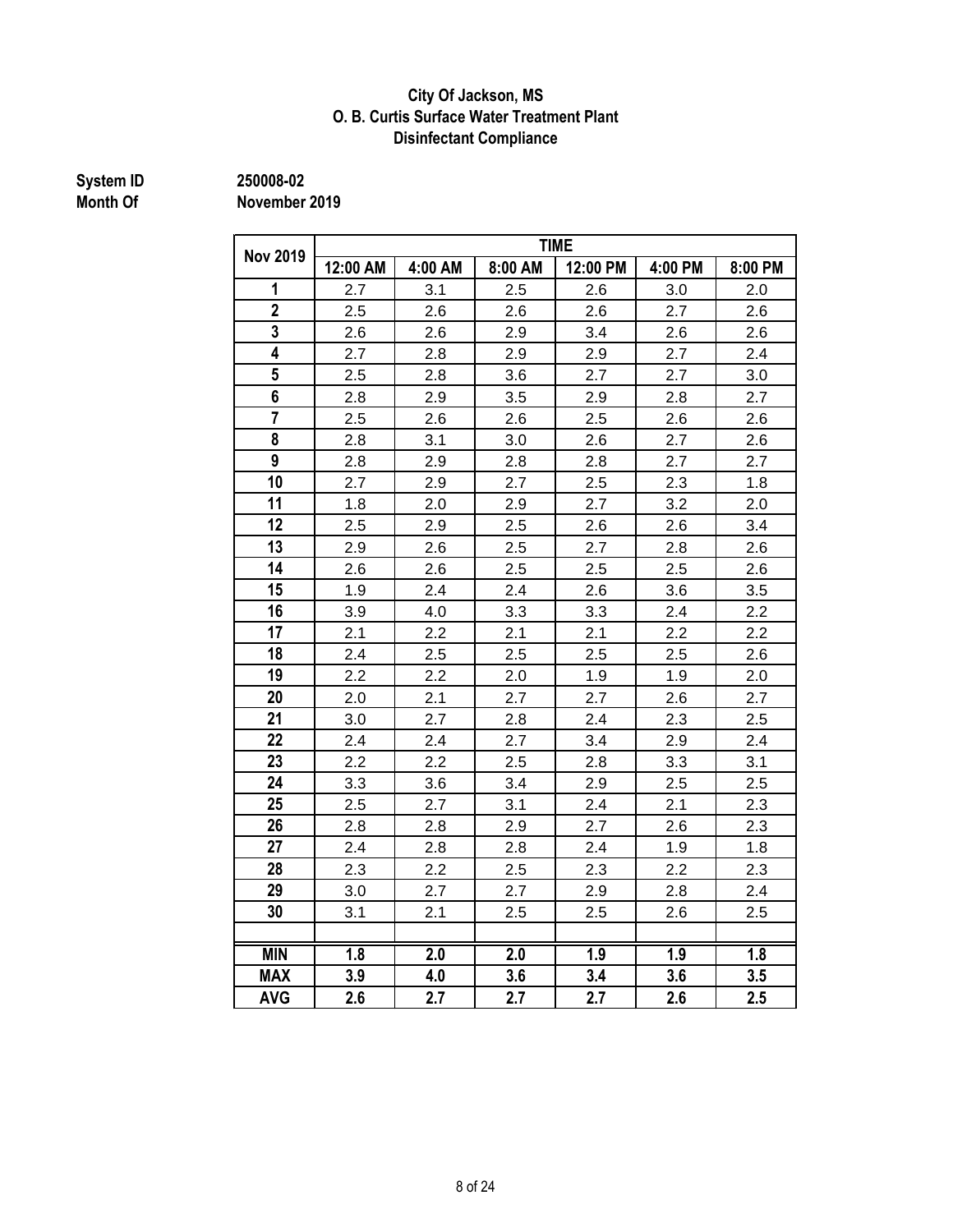## **City Of Jackson, MS O. B. Curtis Surface Water Treatment Plant Disinfectant Compliance**

**System ID 250008-02**

**Month Of November 2019**

|                 | <b>TIME</b> |         |         |          |         |         |  |  |
|-----------------|-------------|---------|---------|----------|---------|---------|--|--|
| <b>Nov 2019</b> | 12:00 AM    | 4:00 AM | 8:00 AM | 12:00 PM | 4:00 PM | 8:00 PM |  |  |
| 1               | 2.7         | 3.1     | 2.5     | 2.6      | 3.0     | 2.0     |  |  |
| $\overline{2}$  | 2.5         | 2.6     | 2.6     | 2.6      | 2.7     | 2.6     |  |  |
| $\overline{3}$  | 2.6         | 2.6     | 2.9     | 3.4      | 2.6     | 2.6     |  |  |
| 4               | 2.7         | 2.8     | 2.9     | 2.9      | 2.7     | 2.4     |  |  |
| $5\overline{)}$ | 2.5         | 2.8     | 3.6     | 2.7      | 2.7     | 3.0     |  |  |
| 6               | 2.8         | 2.9     | 3.5     | 2.9      | 2.8     | 2.7     |  |  |
| $\overline{7}$  | 2.5         | 2.6     | 2.6     | 2.5      | 2.6     | 2.6     |  |  |
| 8               | 2.8         | 3.1     | 3.0     | 2.6      | 2.7     | 2.6     |  |  |
| 9               | 2.8         | 2.9     | 2.8     | 2.8      | 2.7     | 2.7     |  |  |
| 10              | 2.7         | 2.9     | 2.7     | 2.5      | 2.3     | 1.8     |  |  |
| 11              | 1.8         | 2.0     | 2.9     | 2.7      | 3.2     | 2.0     |  |  |
| 12              | 2.5         | 2.9     | 2.5     | 2.6      | 2.6     | 3.4     |  |  |
| 13              | 2.9         | 2.6     | 2.5     | 2.7      | 2.8     | 2.6     |  |  |
| 14              | 2.6         | 2.6     | 2.5     | 2.5      | 2.5     | 2.6     |  |  |
| 15              | 1.9         | 2.4     | 2.4     | 2.6      | 3.6     | 3.5     |  |  |
| 16              | 3.9         | 4.0     | 3.3     | 3.3      | 2.4     | 2.2     |  |  |
| 17              | 2.1         | 2.2     | 2.1     | 2.1      | 2.2     | 2.2     |  |  |
| 18              | 2.4         | 2.5     | 2.5     | 2.5      | 2.5     | 2.6     |  |  |
| 19              | 2.2         | 2.2     | 2.0     | 1.9      | 1.9     | 2.0     |  |  |
| 20              | 2.0         | 2.1     | 2.7     | 2.7      | 2.6     | 2.7     |  |  |
| 21              | 3.0         | 2.7     | 2.8     | 2.4      | 2.3     | 2.5     |  |  |
| 22              | 2.4         | 2.4     | 2.7     | 3.4      | 2.9     | 2.4     |  |  |
| 23              | 2.2         | 2.2     | 2.5     | 2.8      | 3.3     | 3.1     |  |  |
| 24              | 3.3         | 3.6     | 3.4     | 2.9      | 2.5     | 2.5     |  |  |
| 25              | 2.5         | 2.7     | 3.1     | 2.4      | 2.1     | 2.3     |  |  |
| 26              | 2.8         | 2.8     | 2.9     | 2.7      | 2.6     | 2.3     |  |  |
| 27              | 2.4         | 2.8     | 2.8     | 2.4      | 1.9     | 1.8     |  |  |
| 28              | 2.3         | 2.2     | 2.5     | 2.3      | 2.2     | 2.3     |  |  |
| 29              | 3.0         | 2.7     | 2.7     | 2.9      | 2.8     | 2.4     |  |  |
| 30              | 3.1         | 2.1     | 2.5     | 2.5      | 2.6     | 2.5     |  |  |
|                 |             |         |         |          |         |         |  |  |
| <b>MIN</b>      | 1.8         | 2.0     | 2.0     | 1.9      | 1.9     | 1.8     |  |  |
| <b>MAX</b>      | 3.9         | 4.0     | 3.6     | 3.4      | 3.6     | 3.5     |  |  |
| <b>AVG</b>      | 2.6         | 2.7     | 2.7     | 2.7      | 2.6     | 2.5     |  |  |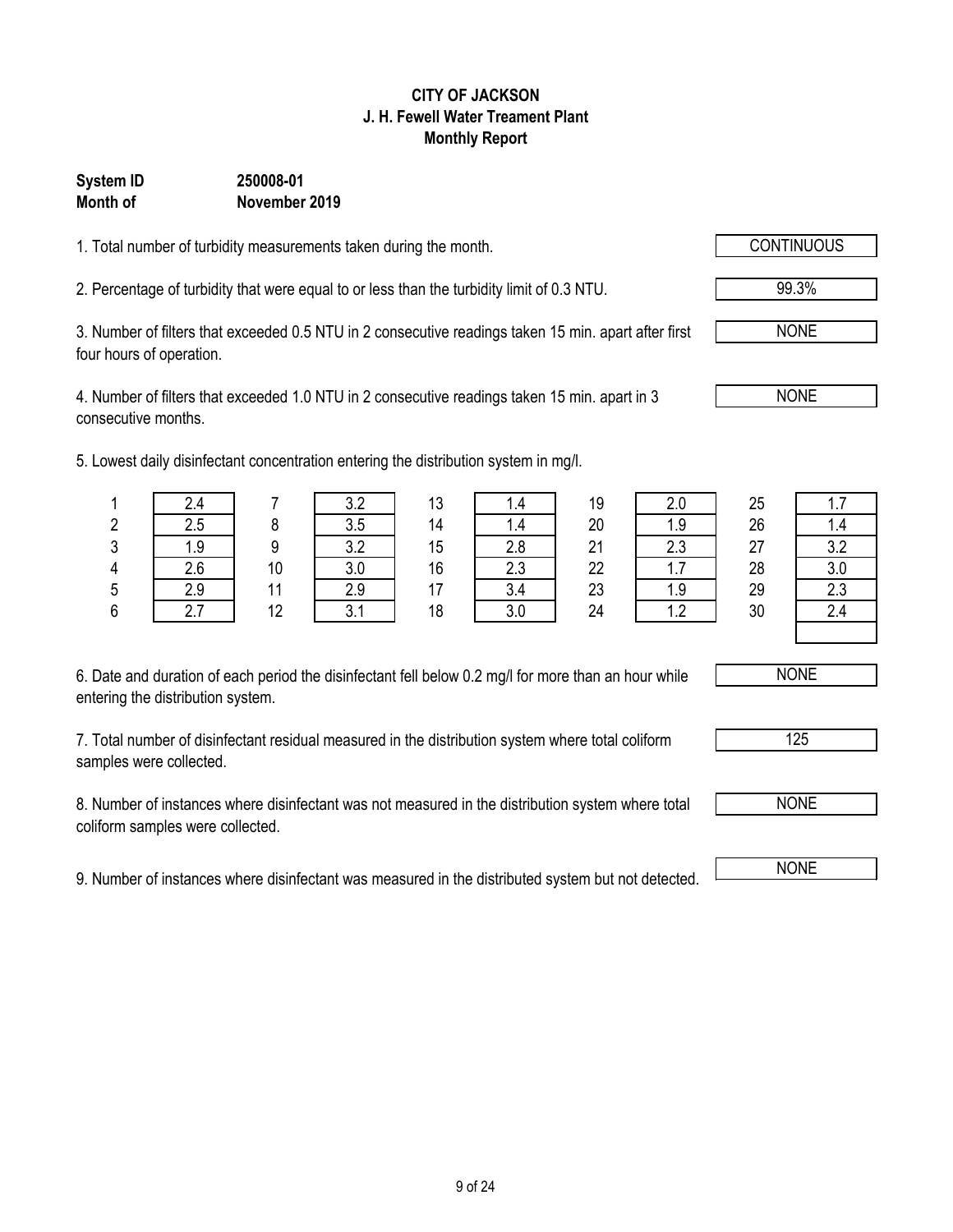## 9 of 24

## **CITY OF JACKSON J. H. Fewell Water Treament Plant Monthly Report**

## **System ID 250008-01 Month of November 2019**

1. Total number of turbidity measurements taken during the month.

2. Percentage of turbidity that were equal to or less than the turbidity limit of 0.3 NTU. 99.3%

3. Number of filters that exceeded 0.5 NTU in 2 consecutive readings taken 15 min. apart after first four hours of operation.

4. Number of filters that exceeded 1.0 NTU in 2 consecutive readings taken 15 min. apart in 3 consecutive months.

5. Lowest daily disinfectant concentration entering the distribution system in mg/l.

| 6. Date and duration of each period the disinfectant fell below 0.2 mg/l for more than an hour while |  |
|------------------------------------------------------------------------------------------------------|--|
| entering the distribution system.                                                                    |  |

7. Total number of disinfectant residual measured in the distribution system where total coliform samples were collected.

8. Number of instances where disinfectant was not measured in the distribution system where total coliform samples were collected.

9. Number of instances where disinfectant was measured in the distributed system but not detected. NONE

|        | west daily disinfectant concentration entering the distribution system in mg/l. |    |     |    |      |    |     |    |     |
|--------|---------------------------------------------------------------------------------|----|-----|----|------|----|-----|----|-----|
|        | 2.4                                                                             |    | 3.2 | 13 | 4. ا | 19 | 2.0 | 25 |     |
| ŋ<br>۷ | 2.5                                                                             |    | 3.5 | 14 |      | 20 |     | 26 | l.4 |
| ŋ<br>J | 1.9                                                                             |    | 3.2 | 15 | 2.8  | 21 | 2.3 | 27 | 3.2 |
| 4      | 2.6                                                                             | 10 | 3.0 | 16 | ົດ   | 22 |     | 28 |     |
| 5      | 2.9                                                                             |    | 2.9 |    |      | 23 | 1.9 | 29 | 2.3 |
|        |                                                                                 |    |     |    |      |    |     |    |     |

6 2.7 12 3.1 18 3.0 24 1.2 30 2.4

NONE

NONE

NONE

NONE

125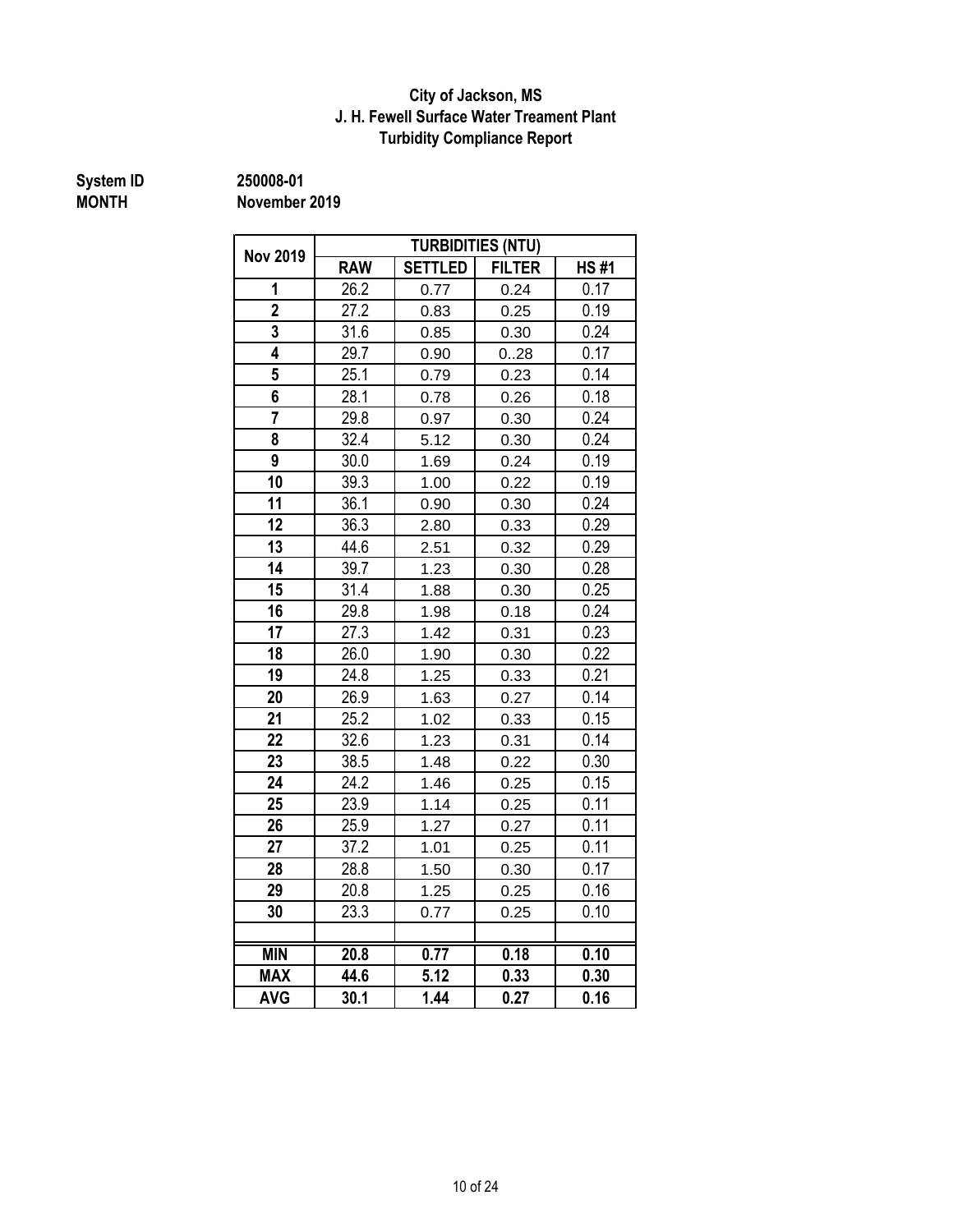## **City of Jackson, MS J. H. Fewell Surface Water Treament Plant Turbidity Compliance Report**

**System ID 250008-01**

**MONTH November 2019**

| <b>Nov 2019</b>         |            |                | <b>TURBIDITIES (NTU)</b> |             |
|-------------------------|------------|----------------|--------------------------|-------------|
|                         | <b>RAW</b> | <b>SETTLED</b> | <b>FILTER</b>            | <b>HS#1</b> |
| 1                       | 26.2       | 0.77           | 0.24                     | 0.17        |
| $\overline{\mathbf{2}}$ | 27.2       | 0.83           | 0.25                     | 0.19        |
| 3                       | 31.6       | 0.85           | 0.30                     | 0.24        |
| 4                       | 29.7       | 0.90           | 028                      | 0.17        |
| 5                       | 25.1       | 0.79           | 0.23                     | 0.14        |
| 6                       | 28.1       | 0.78           | 0.26                     | 0.18        |
| $\overline{\mathbf{7}}$ | 29.8       | 0.97           | 0.30                     | 0.24        |
| 8                       | 32.4       | 5.12           | 0.30                     | 0.24        |
| $\overline{9}$          | 30.0       | 1.69           | 0.24                     | 0.19        |
| 10                      | 39.3       | 1.00           | 0.22                     | 0.19        |
| 11                      | 36.1       | 0.90           | 0.30                     | 0.24        |
| 12                      | 36.3       | 2.80           | 0.33                     | 0.29        |
| 13                      | 44.6       | 2.51           | 0.32                     | 0.29        |
| 14                      | 39.7       | 1.23           | 0.30                     | 0.28        |
| 15                      | 31.4       | 1.88           | 0.30                     | 0.25        |
| 16                      | 29.8       | 1.98           | 0.18                     | 0.24        |
| 17                      | 27.3       | 1.42           | 0.31                     | 0.23        |
| 18                      | 26.0       | 1.90           | 0.30                     | 0.22        |
| 19                      | 24.8       | 1.25           | 0.33                     | 0.21        |
| 20                      | 26.9       | 1.63           | 0.27                     | 0.14        |
| 21                      | 25.2       | 1.02           | 0.33                     | 0.15        |
| 22                      | 32.6       | 1.23           | 0.31                     | 0.14        |
| 23                      | 38.5       | 1.48           | 0.22                     | 0.30        |
| 24                      | 24.2       | 1.46           | 0.25                     | 0.15        |
| 25                      | 23.9       | 1.14           | 0.25                     | 0.11        |
| 26                      | 25.9       | 1.27           | 0.27                     | 0.11        |
| 27                      | 37.2       | 1.01           | 0.25                     | 0.11        |
| 28                      | 28.8       | 1.50           | 0.30                     | 0.17        |
| 29                      | 20.8       | 1.25           | 0.25                     | 0.16        |
| 30                      | 23.3       | 0.77           | 0.25                     | 0.10        |
|                         |            |                |                          |             |
| <b>MIN</b>              | 20.8       | 0.77           | 0.18                     | 0.10        |
| <b>MAX</b>              | 44.6       | 5.12           | 0.33                     | 0.30        |
| <b>AVG</b>              | 30.1       | 1.44           | 0.27                     | 0.16        |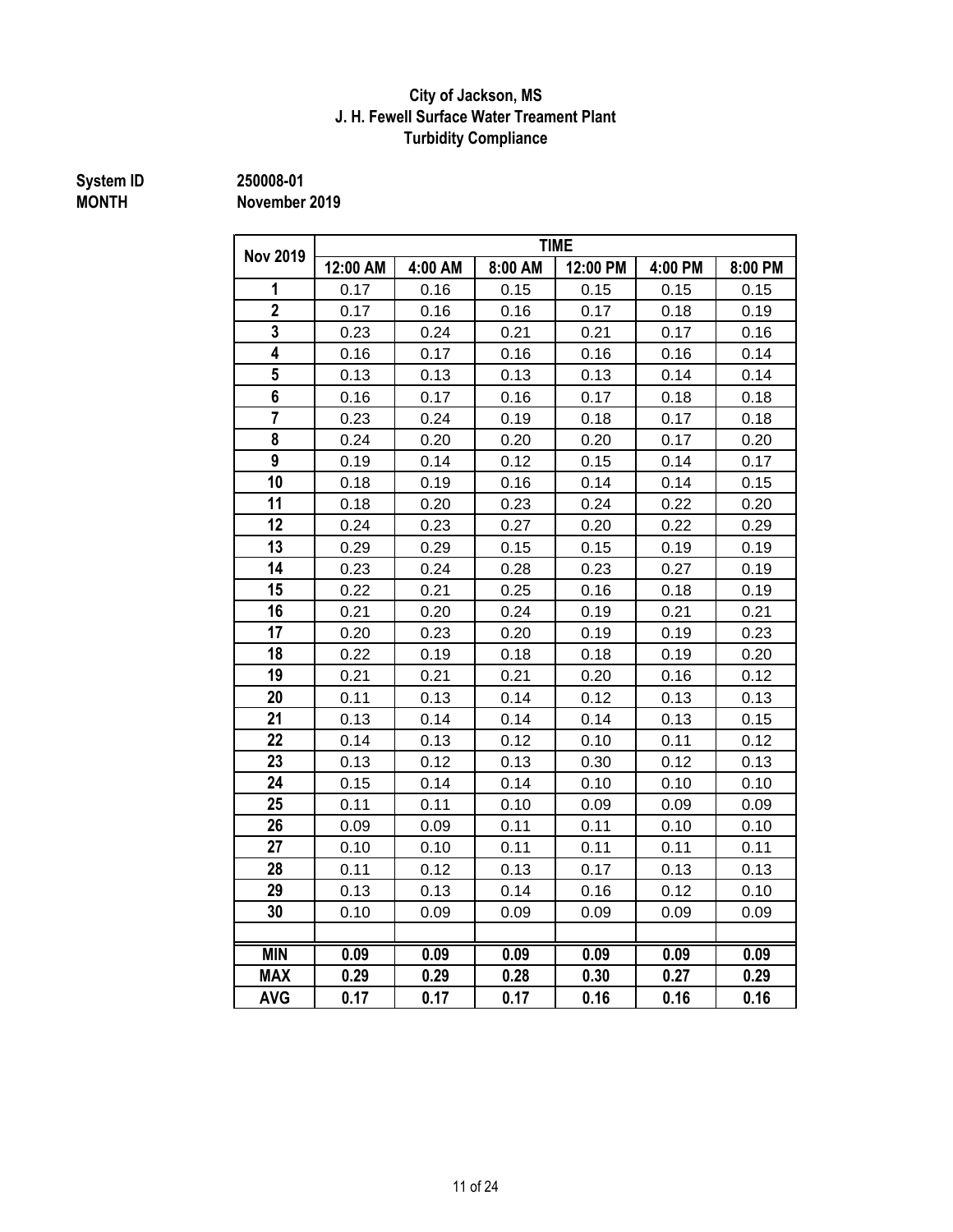## **J. H. Fewell Surface Water Treament Plant Turbidity Compliance City of Jackson, MS**

# **System ID** 250008-01<br>MONTH November

**MONTH November 2019**

| <b>Nov 2019</b> | <b>TIME</b>       |         |         |          |         |         |  |  |  |  |  |
|-----------------|-------------------|---------|---------|----------|---------|---------|--|--|--|--|--|
|                 | 12:00 AM          | 4:00 AM | 8:00 AM | 12:00 PM | 4:00 PM | 8:00 PM |  |  |  |  |  |
| 1               | 0.17              | 0.16    | 0.15    | 0.15     | 0.15    | 0.15    |  |  |  |  |  |
| $\overline{2}$  | 0.17              | 0.16    | 0.16    | 0.17     | 0.18    | 0.19    |  |  |  |  |  |
| 3               | 0.23              | 0.24    | 0.21    | 0.21     | 0.17    | 0.16    |  |  |  |  |  |
| 4               | 0.16              | 0.17    | 0.16    | 0.16     | 0.16    | 0.14    |  |  |  |  |  |
| 5               | 0.13              | 0.13    | 0.13    | 0.13     | 0.14    | 0.14    |  |  |  |  |  |
| 6               | 0.16              | 0.17    | 0.16    | 0.17     | 0.18    | 0.18    |  |  |  |  |  |
| $\overline{7}$  | 0.23              | 0.24    | 0.19    | 0.18     | 0.17    | 0.18    |  |  |  |  |  |
| 8               | 0.24              | 0.20    | 0.20    | 0.20     | 0.17    | 0.20    |  |  |  |  |  |
| 9               | 0.19              | 0.14    | 0.12    | 0.15     | 0.14    | 0.17    |  |  |  |  |  |
| 10              | 0.18              | 0.19    | 0.16    | 0.14     | 0.14    | 0.15    |  |  |  |  |  |
| 11              | 0.18              | 0.20    | 0.23    | 0.24     | 0.22    | 0.20    |  |  |  |  |  |
| 12              | 0.24              | 0.23    | 0.27    | 0.20     | 0.22    | 0.29    |  |  |  |  |  |
| 13              | 0.29              | 0.29    | 0.15    | 0.15     | 0.19    | 0.19    |  |  |  |  |  |
| 14              | 0.23              | 0.24    | 0.28    | 0.23     | 0.27    | 0.19    |  |  |  |  |  |
| 15              | 0.22              | 0.21    | 0.25    | 0.16     | 0.18    | 0.19    |  |  |  |  |  |
| 16              | 0.21              | 0.20    | 0.24    | 0.19     | 0.21    | 0.21    |  |  |  |  |  |
| 17              | 0.20              | 0.23    | 0.20    | 0.19     | 0.19    | 0.23    |  |  |  |  |  |
| 18              | 0.22              | 0.19    | 0.18    | 0.18     | 0.19    | 0.20    |  |  |  |  |  |
| 19              | 0.21              | 0.21    | 0.21    | 0.20     | 0.16    | 0.12    |  |  |  |  |  |
| 20              | 0.11              | 0.13    | 0.14    | 0.12     | 0.13    | 0.13    |  |  |  |  |  |
| 21              | 0.13              | 0.14    | 0.14    | 0.14     | 0.13    | 0.15    |  |  |  |  |  |
| 22              | 0.14              | 0.13    | 0.12    | 0.10     | 0.11    | 0.12    |  |  |  |  |  |
| 23              | 0.13              | 0.12    | 0.13    | 0.30     | 0.12    | 0.13    |  |  |  |  |  |
| 24              | 0.15              | 0.14    | 0.14    | 0.10     | 0.10    | 0.10    |  |  |  |  |  |
| 25              | 0.11              | 0.11    | 0.10    | 0.09     | 0.09    | 0.09    |  |  |  |  |  |
| 26              | 0.09              | 0.09    | 0.11    | 0.11     | 0.10    | 0.10    |  |  |  |  |  |
| 27              | 0.10              | 0.10    | 0.11    | 0.11     | 0.11    | 0.11    |  |  |  |  |  |
| 28              | 0.11              | 0.12    | 0.13    | 0.17     | 0.13    | 0.13    |  |  |  |  |  |
| 29              | 0.13              | 0.13    | 0.14    | 0.16     | 0.12    | 0.10    |  |  |  |  |  |
| 30              | 0.10              | 0.09    | 0.09    | 0.09     | 0.09    | 0.09    |  |  |  |  |  |
|                 |                   |         |         |          |         |         |  |  |  |  |  |
| <b>MIN</b>      | $\overline{0.09}$ | 0.09    | 0.09    | 0.09     | 0.09    | 0.09    |  |  |  |  |  |
| <b>MAX</b>      | 0.29              | 0.29    | 0.28    | 0.30     | 0.27    | 0.29    |  |  |  |  |  |
| <b>AVG</b>      | 0.17              | 0.17    | 0.17    | 0.16     | 0.16    | 0.16    |  |  |  |  |  |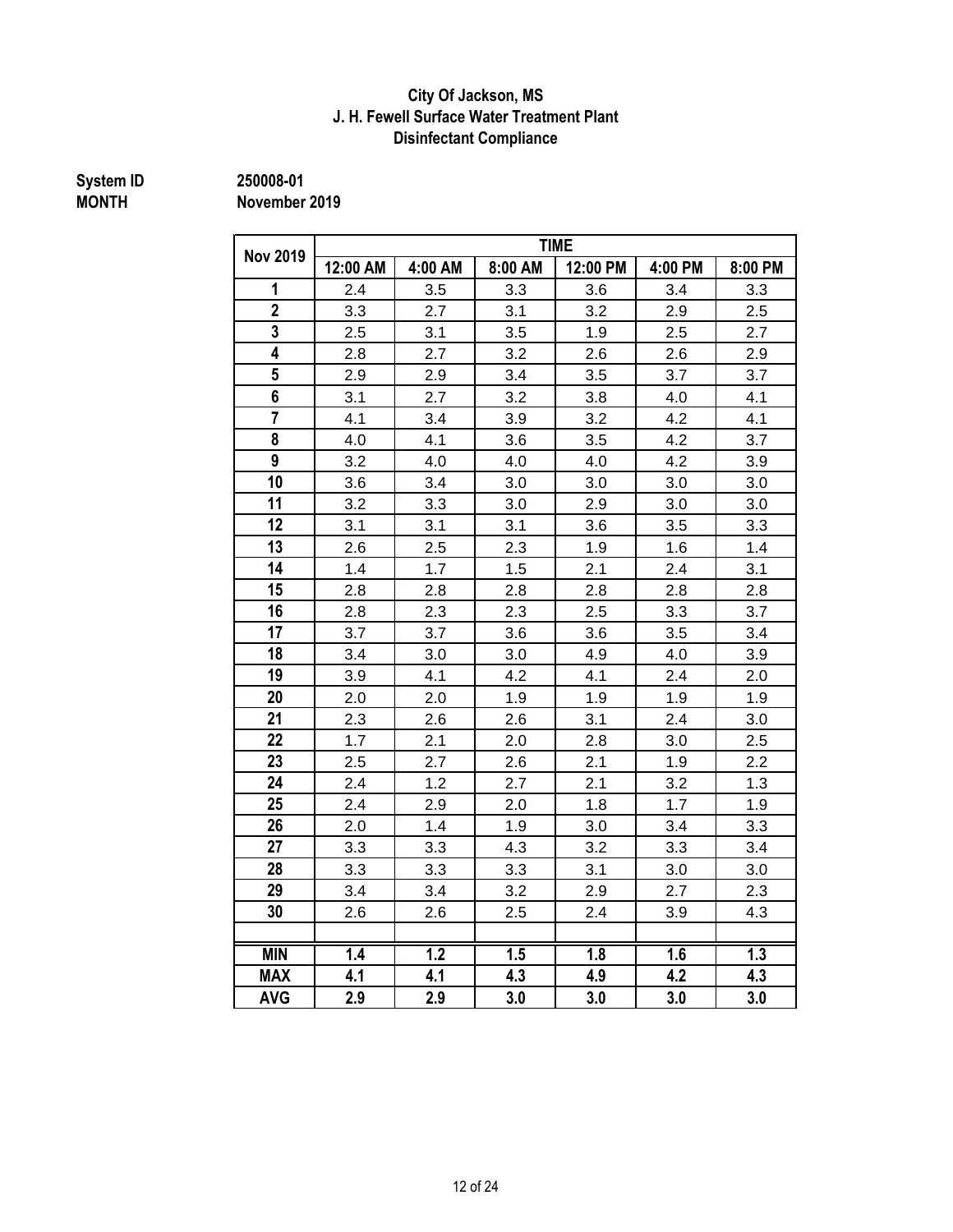### **J. H. Fewell Surface Water Treatment Plant City Of Jackson, MS Disinfectant Compliance**

# **System ID 250008-01**

**MONTH November 2019**

| <b>Nov 2019</b>         |          |         |         | <b>TIME</b> |         |         |
|-------------------------|----------|---------|---------|-------------|---------|---------|
|                         | 12:00 AM | 4:00 AM | 8:00 AM | 12:00 PM    | 4:00 PM | 8:00 PM |
| 1                       | 2.4      | 3.5     | 3.3     | 3.6         | 3.4     | 3.3     |
| $\overline{2}$          | 3.3      | 2.7     | 3.1     | 3.2         | 2.9     | 2.5     |
| $\overline{\mathbf{3}}$ | 2.5      | 3.1     | 3.5     | 1.9         | 2.5     | 2.7     |
| 4                       | 2.8      | 2.7     | 3.2     | 2.6         | 2.6     | 2.9     |
| $5\phantom{.0}$         | 2.9      | 2.9     | 3.4     | 3.5         | 3.7     | 3.7     |
| 6                       | 3.1      | 2.7     | 3.2     | 3.8         | 4.0     | 4.1     |
| $\overline{7}$          | 4.1      | 3.4     | 3.9     | 3.2         | 4.2     | 4.1     |
| 8                       | 4.0      | 4.1     | 3.6     | 3.5         | 4.2     | 3.7     |
| 9                       | 3.2      | 4.0     | 4.0     | 4.0         | 4.2     | 3.9     |
| 10                      | 3.6      | 3.4     | 3.0     | 3.0         | 3.0     | 3.0     |
| 11                      | 3.2      | 3.3     | 3.0     | 2.9         | 3.0     | 3.0     |
| 12                      | 3.1      | 3.1     | 3.1     | 3.6         | 3.5     | 3.3     |
| 13                      | 2.6      | 2.5     | 2.3     | 1.9         | 1.6     | 1.4     |
| 14                      | 1.4      | 1.7     | 1.5     | 2.1         | 2.4     | 3.1     |
| 15                      | 2.8      | 2.8     | 2.8     | 2.8         | 2.8     | 2.8     |
| 16                      | 2.8      | 2.3     | 2.3     | 2.5         | 3.3     | 3.7     |
| 17                      | 3.7      | 3.7     | 3.6     | 3.6         | 3.5     | 3.4     |
| 18                      | 3.4      | 3.0     | 3.0     | 4.9         | 4.0     | 3.9     |
| 19                      | 3.9      | 4.1     | 4.2     | 4.1         | 2.4     | 2.0     |
| 20                      | 2.0      | 2.0     | 1.9     | 1.9         | 1.9     | 1.9     |
| 21                      | 2.3      | 2.6     | 2.6     | 3.1         | 2.4     | 3.0     |
| 22                      | 1.7      | 2.1     | 2.0     | 2.8         | 3.0     | 2.5     |
| 23                      | 2.5      | 2.7     | 2.6     | 2.1         | 1.9     | 2.2     |
| 24                      | 2.4      | 1.2     | 2.7     | 2.1         | 3.2     | 1.3     |
| 25                      | 2.4      | 2.9     | 2.0     | 1.8         | 1.7     | 1.9     |
| 26                      | 2.0      | 1.4     | 1.9     | 3.0         | 3.4     | 3.3     |
| 27                      | 3.3      | 3.3     | 4.3     | 3.2         | 3.3     | 3.4     |
| 28                      | 3.3      | 3.3     | 3.3     | 3.1         | 3.0     | 3.0     |
| 29                      | 3.4      | 3.4     | 3.2     | 2.9         | 2.7     | 2.3     |
| 30                      | 2.6      | 2.6     | 2.5     | 2.4         | 3.9     | 4.3     |
|                         |          |         |         |             |         |         |
| <b>MIN</b>              | 1.4      | 1.2     | 1.5     | 1.8         | 1.6     | 1.3     |
| <b>MAX</b>              | 4.1      | 4.1     | 4.3     | 4.9         | 4.2     | 4.3     |
| <b>AVG</b>              | 2.9      | 2.9     | 3.0     | 3.0         | 3.0     | 3.0     |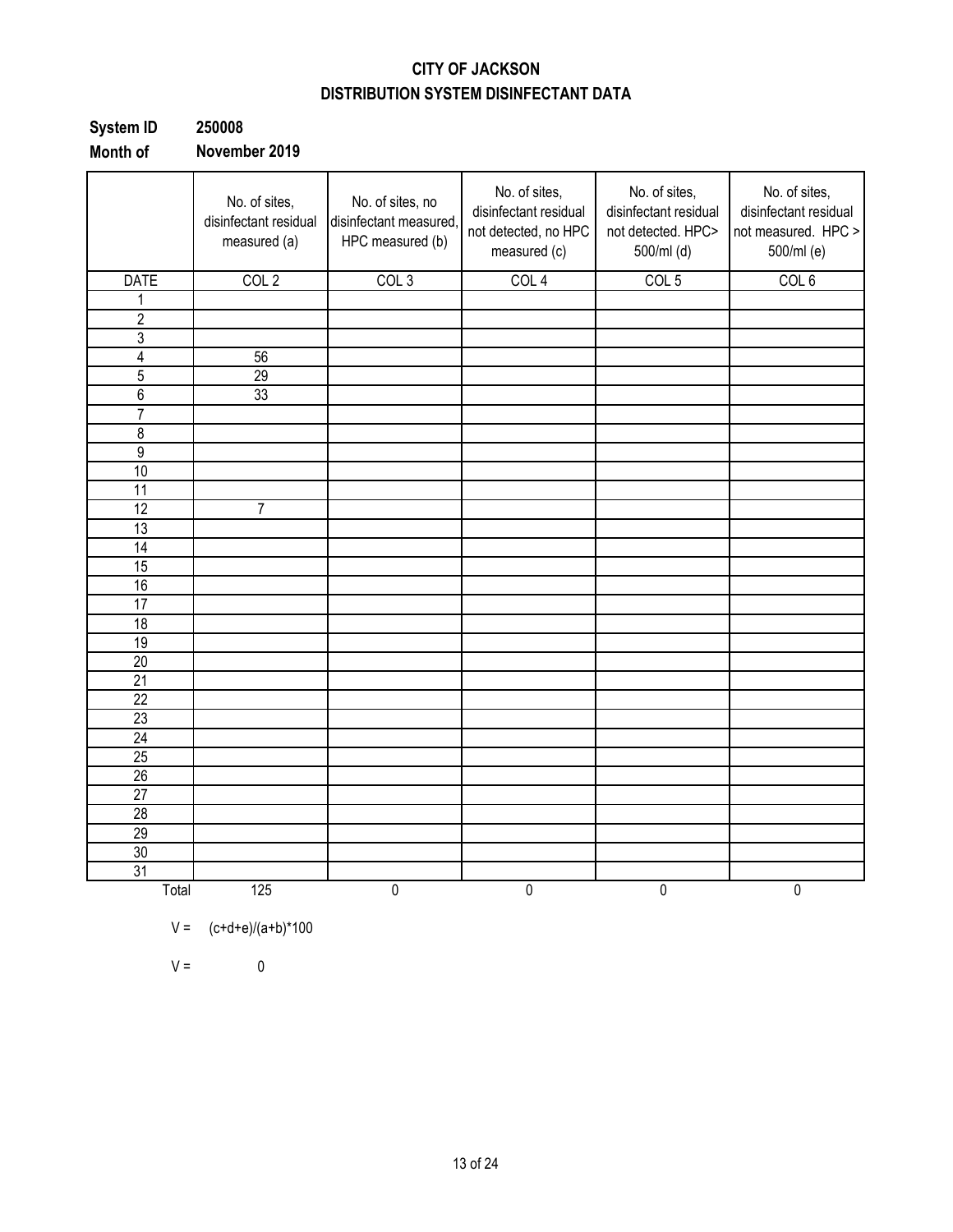## **CITY OF JACKSON DISTRIBUTION SYSTEM DISINFECTANT DATA**

| System ID | 250008        |
|-----------|---------------|
| Month of  | November 2019 |

|                 | No. of sites,<br>disinfectant residual<br>measured (a) | No. of sites, no<br>disinfectant measured,<br>HPC measured (b) | No. of sites,<br>disinfectant residual<br>not detected, no HPC<br>measured (c) | No. of sites,<br>disinfectant residual<br>not detected. HPC><br>500/ml (d) | No. of sites,<br>disinfectant residual<br>not measured. HPC ><br>500/ml (e) |
|-----------------|--------------------------------------------------------|----------------------------------------------------------------|--------------------------------------------------------------------------------|----------------------------------------------------------------------------|-----------------------------------------------------------------------------|
| <b>DATE</b>     | COL <sub>2</sub>                                       | COL <sub>3</sub>                                               | COL <sub>4</sub>                                                               | COL <sub>5</sub>                                                           | COL <sub>6</sub>                                                            |
| 1               |                                                        |                                                                |                                                                                |                                                                            |                                                                             |
| $\overline{2}$  |                                                        |                                                                |                                                                                |                                                                            |                                                                             |
| $\overline{3}$  |                                                        |                                                                |                                                                                |                                                                            |                                                                             |
| $\overline{4}$  | 56                                                     |                                                                |                                                                                |                                                                            |                                                                             |
| $\overline{5}$  | 29                                                     |                                                                |                                                                                |                                                                            |                                                                             |
| $\overline{6}$  | 33                                                     |                                                                |                                                                                |                                                                            |                                                                             |
| $\overline{7}$  |                                                        |                                                                |                                                                                |                                                                            |                                                                             |
| $\overline{8}$  |                                                        |                                                                |                                                                                |                                                                            |                                                                             |
| $\overline{9}$  |                                                        |                                                                |                                                                                |                                                                            |                                                                             |
| 10              |                                                        |                                                                |                                                                                |                                                                            |                                                                             |
| 11              |                                                        |                                                                |                                                                                |                                                                            |                                                                             |
| $\overline{12}$ | $\overline{7}$                                         |                                                                |                                                                                |                                                                            |                                                                             |
| $\overline{13}$ |                                                        |                                                                |                                                                                |                                                                            |                                                                             |
| 14              |                                                        |                                                                |                                                                                |                                                                            |                                                                             |
| 15              |                                                        |                                                                |                                                                                |                                                                            |                                                                             |
| 16              |                                                        |                                                                |                                                                                |                                                                            |                                                                             |
| 17              |                                                        |                                                                |                                                                                |                                                                            |                                                                             |
| 18              |                                                        |                                                                |                                                                                |                                                                            |                                                                             |
| 19              |                                                        |                                                                |                                                                                |                                                                            |                                                                             |
| 20              |                                                        |                                                                |                                                                                |                                                                            |                                                                             |
| 21              |                                                        |                                                                |                                                                                |                                                                            |                                                                             |
| $\overline{22}$ |                                                        |                                                                |                                                                                |                                                                            |                                                                             |
| $\overline{23}$ |                                                        |                                                                |                                                                                |                                                                            |                                                                             |
| 24              |                                                        |                                                                |                                                                                |                                                                            |                                                                             |
| 25              |                                                        |                                                                |                                                                                |                                                                            |                                                                             |
| $\overline{26}$ |                                                        |                                                                |                                                                                |                                                                            |                                                                             |
| 27              |                                                        |                                                                |                                                                                |                                                                            |                                                                             |
| $\overline{28}$ |                                                        |                                                                |                                                                                |                                                                            |                                                                             |
| 29              |                                                        |                                                                |                                                                                |                                                                            |                                                                             |
| 30              |                                                        |                                                                |                                                                                |                                                                            |                                                                             |
| $\overline{31}$ |                                                        |                                                                |                                                                                |                                                                            |                                                                             |
| Total           | 125                                                    | 0                                                              | $\pmb{0}$                                                                      | 0                                                                          | $\pmb{0}$                                                                   |

$$
V =
$$
  $(c+d+e)/(a+b)*100$ 

 $V = 0$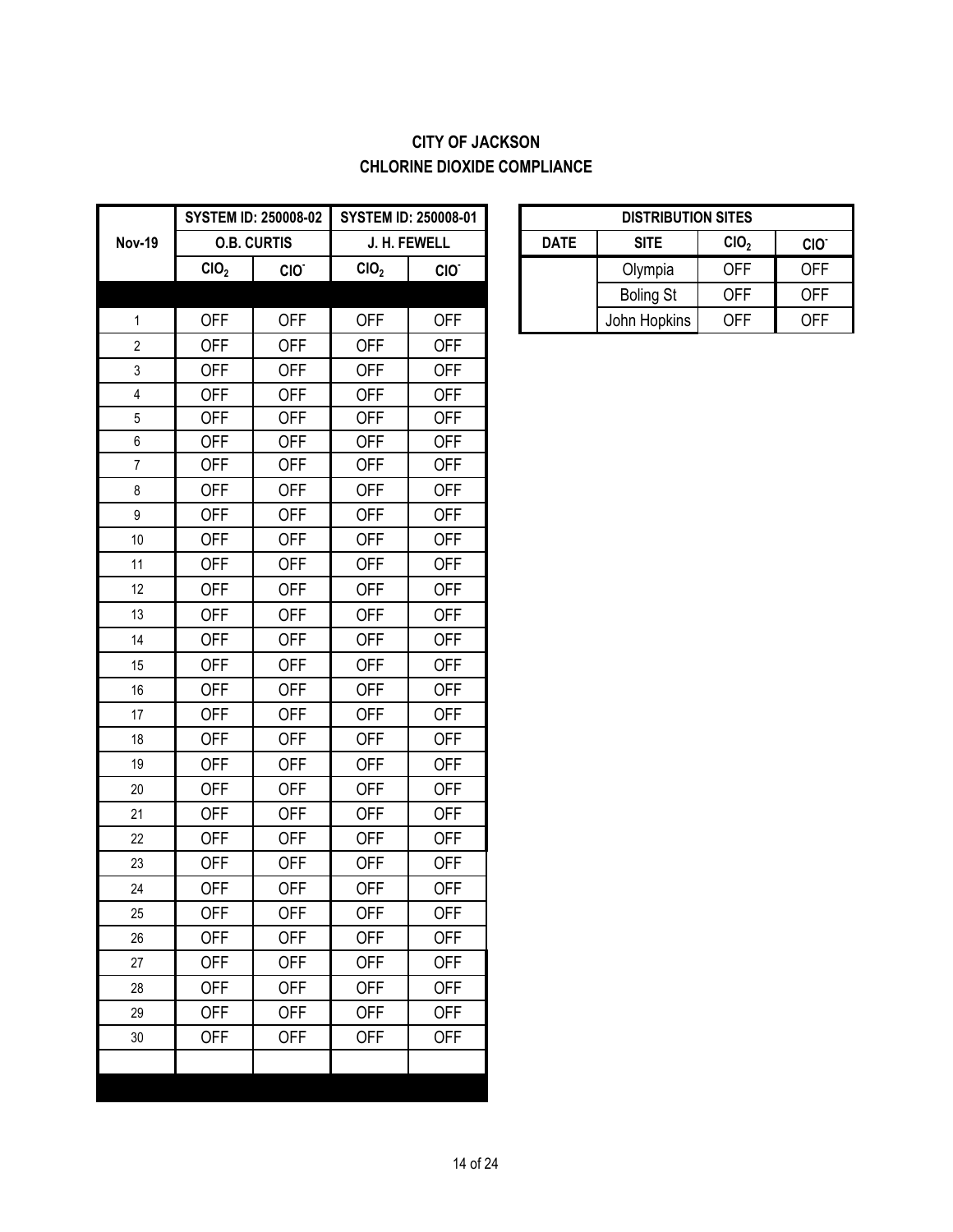## **CITY OF JACKSON CHLORINE DIOXIDE COMPLIANCE**

|                  |                  | <b>SYSTEM ID: 250008-02</b> |                  | <b>SYSTEM ID: 250008-01</b> |             | <b>DISTRIBUTION SITES</b> |                  |                  |
|------------------|------------------|-----------------------------|------------------|-----------------------------|-------------|---------------------------|------------------|------------------|
| <b>Nov-19</b>    |                  | <b>O.B. CURTIS</b>          |                  | J. H. FEWELL                | <b>DATE</b> | <b>SITE</b>               | ClO <sub>2</sub> | CIO <sup>.</sup> |
|                  | CIO <sub>2</sub> | CIO <sup>-</sup>            | CIO <sub>2</sub> | CIO.                        |             | Olympia                   | <b>OFF</b>       | <b>OFF</b>       |
|                  |                  |                             |                  |                             |             | <b>Boling St</b>          | <b>OFF</b>       | <b>OFF</b>       |
| $\mathbf{1}$     | <b>OFF</b>       | <b>OFF</b>                  | <b>OFF</b>       | <b>OFF</b>                  |             | John Hopkins              | <b>OFF</b>       | <b>OFF</b>       |
| $\overline{2}$   | <b>OFF</b>       | <b>OFF</b>                  | <b>OFF</b>       | <b>OFF</b>                  |             |                           |                  |                  |
| 3                | <b>OFF</b>       | <b>OFF</b>                  | <b>OFF</b>       | <b>OFF</b>                  |             |                           |                  |                  |
| 4                | <b>OFF</b>       | <b>OFF</b>                  | <b>OFF</b>       | <b>OFF</b>                  |             |                           |                  |                  |
| 5                | <b>OFF</b>       | <b>OFF</b>                  | <b>OFF</b>       | <b>OFF</b>                  |             |                           |                  |                  |
| 6                | <b>OFF</b>       | <b>OFF</b>                  | <b>OFF</b>       | <b>OFF</b>                  |             |                           |                  |                  |
| $\overline{7}$   | <b>OFF</b>       | <b>OFF</b>                  | <b>OFF</b>       | <b>OFF</b>                  |             |                           |                  |                  |
| $\bf 8$          | <b>OFF</b>       | <b>OFF</b>                  | <b>OFF</b>       | <b>OFF</b>                  |             |                           |                  |                  |
| $\boldsymbol{9}$ | <b>OFF</b>       | <b>OFF</b>                  | <b>OFF</b>       | <b>OFF</b>                  |             |                           |                  |                  |
| $10$             | <b>OFF</b>       | <b>OFF</b>                  | <b>OFF</b>       | <b>OFF</b>                  |             |                           |                  |                  |
| 11               | <b>OFF</b>       | <b>OFF</b>                  | <b>OFF</b>       | <b>OFF</b>                  |             |                           |                  |                  |
| 12               | <b>OFF</b>       | <b>OFF</b>                  | <b>OFF</b>       | <b>OFF</b>                  |             |                           |                  |                  |
| 13               | <b>OFF</b>       | <b>OFF</b>                  | <b>OFF</b>       | <b>OFF</b>                  |             |                           |                  |                  |
| 14               | <b>OFF</b>       | <b>OFF</b>                  | <b>OFF</b>       | <b>OFF</b>                  |             |                           |                  |                  |
| 15               | <b>OFF</b>       | <b>OFF</b>                  | <b>OFF</b>       | <b>OFF</b>                  |             |                           |                  |                  |
| 16               | <b>OFF</b>       | <b>OFF</b>                  | <b>OFF</b>       | <b>OFF</b>                  |             |                           |                  |                  |
| 17               | <b>OFF</b>       | <b>OFF</b>                  | <b>OFF</b>       | <b>OFF</b>                  |             |                           |                  |                  |
| 18               | <b>OFF</b>       | <b>OFF</b>                  | <b>OFF</b>       | <b>OFF</b>                  |             |                           |                  |                  |
| 19               | <b>OFF</b>       | <b>OFF</b>                  | <b>OFF</b>       | <b>OFF</b>                  |             |                           |                  |                  |
| 20               | <b>OFF</b>       | <b>OFF</b>                  | <b>OFF</b>       | <b>OFF</b>                  |             |                           |                  |                  |
| 21               | <b>OFF</b>       | <b>OFF</b>                  | <b>OFF</b>       | <b>OFF</b>                  |             |                           |                  |                  |
| 22               | <b>OFF</b>       | <b>OFF</b>                  | <b>OFF</b>       | <b>OFF</b>                  |             |                           |                  |                  |
| 23               | <b>OFF</b>       | <b>OFF</b>                  | <b>OFF</b>       | <b>OFF</b>                  |             |                           |                  |                  |
| 24               | <b>OFF</b>       | <b>OFF</b>                  | <b>OFF</b>       | <b>OFF</b>                  |             |                           |                  |                  |
| 25               | <b>OFF</b>       | <b>OFF</b>                  | <b>OFF</b>       | <b>OFF</b>                  |             |                           |                  |                  |
| 26               | <b>OFF</b>       | <b>OFF</b>                  | <b>OFF</b>       | <b>OFF</b>                  |             |                           |                  |                  |
| 27               | <b>OFF</b>       | <b>OFF</b>                  | <b>OFF</b>       | <b>OFF</b>                  |             |                           |                  |                  |
| 28               | <b>OFF</b>       | <b>OFF</b>                  | <b>OFF</b>       | <b>OFF</b>                  |             |                           |                  |                  |
| 29               | <b>OFF</b>       | <b>OFF</b>                  | <b>OFF</b>       | <b>OFF</b>                  |             |                           |                  |                  |
| 30               | <b>OFF</b>       | <b>OFF</b>                  | <b>OFF</b>       | <b>OFF</b>                  |             |                           |                  |                  |
|                  |                  |                             |                  |                             |             |                           |                  |                  |
|                  |                  |                             |                  |                             |             |                           |                  |                  |

|      | STEM ID: 250008-02 | <b>SYSTEM ID: 250008-01</b> |                  | <b>DISTRIBUTION SITES</b>                                          |                  |            |            |
|------|--------------------|-----------------------------|------------------|--------------------------------------------------------------------|------------------|------------|------------|
|      | <b>O.B. CURTIS</b> |                             | J. H. FEWELL     | CIO <sub>2</sub><br><b>DATE</b><br><b>SITE</b><br>CIO <sup>®</sup> |                  |            |            |
| CIO, | CIO.               | CIO <sub>2</sub>            | CIO <sup>-</sup> |                                                                    | Olympia          | <b>OFF</b> | <b>OFF</b> |
|      |                    |                             |                  |                                                                    | <b>Boling St</b> | <b>OFF</b> | <b>OFF</b> |
| OFF  | <b>OFF</b>         | OFF                         | OFF              |                                                                    | John Hopkins     | <b>OFF</b> | <b>OFF</b> |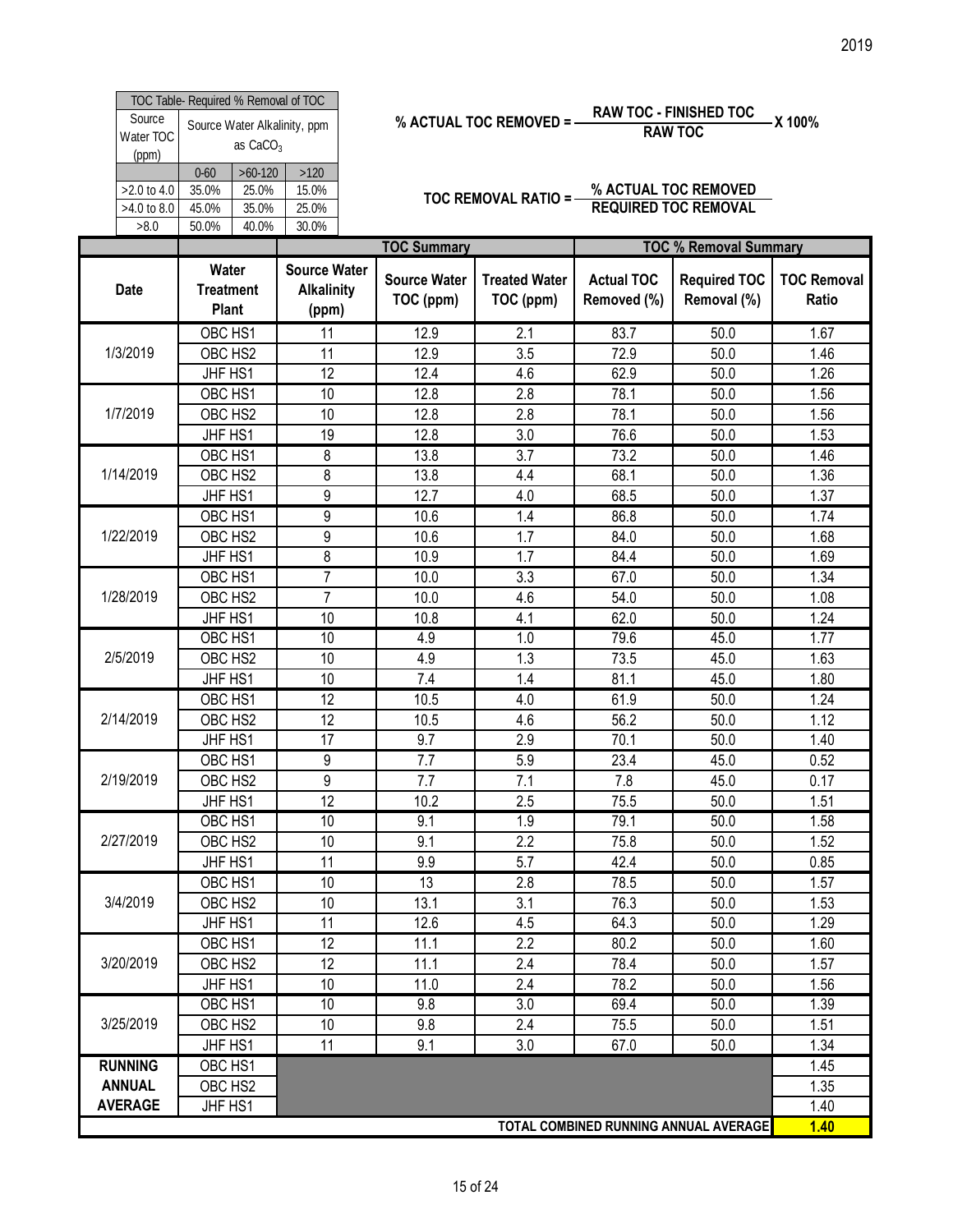|                              | TOC Table- Required % Removal of TOC |                                                      |           |       |  |  |  |  |
|------------------------------|--------------------------------------|------------------------------------------------------|-----------|-------|--|--|--|--|
| Source<br>Water TOC<br>(ppm) |                                      | Source Water Alkalinity, ppm<br>as CaCO <sub>3</sub> |           |       |  |  |  |  |
|                              |                                      | $0 - 60$                                             | $>60-120$ | >120  |  |  |  |  |
| $>2.0$ to 4.0                |                                      | 35.0%                                                | 25.0%     | 15.0% |  |  |  |  |
| >4.0 to 8.0                  |                                      | 45.0%                                                | 35.0%     | 25.0% |  |  |  |  |
| >8.0                         |                                      | 50.0%                                                | 40.0%     | 30.0% |  |  |  |  |

% ACTUAL TOC REMOVED = 
$$
\frac{RAW\ TOC - FINISHED\ TOC}{RAW\ TOC} = X\ 100\%
$$

| Source<br>Water TOC<br>(ppm)       | TOC Table- Required % Removal of TOC | as $CaCO3$                           | Source Water Alkalinity, ppm                      |                                  | % ACTUAL TOC REMOVED = -          |                                  | <b>RAW TOC - FINISHED TOC</b><br><b>RAW TOC</b>     | -X 100%                     |
|------------------------------------|--------------------------------------|--------------------------------------|---------------------------------------------------|----------------------------------|-----------------------------------|----------------------------------|-----------------------------------------------------|-----------------------------|
| >2.0 to 4.0<br>>4.0 to 8.0<br>>8.0 | $0 - 60$<br>35.0%<br>45.0%<br>50.0%  | $>60-120$<br>25.0%<br>35.0%<br>40.0% | $>120$<br>15.0%<br>25.0%<br>30.0%                 |                                  | <b>TOC REMOVAL RATIO = -</b>      |                                  | % ACTUAL TOC REMOVED<br><b>REQUIRED TOC REMOVAL</b> |                             |
|                                    |                                      |                                      |                                                   | <b>TOC Summary</b>               |                                   |                                  | <b>TOC % Removal Summary</b>                        |                             |
| <b>Date</b>                        | Water<br><b>Treatment</b><br>Plant   |                                      | <b>Source Water</b><br><b>Alkalinity</b><br>(ppm) | <b>Source Water</b><br>TOC (ppm) | <b>Treated Water</b><br>TOC (ppm) | <b>Actual TOC</b><br>Removed (%) | <b>Required TOC</b><br>Removal (%)                  | <b>TOC Removal</b><br>Ratio |
|                                    | OBC HS1                              |                                      | 11                                                | 12.9                             | 2.1                               | 83.7                             | 50.0                                                | 1.67                        |
| 1/3/2019                           | OBC HS2                              |                                      | 11                                                | 12.9                             | 3.5                               | 72.9                             | 50.0                                                | 1.46                        |
|                                    | JHF HS1                              |                                      | $\overline{12}$                                   | 12.4                             | 4.6                               | 62.9                             | 50.0                                                | 1.26                        |
|                                    | OBC HS1                              |                                      | 10                                                | 12.8                             | 2.8                               | 78.1                             | 50.0                                                | 1.56                        |
| 1/7/2019                           | OBC HS2                              |                                      | 10                                                | 12.8                             | 2.8                               | 78.1                             | 50.0                                                | 1.56                        |
|                                    | JHF HS1                              |                                      | 19                                                | 12.8                             | 3.0                               | 76.6                             | 50.0                                                | 1.53                        |
|                                    | OBC HS1                              |                                      | 8                                                 | 13.8                             | 3.7                               | 73.2                             | 50.0                                                | 1.46                        |
| 1/14/2019                          | OBC HS2                              |                                      | 8                                                 | 13.8                             | 4.4                               | 68.1                             | 50.0                                                | 1.36                        |
|                                    | JHF HS1                              |                                      | 9                                                 | 12.7                             | 4.0                               | 68.5                             | 50.0                                                | 1.37                        |
|                                    | OBC HS1                              |                                      | 9                                                 | 10.6                             | 1.4                               | 86.8                             | 50.0                                                | 1.74                        |
| 1/22/2019                          | OBC HS2                              |                                      | 9                                                 | 10.6                             | 1.7                               | 84.0                             | 50.0                                                | 1.68                        |
|                                    | JHF HS1                              |                                      | 8                                                 | 10.9                             | 1.7                               | 84.4                             | 50.0                                                | 1.69                        |
|                                    | OBC HS1                              |                                      | 7                                                 | 10.0                             | 3.3                               | 67.0                             | 50.0                                                | 1.34                        |
| 1/28/2019                          | OBC HS2                              |                                      | $\overline{7}$                                    | 10.0                             | 4.6                               | 54.0                             | 50.0                                                | 1.08                        |
|                                    | JHF HS1                              |                                      | 10                                                | 10.8                             | 4.1                               | 62.0                             | 50.0                                                | 1.24                        |
|                                    | OBC HS1                              |                                      | 10                                                | 4.9                              | 1.0                               | 79.6                             | 45.0                                                | 1.77                        |
| 2/5/2019                           | OBC HS2                              |                                      | 10                                                | 4.9                              | 1.3                               | 73.5                             | 45.0                                                | 1.63                        |
|                                    | JHF HS1                              |                                      | 10                                                | 7.4                              | 1.4                               | 81.1                             | 45.0                                                | 1.80                        |
|                                    | OBC HS1                              |                                      | $\overline{12}$                                   | 10.5                             | 4.0                               | 61.9                             | 50.0                                                | 1.24                        |
| 2/14/2019                          | OBC HS2                              |                                      | 12                                                | 10.5                             | 4.6                               | 56.2                             | 50.0                                                | 1.12                        |
|                                    | JHF HS1                              |                                      | 17                                                | 9.7                              | 2.9                               | 70.1                             | 50.0                                                | 1.40                        |
|                                    | OBC HS1                              |                                      | 9                                                 | 7.7                              | 5.9                               | 23.4                             | 45.0                                                | 0.52                        |
| 2/19/2019                          | OBC HS2                              |                                      | 9                                                 | 7.7                              | 7.1                               | 7.8                              | 45.0                                                | 0.17                        |
|                                    | JHF HS1                              |                                      | 12                                                | 10.2                             | 2.5                               | 75.5                             | 50.0                                                | 1.51                        |
|                                    | OBC HS1                              |                                      | 10                                                | 9.1                              | 1.9                               | 79.1                             | 50.0                                                | 1.58                        |
| 2/27/2019                          | OBC HS2                              |                                      | 10                                                | 9.1                              | 2.2                               | 75.8                             | 50.0                                                | 1.52                        |
|                                    | JHF HS1                              |                                      | 11                                                | 9.9                              | 5.7                               | 42.4                             | 50.0                                                | 0.85                        |
|                                    | OBC HS1                              |                                      | 10                                                | 13                               | 2.8                               | 78.5                             | 50.0                                                | 1.57                        |
| 3/4/2019                           | OBC HS2                              |                                      | 10                                                | 13.1                             | 3.1                               | 76.3                             | 50.0                                                | 1.53                        |
|                                    | JHF HS1                              |                                      | 11                                                | 12.6                             | 4.5                               | 64.3                             | 50.0                                                | 1.29                        |
|                                    | OBC HS1                              |                                      | 12                                                | 11.1                             | 2.2                               | 80.2                             | 50.0                                                | 1.60                        |
| 3/20/2019                          | OBC HS2                              |                                      | 12                                                | 11.1                             | 2.4                               | 78.4                             | 50.0                                                | 1.57                        |
|                                    | JHF HS1                              |                                      | 10                                                | 11.0                             | 2.4                               | 78.2                             | 50.0                                                | 1.56                        |
|                                    | OBC HS1                              |                                      | 10                                                | 9.8                              | 3.0                               | 69.4                             | 50.0                                                | 1.39                        |
| 3/25/2019                          | OBC HS2                              |                                      | 10                                                | 9.8                              | 2.4                               | 75.5                             | 50.0                                                | 1.51                        |
|                                    | JHF HS1                              |                                      | 11                                                | 9.1                              | 3.0                               | 67.0                             | 50.0                                                | 1.34                        |
| <b>RUNNING</b>                     | OBC HS1                              |                                      |                                                   |                                  |                                   |                                  |                                                     | 1.45                        |
| <b>ANNUAL</b>                      | OBC HS2                              |                                      |                                                   |                                  |                                   |                                  |                                                     | 1.35                        |
| <b>AVERAGE</b>                     | JHF HS1                              |                                      |                                                   |                                  |                                   |                                  |                                                     | 1.40                        |
|                                    |                                      |                                      |                                                   |                                  |                                   |                                  | TOTAL COMBINED RUNNING ANNUAL AVERAGE               | 1.40                        |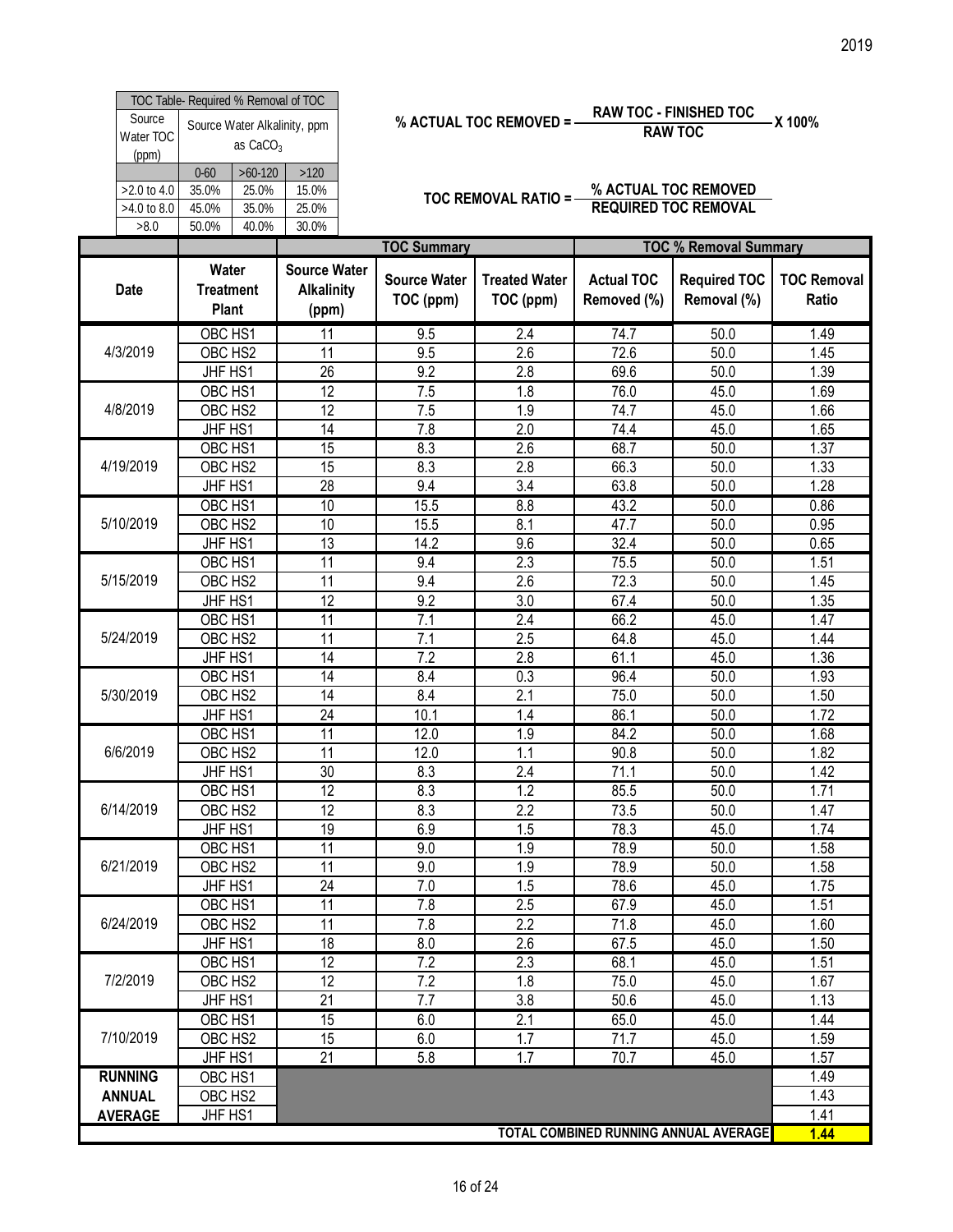|                              | TOC Table- Required % Removal of TOC                                                  |       |       |  |  |  |  |  |
|------------------------------|---------------------------------------------------------------------------------------|-------|-------|--|--|--|--|--|
| Source<br>Water TOC<br>(ppm) | Source Water Alkalinity, ppm<br>as CaCO <sub>3</sub><br>$>60-120$<br>>120<br>$0 - 60$ |       |       |  |  |  |  |  |
|                              |                                                                                       |       |       |  |  |  |  |  |
| $>2.0$ to 4.0                | 35.0%                                                                                 | 25.0% | 15.0% |  |  |  |  |  |
| $>4.0$ to 8.0                | 45.0%                                                                                 | 35.0% | 25.0% |  |  |  |  |  |
| >8.0                         | 50.0%                                                                                 | 40.0% | 30.0% |  |  |  |  |  |

% ACTUAL TOC REMOVED = 
$$
\frac{RAW\ TOC - FINISHED\ TOC}{RAW\ TOC} = X\ 100\%
$$

|                                 | TOC Table- Required % Removal of TOC                      |                                                   |                                  |                                   |                                  |                                                     | 2019                        |
|---------------------------------|-----------------------------------------------------------|---------------------------------------------------|----------------------------------|-----------------------------------|----------------------------------|-----------------------------------------------------|-----------------------------|
| Source<br>Water TOC<br>(ppm)    | Source Water Alkalinity, ppm<br>as CaCO <sub>3</sub>      |                                                   |                                  | % ACTUAL TOC REMOVED =            |                                  | <b>RAW TOC - FINISHED TOC</b><br><b>RAW TOC</b>     | -X 100%                     |
| >2.0 to 4.0<br>>4.0 to 8.0      | $>60-120$<br>$0 - 60$<br>25.0%<br>35.0%<br>45.0%<br>35.0% | $>120$<br>15.0%<br>25.0%                          |                                  | TOC REMOVAL RATIO = -             |                                  | % ACTUAL TOC REMOVED<br><b>REQUIRED TOC REMOVAL</b> |                             |
| >8.0                            | 40.0%<br>50.0%                                            | 30.0%                                             | <b>TOC Summary</b>               |                                   |                                  | <b>TOC % Removal Summary</b>                        |                             |
| <b>Date</b>                     | Water<br><b>Treatment</b><br>Plant                        | <b>Source Water</b><br><b>Alkalinity</b><br>(ppm) | <b>Source Water</b><br>TOC (ppm) | <b>Treated Water</b><br>TOC (ppm) | <b>Actual TOC</b><br>Removed (%) | <b>Required TOC</b><br>Removal (%)                  | <b>TOC Removal</b><br>Ratio |
| 4/3/2019                        | OBC HS1<br>OBC HS2                                        | 11<br>11                                          | 9.5<br>9.5                       | 2.4<br>2.6                        | 74.7<br>72.6                     | 50.0<br>50.0                                        | 1.49<br>1.45                |
|                                 | JHF HS1<br>OBC HS1                                        | $\overline{26}$<br>12                             | 9.2<br>7.5                       | 2.8<br>1.8                        | 69.6                             | 50.0                                                | 1.39                        |
| 4/8/2019                        | OBC HS2                                                   |                                                   |                                  |                                   | 76.0                             | 45.0                                                | 1.69                        |
|                                 | JHF HS1                                                   | 12<br>$\overline{14}$                             | 7.5<br>7.8                       | 1.9<br>2.0                        | 74.7<br>74.4                     | 45.0<br>45.0                                        | 1.66<br>1.65                |
| 4/19/2019                       | OBC HS1<br>OBC HS2                                        | 15<br>15                                          | 8.3<br>8.3                       | 2.6<br>2.8                        | 68.7<br>66.3                     | 50.0<br>50.0                                        | 1.37<br>1.33                |
|                                 | JHF HS1                                                   | 28                                                | 9.4                              | 3.4                               | 63.8                             | 50.0                                                | 1.28                        |
| 5/10/2019                       | OBC HS1<br>OBC HS2                                        | 10<br>10                                          | 15.5<br>15.5                     | $\overline{8.8}$<br>8.1           | 43.2<br>47.7                     | 50.0<br>50.0                                        | 0.86<br>0.95                |
|                                 | JHF HS1                                                   | 13<br>11                                          | 14.2<br>9.4                      | 9.6<br>2.3                        | 32.4                             | 50.0<br>50.0                                        | 0.65<br>1.51                |
| 5/15/2019                       | OBC HS1<br>OBC HS2                                        | 11                                                | 9.4                              | 2.6                               | 75.5<br>72.3                     | 50.0                                                | 1.45                        |
|                                 | JHF HS1<br>OBC HS1                                        | 12<br>$\overline{11}$                             | 9.2<br>7.1                       | 3.0<br>2.4                        | 67.4<br>66.2                     | 50.0<br>45.0                                        | 1.35<br>1.47                |
| 5/24/2019                       | OBC HS2                                                   | 11                                                | $\overline{7.1}$                 | 2.5                               | 64.8                             | $45.\overline{0}$                                   | 1.44                        |
|                                 | JHF HS1<br>OBC HS1                                        | 14<br>$\overline{14}$                             | 7.2<br>8.4                       | 2.8<br>0.3                        | 61.1<br>96.4                     | 45.0<br>50.0                                        | 1.36<br>1.93                |
| 5/30/2019                       | OBC HS2                                                   | 14                                                | 8.4                              | 2.1                               | 75.0                             | 50.0                                                | 1.50                        |
|                                 | JHF HS1<br>OBC HS1                                        | 24<br>$\overline{11}$                             | 10.1<br>12.0                     | 1.4<br>1.9                        | 86.1<br>84.2                     | 50.0<br>50.0                                        | 1.72<br>1.68                |
| 6/6/2019                        | OBC HS2                                                   | $\overline{11}$                                   | 12.0                             | 1.1                               | 90.8                             | 50.0                                                | 1.82                        |
|                                 | JHF HS1<br>OBC HS1                                        | 30<br>$\overline{12}$                             | 8.3<br>8.3                       | 2.4<br>1.2                        | 71.1<br>85.5                     | 50.0<br>50.0                                        | 1.42<br>1.71                |
| 6/14/2019                       | OBC HS2                                                   | 12                                                | 8.3                              | 2.2                               | 73.5                             | 50.0                                                | 1.47                        |
|                                 | JHF HS1                                                   | 19                                                | 6.9                              | 1.5                               | 78.3                             | 45.0                                                | 1.74                        |
| 6/21/2019                       | OBC HS1<br>OBC HS2                                        | $\overline{11}$<br>$\overline{11}$                | 9.0<br>9.0                       | 1.9<br>1.9                        | 78.9<br>78.9                     | 50.0<br>50.0                                        | 1.58<br>1.58                |
|                                 | JHF HS1                                                   | 24                                                | 7.0                              | 1.5                               | 78.6                             | 45.0                                                | 1.75                        |
| 6/24/2019                       | OBC HS1<br>OBC HS2                                        | 11<br>11                                          | 7.8<br>7.8                       | 2.5<br>2.2                        | 67.9<br>71.8                     | 45.0<br>45.0                                        | 1.51<br>1.60                |
|                                 | JHF HS1                                                   | 18                                                | 8.0                              | 2.6                               | 67.5                             | 45.0                                                | 1.50                        |
| 7/2/2019                        | OBC HS1<br>OBC HS2                                        | 12<br>$\overline{12}$                             | 7.2<br>7.2                       | 2.3<br>1.8                        | 68.1<br>75.0                     | 45.0<br>45.0                                        | 1.51<br>1.67                |
|                                 | JHF HS1                                                   | 21                                                | 7.7                              | 3.8                               | 50.6                             | 45.0                                                | 1.13                        |
| 7/10/2019                       | OBC HS1<br>OBC HS2                                        | 15<br>15                                          | 6.0<br>6.0                       | 2.1<br>1.7                        | 65.0<br>71.7                     | 45.0<br>45.0                                        | 1.44<br>1.59                |
|                                 | JHF HS1                                                   | 21                                                | 5.8                              | 1.7                               | 70.7                             | 45.0                                                | 1.57                        |
| <b>RUNNING</b><br><b>ANNUAL</b> | OBC HS1<br>OBC HS <sub>2</sub>                            |                                                   |                                  |                                   |                                  |                                                     | 1.49<br>1.43                |
| <b>AVERAGE</b>                  | JHF HS1                                                   |                                                   |                                  |                                   |                                  | TOTAL COMBINED RUNNING ANNUAL AVERAGE               | 1.41<br>1.44                |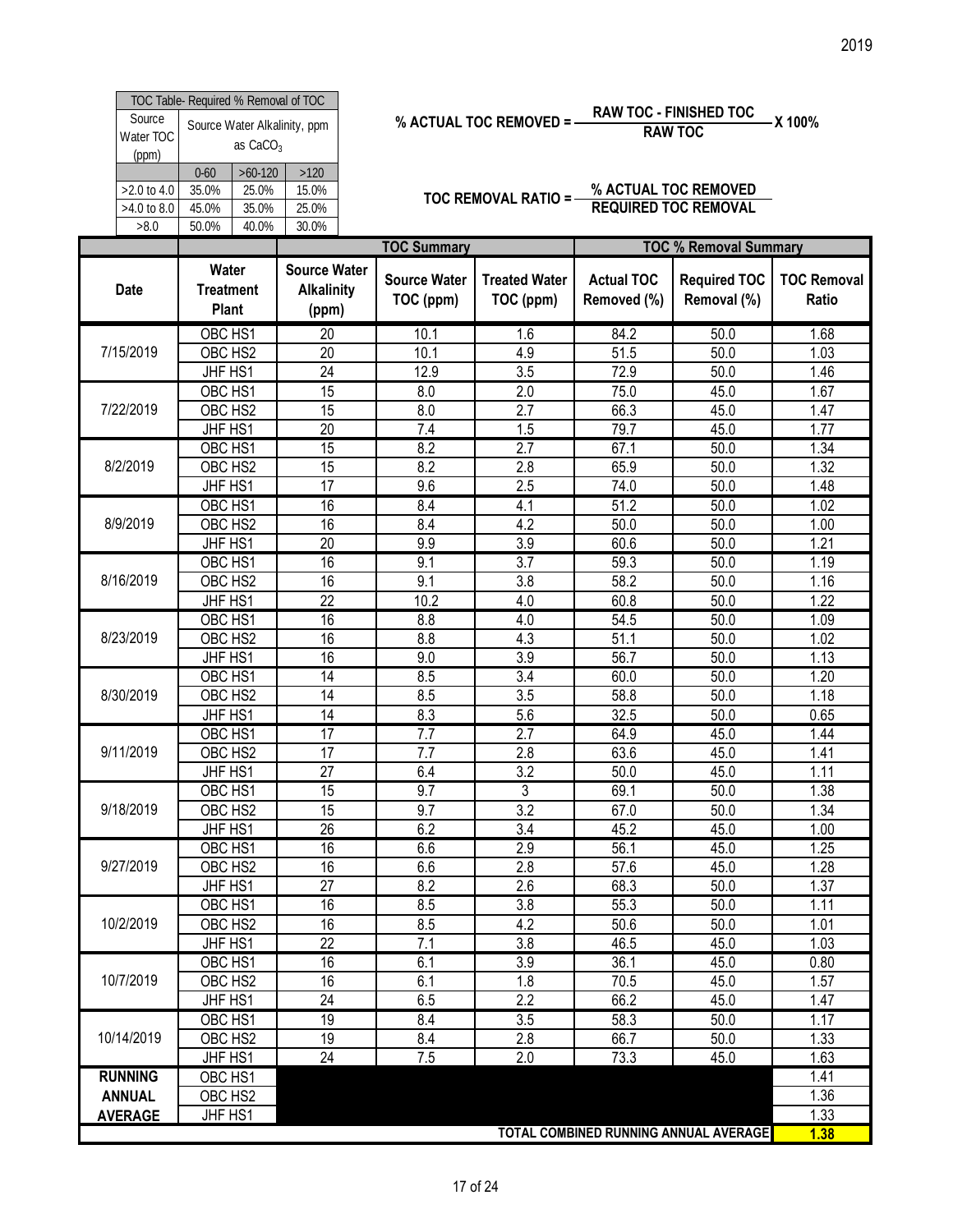|                                                                                      |                                  | TOC Table- Required % Removal of TOC |       |  |  |  |  |  |  |  |  |
|--------------------------------------------------------------------------------------|----------------------------------|--------------------------------------|-------|--|--|--|--|--|--|--|--|
| Source<br>Source Water Alkalinity, ppm<br>Water TOC<br>as CaCO <sub>3</sub><br>(ppm) |                                  |                                      |       |  |  |  |  |  |  |  |  |
|                                                                                      | $0 - 60$                         | $>60-120$                            | >120  |  |  |  |  |  |  |  |  |
| $>2.0$ to 4.0                                                                        | 35.0%                            | 25.0%                                | 15.0% |  |  |  |  |  |  |  |  |
| >4.0 to 8.0                                                                          | 45.0%                            | 25.0%                                |       |  |  |  |  |  |  |  |  |
| >8.0                                                                                 | 35.0%<br>30.0%<br>40.0%<br>50.0% |                                      |       |  |  |  |  |  |  |  |  |

% ACTUAL TOC REMOVED = 
$$
\frac{RAW\ TOC - FINISHED\ TOC}{RAW\ TOC} = X\ 100\%
$$

| TOC Table- Required % Removal of TOC<br><b>RAW TOC - FINISHED TOC</b><br>Source<br>% ACTUAL TOC REMOVED = -<br>-X 100%<br>Source Water Alkalinity, ppm<br><b>RAW TOC</b><br>Water TOC<br>as CaCO <sub>3</sub><br>(ppm)<br>$>120$<br>$0 - 60$<br>$>60-120$<br>% ACTUAL TOC REMOVED<br>$>2.0$ to 4.0<br>35.0%<br>25.0%<br>15.0%<br>TOC REMOVAL RATIO = -<br><b>REQUIRED TOC REMOVAL</b><br>>4.0 to 8.0<br>45.0%<br>35.0%<br>25.0%<br>>8.0<br>40.0%<br>30.0%<br>50.0%<br><b>TOC Summary</b><br><b>TOC % Removal Summary</b><br><b>Source Water</b><br>Water<br><b>Source Water</b><br><b>Actual TOC</b><br><b>Required TOC</b><br><b>Treated Water</b><br>Date<br><b>Treatment</b><br><b>Alkalinity</b><br>TOC (ppm)<br>TOC (ppm)<br>Removed (%)<br>Removal (%)<br>Ratio<br>Plant<br>(ppm)<br>OBC HS1<br>84.2<br>1.68<br>$\overline{20}$<br>10.1<br>1.6<br>50.0<br>7/15/2019<br>$\overline{20}$<br>OBC HS2<br>10.1<br>4.9<br>51.5<br>1.03<br>50.0<br>24<br>3.5<br>72.9<br>1.46<br>JHF HS1<br>12.9<br>50.0<br>OBC HS1<br>15<br>2.0<br>75.0<br>1.67<br>8.0<br>45.0<br>7/22/2019<br>15<br>OBC HS2<br>2.7<br>66.3<br>8.0<br>45.0<br>1.47<br>20<br>JHF HS1<br>7.4<br>1.5<br>79.7<br>45.0<br>1.77<br>OBC HS1<br>15<br>8.2<br>2.7<br>67.1<br>1.34<br>50.0<br>8/2/2019<br>15<br>OBC HS2<br>8.2<br>65.9<br>1.32<br>2.8<br>50.0<br>$\overline{17}$<br>9.6<br>74.0<br>JHF HS1<br>2.5<br>50.0<br>1.48<br>16<br>51.2<br>OBC HS1<br>8.4<br>4.1<br>50.0<br>1.02<br>8/9/2019<br>OBC HS2<br>16<br>8.4<br>4.2<br>50.0<br>50.0<br>1.00<br>$\overline{20}$<br>9.9<br>JHF HS1<br>3.9<br>60.6<br>50.0<br>1.21<br>16<br>9.1<br>3.7<br>59.3<br>50.0<br>OBC HS1<br>1.19<br>8/16/2019<br>16<br>3.8<br>58.2<br>OBC HS2<br>9.1<br>1.16<br>50.0<br>$\overline{22}$<br>JHF HS1<br>10.2<br>4.0<br>60.8<br>1.22<br>50.0<br>OBC HS1<br>16<br>54.5<br>1.09<br>8.8<br>4.0<br>50.0<br>8/23/2019<br>OBC HS2<br>16<br>8.8<br>4.3<br>51.1<br>50.0<br>1.02<br>16<br>3.9<br>56.7<br>JHF HS1<br>9.0<br>50.0<br>1.13<br>8.5<br>3.4<br>OBC HS1<br>$\overline{14}$<br>60.0<br>1.20<br>50.0<br>OBC HS2<br>8.5<br>3.5<br>58.8<br>8/30/2019<br>14<br>50.0<br>1.18<br>14<br>8.3<br>32.5<br>JHF HS1<br>5.6<br>50.0<br>0.65<br>17<br>7.7<br>2.7<br>OBC HS1<br>64.9<br>45.0<br>1.44<br>OBC HS2<br>$\overline{17}$<br>9/11/2019<br>7.7<br>63.6<br>1.41<br>2.8<br>45.0<br>JHF HS1<br>$\overline{27}$<br>6.4<br>1.11<br>3.2<br>50.0<br>45.0<br>$\overline{3}$<br>15<br>OBC HS1<br>9.7<br>69.1<br>1.38<br>50.0<br>9/18/2019<br>OBC HS2<br>15<br>$\overline{3.2}$<br>9.7<br>67.0<br>1.34<br>50.0<br>$\overline{26}$<br>6.2<br>3.4<br>JHF HS1<br>45.2<br>45.0<br>1.00<br>OBC HS1<br>16<br>6.6<br>2.9<br>56.1<br>1.25<br>45.0<br>16<br>9/27/2019<br>OBC HS2<br>6.6<br>2.8<br>57.6<br>45.0<br>1.28<br>27<br>8.2<br>JHF HS1<br>2.6<br>68.3<br>50.0<br>1.37<br>55.3<br>OBC HS1<br>16<br>8.5<br>3.8<br>50.0<br>1.11<br>10/2/2019<br>16<br>8.5<br>4.2<br>OBC HS2<br>50.6<br>50.0<br>1.01<br>22<br>7.1<br>3.8<br>46.5<br>1.03<br>JHF HS1<br>45.0<br>16<br>3.9<br>OBC HS1<br>6.1<br>36.1<br>45.0<br>0.80<br>10/7/2019<br>OBC HS2<br>16<br>1.57<br>6.1<br>1.8<br>70.5<br>45.0<br>JHF HS1<br>24<br>6.5<br>2.2<br>66.2<br>45.0<br>1.47<br>19<br>OBC HS1<br>8.4<br>$\overline{3.5}$<br>58.3<br>50.0<br>1.17<br>10/14/2019<br>19<br>OBC HS2<br>8.4<br>2.8<br>66.7<br>1.33<br>50.0<br>24<br>JHF HS1<br>7.5<br>2.0<br>73.3<br>45.0<br>1.63<br>1.41<br><b>RUNNING</b><br>OBC HS1<br>1.36<br><b>ANNUAL</b><br>OBC HS2<br>JHF HS1<br>1.33<br><b>AVERAGE</b> |  |  |  |  |                    |
|------------------------------------------------------------------------------------------------------------------------------------------------------------------------------------------------------------------------------------------------------------------------------------------------------------------------------------------------------------------------------------------------------------------------------------------------------------------------------------------------------------------------------------------------------------------------------------------------------------------------------------------------------------------------------------------------------------------------------------------------------------------------------------------------------------------------------------------------------------------------------------------------------------------------------------------------------------------------------------------------------------------------------------------------------------------------------------------------------------------------------------------------------------------------------------------------------------------------------------------------------------------------------------------------------------------------------------------------------------------------------------------------------------------------------------------------------------------------------------------------------------------------------------------------------------------------------------------------------------------------------------------------------------------------------------------------------------------------------------------------------------------------------------------------------------------------------------------------------------------------------------------------------------------------------------------------------------------------------------------------------------------------------------------------------------------------------------------------------------------------------------------------------------------------------------------------------------------------------------------------------------------------------------------------------------------------------------------------------------------------------------------------------------------------------------------------------------------------------------------------------------------------------------------------------------------------------------------------------------------------------------------------------------------------------------------------------------------------------------------------------------------------------------------------------------------------------------------------------------------------------------------------------------------------------------------------------------------------------------------------------------------------------------------------------------------------------------------------------------------------------------------------------------------------------------------------------------------------------------------------------------------------------------------------------------------------------------------------------------------------------------------------------------------------------------------------------------------------------|--|--|--|--|--------------------|
|                                                                                                                                                                                                                                                                                                                                                                                                                                                                                                                                                                                                                                                                                                                                                                                                                                                                                                                                                                                                                                                                                                                                                                                                                                                                                                                                                                                                                                                                                                                                                                                                                                                                                                                                                                                                                                                                                                                                                                                                                                                                                                                                                                                                                                                                                                                                                                                                                                                                                                                                                                                                                                                                                                                                                                                                                                                                                                                                                                                                                                                                                                                                                                                                                                                                                                                                                                                                                                                                              |  |  |  |  |                    |
|                                                                                                                                                                                                                                                                                                                                                                                                                                                                                                                                                                                                                                                                                                                                                                                                                                                                                                                                                                                                                                                                                                                                                                                                                                                                                                                                                                                                                                                                                                                                                                                                                                                                                                                                                                                                                                                                                                                                                                                                                                                                                                                                                                                                                                                                                                                                                                                                                                                                                                                                                                                                                                                                                                                                                                                                                                                                                                                                                                                                                                                                                                                                                                                                                                                                                                                                                                                                                                                                              |  |  |  |  |                    |
|                                                                                                                                                                                                                                                                                                                                                                                                                                                                                                                                                                                                                                                                                                                                                                                                                                                                                                                                                                                                                                                                                                                                                                                                                                                                                                                                                                                                                                                                                                                                                                                                                                                                                                                                                                                                                                                                                                                                                                                                                                                                                                                                                                                                                                                                                                                                                                                                                                                                                                                                                                                                                                                                                                                                                                                                                                                                                                                                                                                                                                                                                                                                                                                                                                                                                                                                                                                                                                                                              |  |  |  |  |                    |
|                                                                                                                                                                                                                                                                                                                                                                                                                                                                                                                                                                                                                                                                                                                                                                                                                                                                                                                                                                                                                                                                                                                                                                                                                                                                                                                                                                                                                                                                                                                                                                                                                                                                                                                                                                                                                                                                                                                                                                                                                                                                                                                                                                                                                                                                                                                                                                                                                                                                                                                                                                                                                                                                                                                                                                                                                                                                                                                                                                                                                                                                                                                                                                                                                                                                                                                                                                                                                                                                              |  |  |  |  |                    |
|                                                                                                                                                                                                                                                                                                                                                                                                                                                                                                                                                                                                                                                                                                                                                                                                                                                                                                                                                                                                                                                                                                                                                                                                                                                                                                                                                                                                                                                                                                                                                                                                                                                                                                                                                                                                                                                                                                                                                                                                                                                                                                                                                                                                                                                                                                                                                                                                                                                                                                                                                                                                                                                                                                                                                                                                                                                                                                                                                                                                                                                                                                                                                                                                                                                                                                                                                                                                                                                                              |  |  |  |  |                    |
|                                                                                                                                                                                                                                                                                                                                                                                                                                                                                                                                                                                                                                                                                                                                                                                                                                                                                                                                                                                                                                                                                                                                                                                                                                                                                                                                                                                                                                                                                                                                                                                                                                                                                                                                                                                                                                                                                                                                                                                                                                                                                                                                                                                                                                                                                                                                                                                                                                                                                                                                                                                                                                                                                                                                                                                                                                                                                                                                                                                                                                                                                                                                                                                                                                                                                                                                                                                                                                                                              |  |  |  |  |                    |
|                                                                                                                                                                                                                                                                                                                                                                                                                                                                                                                                                                                                                                                                                                                                                                                                                                                                                                                                                                                                                                                                                                                                                                                                                                                                                                                                                                                                                                                                                                                                                                                                                                                                                                                                                                                                                                                                                                                                                                                                                                                                                                                                                                                                                                                                                                                                                                                                                                                                                                                                                                                                                                                                                                                                                                                                                                                                                                                                                                                                                                                                                                                                                                                                                                                                                                                                                                                                                                                                              |  |  |  |  |                    |
|                                                                                                                                                                                                                                                                                                                                                                                                                                                                                                                                                                                                                                                                                                                                                                                                                                                                                                                                                                                                                                                                                                                                                                                                                                                                                                                                                                                                                                                                                                                                                                                                                                                                                                                                                                                                                                                                                                                                                                                                                                                                                                                                                                                                                                                                                                                                                                                                                                                                                                                                                                                                                                                                                                                                                                                                                                                                                                                                                                                                                                                                                                                                                                                                                                                                                                                                                                                                                                                                              |  |  |  |  |                    |
|                                                                                                                                                                                                                                                                                                                                                                                                                                                                                                                                                                                                                                                                                                                                                                                                                                                                                                                                                                                                                                                                                                                                                                                                                                                                                                                                                                                                                                                                                                                                                                                                                                                                                                                                                                                                                                                                                                                                                                                                                                                                                                                                                                                                                                                                                                                                                                                                                                                                                                                                                                                                                                                                                                                                                                                                                                                                                                                                                                                                                                                                                                                                                                                                                                                                                                                                                                                                                                                                              |  |  |  |  |                    |
|                                                                                                                                                                                                                                                                                                                                                                                                                                                                                                                                                                                                                                                                                                                                                                                                                                                                                                                                                                                                                                                                                                                                                                                                                                                                                                                                                                                                                                                                                                                                                                                                                                                                                                                                                                                                                                                                                                                                                                                                                                                                                                                                                                                                                                                                                                                                                                                                                                                                                                                                                                                                                                                                                                                                                                                                                                                                                                                                                                                                                                                                                                                                                                                                                                                                                                                                                                                                                                                                              |  |  |  |  |                    |
|                                                                                                                                                                                                                                                                                                                                                                                                                                                                                                                                                                                                                                                                                                                                                                                                                                                                                                                                                                                                                                                                                                                                                                                                                                                                                                                                                                                                                                                                                                                                                                                                                                                                                                                                                                                                                                                                                                                                                                                                                                                                                                                                                                                                                                                                                                                                                                                                                                                                                                                                                                                                                                                                                                                                                                                                                                                                                                                                                                                                                                                                                                                                                                                                                                                                                                                                                                                                                                                                              |  |  |  |  |                    |
|                                                                                                                                                                                                                                                                                                                                                                                                                                                                                                                                                                                                                                                                                                                                                                                                                                                                                                                                                                                                                                                                                                                                                                                                                                                                                                                                                                                                                                                                                                                                                                                                                                                                                                                                                                                                                                                                                                                                                                                                                                                                                                                                                                                                                                                                                                                                                                                                                                                                                                                                                                                                                                                                                                                                                                                                                                                                                                                                                                                                                                                                                                                                                                                                                                                                                                                                                                                                                                                                              |  |  |  |  |                    |
|                                                                                                                                                                                                                                                                                                                                                                                                                                                                                                                                                                                                                                                                                                                                                                                                                                                                                                                                                                                                                                                                                                                                                                                                                                                                                                                                                                                                                                                                                                                                                                                                                                                                                                                                                                                                                                                                                                                                                                                                                                                                                                                                                                                                                                                                                                                                                                                                                                                                                                                                                                                                                                                                                                                                                                                                                                                                                                                                                                                                                                                                                                                                                                                                                                                                                                                                                                                                                                                                              |  |  |  |  |                    |
|                                                                                                                                                                                                                                                                                                                                                                                                                                                                                                                                                                                                                                                                                                                                                                                                                                                                                                                                                                                                                                                                                                                                                                                                                                                                                                                                                                                                                                                                                                                                                                                                                                                                                                                                                                                                                                                                                                                                                                                                                                                                                                                                                                                                                                                                                                                                                                                                                                                                                                                                                                                                                                                                                                                                                                                                                                                                                                                                                                                                                                                                                                                                                                                                                                                                                                                                                                                                                                                                              |  |  |  |  |                    |
|                                                                                                                                                                                                                                                                                                                                                                                                                                                                                                                                                                                                                                                                                                                                                                                                                                                                                                                                                                                                                                                                                                                                                                                                                                                                                                                                                                                                                                                                                                                                                                                                                                                                                                                                                                                                                                                                                                                                                                                                                                                                                                                                                                                                                                                                                                                                                                                                                                                                                                                                                                                                                                                                                                                                                                                                                                                                                                                                                                                                                                                                                                                                                                                                                                                                                                                                                                                                                                                                              |  |  |  |  |                    |
|                                                                                                                                                                                                                                                                                                                                                                                                                                                                                                                                                                                                                                                                                                                                                                                                                                                                                                                                                                                                                                                                                                                                                                                                                                                                                                                                                                                                                                                                                                                                                                                                                                                                                                                                                                                                                                                                                                                                                                                                                                                                                                                                                                                                                                                                                                                                                                                                                                                                                                                                                                                                                                                                                                                                                                                                                                                                                                                                                                                                                                                                                                                                                                                                                                                                                                                                                                                                                                                                              |  |  |  |  |                    |
|                                                                                                                                                                                                                                                                                                                                                                                                                                                                                                                                                                                                                                                                                                                                                                                                                                                                                                                                                                                                                                                                                                                                                                                                                                                                                                                                                                                                                                                                                                                                                                                                                                                                                                                                                                                                                                                                                                                                                                                                                                                                                                                                                                                                                                                                                                                                                                                                                                                                                                                                                                                                                                                                                                                                                                                                                                                                                                                                                                                                                                                                                                                                                                                                                                                                                                                                                                                                                                                                              |  |  |  |  |                    |
|                                                                                                                                                                                                                                                                                                                                                                                                                                                                                                                                                                                                                                                                                                                                                                                                                                                                                                                                                                                                                                                                                                                                                                                                                                                                                                                                                                                                                                                                                                                                                                                                                                                                                                                                                                                                                                                                                                                                                                                                                                                                                                                                                                                                                                                                                                                                                                                                                                                                                                                                                                                                                                                                                                                                                                                                                                                                                                                                                                                                                                                                                                                                                                                                                                                                                                                                                                                                                                                                              |  |  |  |  |                    |
|                                                                                                                                                                                                                                                                                                                                                                                                                                                                                                                                                                                                                                                                                                                                                                                                                                                                                                                                                                                                                                                                                                                                                                                                                                                                                                                                                                                                                                                                                                                                                                                                                                                                                                                                                                                                                                                                                                                                                                                                                                                                                                                                                                                                                                                                                                                                                                                                                                                                                                                                                                                                                                                                                                                                                                                                                                                                                                                                                                                                                                                                                                                                                                                                                                                                                                                                                                                                                                                                              |  |  |  |  |                    |
|                                                                                                                                                                                                                                                                                                                                                                                                                                                                                                                                                                                                                                                                                                                                                                                                                                                                                                                                                                                                                                                                                                                                                                                                                                                                                                                                                                                                                                                                                                                                                                                                                                                                                                                                                                                                                                                                                                                                                                                                                                                                                                                                                                                                                                                                                                                                                                                                                                                                                                                                                                                                                                                                                                                                                                                                                                                                                                                                                                                                                                                                                                                                                                                                                                                                                                                                                                                                                                                                              |  |  |  |  |                    |
|                                                                                                                                                                                                                                                                                                                                                                                                                                                                                                                                                                                                                                                                                                                                                                                                                                                                                                                                                                                                                                                                                                                                                                                                                                                                                                                                                                                                                                                                                                                                                                                                                                                                                                                                                                                                                                                                                                                                                                                                                                                                                                                                                                                                                                                                                                                                                                                                                                                                                                                                                                                                                                                                                                                                                                                                                                                                                                                                                                                                                                                                                                                                                                                                                                                                                                                                                                                                                                                                              |  |  |  |  |                    |
|                                                                                                                                                                                                                                                                                                                                                                                                                                                                                                                                                                                                                                                                                                                                                                                                                                                                                                                                                                                                                                                                                                                                                                                                                                                                                                                                                                                                                                                                                                                                                                                                                                                                                                                                                                                                                                                                                                                                                                                                                                                                                                                                                                                                                                                                                                                                                                                                                                                                                                                                                                                                                                                                                                                                                                                                                                                                                                                                                                                                                                                                                                                                                                                                                                                                                                                                                                                                                                                                              |  |  |  |  |                    |
|                                                                                                                                                                                                                                                                                                                                                                                                                                                                                                                                                                                                                                                                                                                                                                                                                                                                                                                                                                                                                                                                                                                                                                                                                                                                                                                                                                                                                                                                                                                                                                                                                                                                                                                                                                                                                                                                                                                                                                                                                                                                                                                                                                                                                                                                                                                                                                                                                                                                                                                                                                                                                                                                                                                                                                                                                                                                                                                                                                                                                                                                                                                                                                                                                                                                                                                                                                                                                                                                              |  |  |  |  |                    |
|                                                                                                                                                                                                                                                                                                                                                                                                                                                                                                                                                                                                                                                                                                                                                                                                                                                                                                                                                                                                                                                                                                                                                                                                                                                                                                                                                                                                                                                                                                                                                                                                                                                                                                                                                                                                                                                                                                                                                                                                                                                                                                                                                                                                                                                                                                                                                                                                                                                                                                                                                                                                                                                                                                                                                                                                                                                                                                                                                                                                                                                                                                                                                                                                                                                                                                                                                                                                                                                                              |  |  |  |  | 2019               |
|                                                                                                                                                                                                                                                                                                                                                                                                                                                                                                                                                                                                                                                                                                                                                                                                                                                                                                                                                                                                                                                                                                                                                                                                                                                                                                                                                                                                                                                                                                                                                                                                                                                                                                                                                                                                                                                                                                                                                                                                                                                                                                                                                                                                                                                                                                                                                                                                                                                                                                                                                                                                                                                                                                                                                                                                                                                                                                                                                                                                                                                                                                                                                                                                                                                                                                                                                                                                                                                                              |  |  |  |  |                    |
|                                                                                                                                                                                                                                                                                                                                                                                                                                                                                                                                                                                                                                                                                                                                                                                                                                                                                                                                                                                                                                                                                                                                                                                                                                                                                                                                                                                                                                                                                                                                                                                                                                                                                                                                                                                                                                                                                                                                                                                                                                                                                                                                                                                                                                                                                                                                                                                                                                                                                                                                                                                                                                                                                                                                                                                                                                                                                                                                                                                                                                                                                                                                                                                                                                                                                                                                                                                                                                                                              |  |  |  |  |                    |
|                                                                                                                                                                                                                                                                                                                                                                                                                                                                                                                                                                                                                                                                                                                                                                                                                                                                                                                                                                                                                                                                                                                                                                                                                                                                                                                                                                                                                                                                                                                                                                                                                                                                                                                                                                                                                                                                                                                                                                                                                                                                                                                                                                                                                                                                                                                                                                                                                                                                                                                                                                                                                                                                                                                                                                                                                                                                                                                                                                                                                                                                                                                                                                                                                                                                                                                                                                                                                                                                              |  |  |  |  | <b>TOC Removal</b> |
|                                                                                                                                                                                                                                                                                                                                                                                                                                                                                                                                                                                                                                                                                                                                                                                                                                                                                                                                                                                                                                                                                                                                                                                                                                                                                                                                                                                                                                                                                                                                                                                                                                                                                                                                                                                                                                                                                                                                                                                                                                                                                                                                                                                                                                                                                                                                                                                                                                                                                                                                                                                                                                                                                                                                                                                                                                                                                                                                                                                                                                                                                                                                                                                                                                                                                                                                                                                                                                                                              |  |  |  |  |                    |
|                                                                                                                                                                                                                                                                                                                                                                                                                                                                                                                                                                                                                                                                                                                                                                                                                                                                                                                                                                                                                                                                                                                                                                                                                                                                                                                                                                                                                                                                                                                                                                                                                                                                                                                                                                                                                                                                                                                                                                                                                                                                                                                                                                                                                                                                                                                                                                                                                                                                                                                                                                                                                                                                                                                                                                                                                                                                                                                                                                                                                                                                                                                                                                                                                                                                                                                                                                                                                                                                              |  |  |  |  |                    |
|                                                                                                                                                                                                                                                                                                                                                                                                                                                                                                                                                                                                                                                                                                                                                                                                                                                                                                                                                                                                                                                                                                                                                                                                                                                                                                                                                                                                                                                                                                                                                                                                                                                                                                                                                                                                                                                                                                                                                                                                                                                                                                                                                                                                                                                                                                                                                                                                                                                                                                                                                                                                                                                                                                                                                                                                                                                                                                                                                                                                                                                                                                                                                                                                                                                                                                                                                                                                                                                                              |  |  |  |  |                    |
|                                                                                                                                                                                                                                                                                                                                                                                                                                                                                                                                                                                                                                                                                                                                                                                                                                                                                                                                                                                                                                                                                                                                                                                                                                                                                                                                                                                                                                                                                                                                                                                                                                                                                                                                                                                                                                                                                                                                                                                                                                                                                                                                                                                                                                                                                                                                                                                                                                                                                                                                                                                                                                                                                                                                                                                                                                                                                                                                                                                                                                                                                                                                                                                                                                                                                                                                                                                                                                                                              |  |  |  |  |                    |
|                                                                                                                                                                                                                                                                                                                                                                                                                                                                                                                                                                                                                                                                                                                                                                                                                                                                                                                                                                                                                                                                                                                                                                                                                                                                                                                                                                                                                                                                                                                                                                                                                                                                                                                                                                                                                                                                                                                                                                                                                                                                                                                                                                                                                                                                                                                                                                                                                                                                                                                                                                                                                                                                                                                                                                                                                                                                                                                                                                                                                                                                                                                                                                                                                                                                                                                                                                                                                                                                              |  |  |  |  |                    |
|                                                                                                                                                                                                                                                                                                                                                                                                                                                                                                                                                                                                                                                                                                                                                                                                                                                                                                                                                                                                                                                                                                                                                                                                                                                                                                                                                                                                                                                                                                                                                                                                                                                                                                                                                                                                                                                                                                                                                                                                                                                                                                                                                                                                                                                                                                                                                                                                                                                                                                                                                                                                                                                                                                                                                                                                                                                                                                                                                                                                                                                                                                                                                                                                                                                                                                                                                                                                                                                                              |  |  |  |  |                    |
|                                                                                                                                                                                                                                                                                                                                                                                                                                                                                                                                                                                                                                                                                                                                                                                                                                                                                                                                                                                                                                                                                                                                                                                                                                                                                                                                                                                                                                                                                                                                                                                                                                                                                                                                                                                                                                                                                                                                                                                                                                                                                                                                                                                                                                                                                                                                                                                                                                                                                                                                                                                                                                                                                                                                                                                                                                                                                                                                                                                                                                                                                                                                                                                                                                                                                                                                                                                                                                                                              |  |  |  |  |                    |
|                                                                                                                                                                                                                                                                                                                                                                                                                                                                                                                                                                                                                                                                                                                                                                                                                                                                                                                                                                                                                                                                                                                                                                                                                                                                                                                                                                                                                                                                                                                                                                                                                                                                                                                                                                                                                                                                                                                                                                                                                                                                                                                                                                                                                                                                                                                                                                                                                                                                                                                                                                                                                                                                                                                                                                                                                                                                                                                                                                                                                                                                                                                                                                                                                                                                                                                                                                                                                                                                              |  |  |  |  |                    |
|                                                                                                                                                                                                                                                                                                                                                                                                                                                                                                                                                                                                                                                                                                                                                                                                                                                                                                                                                                                                                                                                                                                                                                                                                                                                                                                                                                                                                                                                                                                                                                                                                                                                                                                                                                                                                                                                                                                                                                                                                                                                                                                                                                                                                                                                                                                                                                                                                                                                                                                                                                                                                                                                                                                                                                                                                                                                                                                                                                                                                                                                                                                                                                                                                                                                                                                                                                                                                                                                              |  |  |  |  |                    |
|                                                                                                                                                                                                                                                                                                                                                                                                                                                                                                                                                                                                                                                                                                                                                                                                                                                                                                                                                                                                                                                                                                                                                                                                                                                                                                                                                                                                                                                                                                                                                                                                                                                                                                                                                                                                                                                                                                                                                                                                                                                                                                                                                                                                                                                                                                                                                                                                                                                                                                                                                                                                                                                                                                                                                                                                                                                                                                                                                                                                                                                                                                                                                                                                                                                                                                                                                                                                                                                                              |  |  |  |  |                    |
|                                                                                                                                                                                                                                                                                                                                                                                                                                                                                                                                                                                                                                                                                                                                                                                                                                                                                                                                                                                                                                                                                                                                                                                                                                                                                                                                                                                                                                                                                                                                                                                                                                                                                                                                                                                                                                                                                                                                                                                                                                                                                                                                                                                                                                                                                                                                                                                                                                                                                                                                                                                                                                                                                                                                                                                                                                                                                                                                                                                                                                                                                                                                                                                                                                                                                                                                                                                                                                                                              |  |  |  |  |                    |
|                                                                                                                                                                                                                                                                                                                                                                                                                                                                                                                                                                                                                                                                                                                                                                                                                                                                                                                                                                                                                                                                                                                                                                                                                                                                                                                                                                                                                                                                                                                                                                                                                                                                                                                                                                                                                                                                                                                                                                                                                                                                                                                                                                                                                                                                                                                                                                                                                                                                                                                                                                                                                                                                                                                                                                                                                                                                                                                                                                                                                                                                                                                                                                                                                                                                                                                                                                                                                                                                              |  |  |  |  |                    |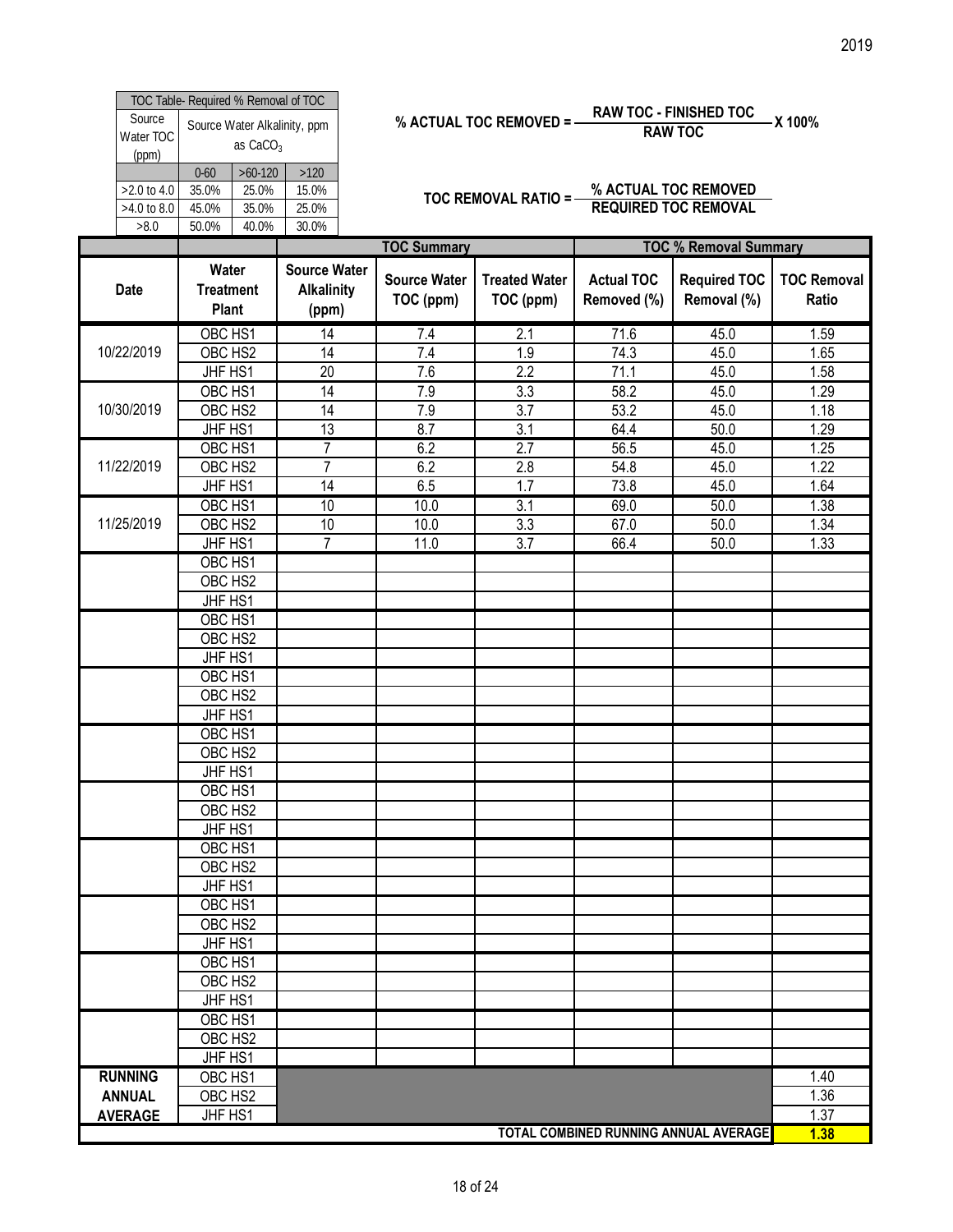|                              |                                            | TOC Table- Required % Removal of TOC |       |  |  |  |  |  |  |
|------------------------------|--------------------------------------------|--------------------------------------|-------|--|--|--|--|--|--|
| Source<br>Water TOC<br>(ppm) | Source Water Alkalinity, ppm<br>as $CaCO3$ |                                      |       |  |  |  |  |  |  |
|                              | $0 - 60$                                   | $>60-120$                            | >120  |  |  |  |  |  |  |
| $>2.0$ to 4.0                | 35.0%                                      | 25.0%                                | 15.0% |  |  |  |  |  |  |
| >4.0 to 8.0                  | 45.0%                                      | 35.0%                                | 25.0% |  |  |  |  |  |  |
| >8.0                         | 50.0%                                      | 40.0%                                | 30.0% |  |  |  |  |  |  |

% ACTUAL TOC REMOVED = 
$$
\frac{RAW\ TOC - FINISHED\ TOC}{RAW\ TOC} = X\ 100\%
$$

|                                               |                                                                                    |                                                         |                                                               |                                          |                                          |                                                                            | 2019                                 |
|-----------------------------------------------|------------------------------------------------------------------------------------|---------------------------------------------------------|---------------------------------------------------------------|------------------------------------------|------------------------------------------|----------------------------------------------------------------------------|--------------------------------------|
| Source<br>Water TOC                           | TOC Table- Required % Removal of TOC<br>Source Water Alkalinity, ppm<br>as $CaCO3$ |                                                         |                                                               | % ACTUAL TOC REMOVED = -                 |                                          | <b>RAW TOC - FINISHED TOC</b><br><b>RAW TOC</b>                            | -X 100%                              |
| (ppm)<br>>2.0 to 4.0<br>$>4.0$ to 8.0<br>>8.0 | $>60-120$<br>$0 - 60$<br>25.0%<br>35.0%<br>45.0%<br>35.0%<br>40.0%<br>50.0%        | $>120$<br>15.0%<br>25.0%<br>30.0%                       |                                                               | TOC REMOVAL RATIO = -                    |                                          | % ACTUAL TOC REMOVED<br><b>REQUIRED TOC REMOVAL</b>                        |                                      |
| Date                                          | Water<br><b>Treatment</b><br>Plant<br>OBC HS1                                      | <b>Source Water</b><br><b>Alkalinity</b><br>(ppm)<br>14 | <b>TOC Summary</b><br><b>Source Water</b><br>TOC (ppm)<br>7.4 | <b>Treated Water</b><br>TOC (ppm)<br>2.1 | <b>Actual TOC</b><br>Removed (%)<br>71.6 | <b>TOC % Removal Summary</b><br><b>Required TOC</b><br>Removal (%)<br>45.0 | <b>TOC Removal</b><br>Ratio<br>1.59  |
| 10/22/2019<br>10/30/2019                      | OBC HS2<br>JHF HS1<br>OBC HS1<br>OBC HS2<br>JHF HS1                                | $\overline{14}$<br>20<br>14<br>$\overline{14}$<br>13    | 7.4<br>7.6<br>7.9<br>7.9<br>8.7                               | 1.9<br>2.2<br>3.3<br>3.7<br>3.1          | 74.3<br>71.1<br>58.2<br>53.2<br>64.4     | 45.0<br>45.0<br>45.0<br>45.0<br>50.0                                       | 1.65<br>1.58<br>1.29<br>1.18<br>1.29 |
| 11/22/2019                                    | OBC HS1<br>OBC HS2<br>JHF HS1<br>OBC HS1                                           | $\overline{7}$<br>$\overline{7}$<br>14<br>10            | 6.2<br>6.2<br>6.5<br>10.0                                     | 2.7<br>$2.8\,$<br>1.7<br>3.1             | 56.5<br>54.8<br>73.8<br>69.0             | 45.0<br>45.0<br>45.0<br>50.0                                               | 1.25<br>1.22<br>1.64<br>1.38         |
| 11/25/2019                                    | OBC HS2<br>JHF HS1<br>OBC HS1<br>OBC HS2<br>JHF HS1                                | 10<br>$\overline{7}$                                    | 10.0<br>11.0                                                  | 3.3<br>3.7                               | 67.0<br>66.4                             | 50.0<br>50.0                                                               | 1.34<br>1.33                         |
|                                               | OBC HS1<br>OBC HS2<br>JHF HS1<br>OBC HS1<br>OBC HS2                                |                                                         |                                                               |                                          |                                          |                                                                            |                                      |
|                                               | JHF HS1<br>OBC HS1<br>OBC HS2<br>JHF HS1<br>OBC HS1                                |                                                         |                                                               |                                          |                                          |                                                                            |                                      |
|                                               | OBC HS2<br>JHF HS1<br>OBC HS1<br>OBC HS2<br>JHF HS1                                |                                                         |                                                               |                                          |                                          |                                                                            |                                      |
|                                               | OBC HS1<br>OBC HS2<br>JHF HS1<br>OBC HS1                                           |                                                         |                                                               |                                          |                                          |                                                                            |                                      |
|                                               | OBC HS2<br>JHF HS1<br>OBC HS1<br>OBC HS2<br>JHF HS1                                |                                                         |                                                               |                                          |                                          |                                                                            |                                      |
| <b>RUNNING</b><br><b>ANNUAL</b>               | OBC HS1<br>OBC HS2<br>JHF HS1                                                      |                                                         |                                                               |                                          |                                          |                                                                            | 1.40<br>1.36<br>1.37                 |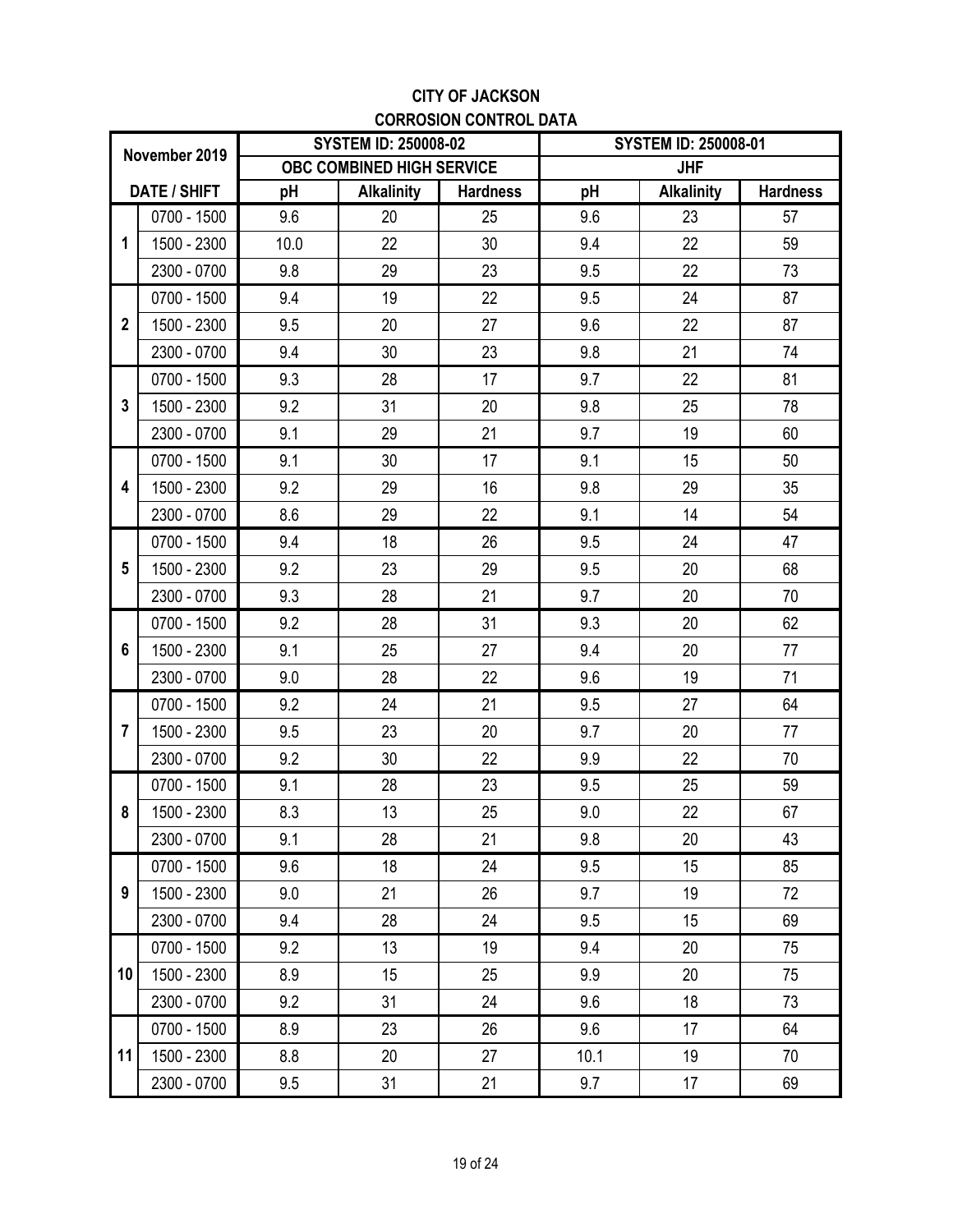## **CITY OF JACKSON CORROSION CONTROL DATA**

|                |               |      | <b>SYSTEM ID: 250008-02</b> |                 |      | <b>SYSTEM ID: 250008-01</b> |                 |
|----------------|---------------|------|-----------------------------|-----------------|------|-----------------------------|-----------------|
|                | November 2019 |      | OBC COMBINED HIGH SERVICE   |                 |      | <b>JHF</b>                  |                 |
|                | DATE / SHIFT  | pH   | <b>Alkalinity</b>           | <b>Hardness</b> | pH   | <b>Alkalinity</b>           | <b>Hardness</b> |
|                | 0700 - 1500   | 9.6  | 20                          | 25              | 9.6  | 23                          | 57              |
| 1              | 1500 - 2300   | 10.0 | 22                          | 30              | 9.4  | 22                          | 59              |
|                | 2300 - 0700   | 9.8  | 29                          | 23              | 9.5  | 22                          | 73              |
|                | 0700 - 1500   | 9.4  | 19                          | 22              | 9.5  | 24                          | 87              |
| $\overline{2}$ | 1500 - 2300   | 9.5  | 20                          | 27              | 9.6  | 22                          | 87              |
|                | 2300 - 0700   | 9.4  | 30                          | 23              | 9.8  | 21                          | 74              |
|                | 0700 - 1500   | 9.3  | 28                          | 17              | 9.7  | 22                          | 81              |
| 3              | 1500 - 2300   | 9.2  | 31                          | 20              | 9.8  | 25                          | 78              |
|                | 2300 - 0700   | 9.1  | 29                          | 21              | 9.7  | 19                          | 60              |
|                | 0700 - 1500   | 9.1  | 30                          | 17              | 9.1  | 15                          | 50              |
| 4              | 1500 - 2300   | 9.2  | 29                          | 16              | 9.8  | 29                          | 35              |
|                | 2300 - 0700   | 8.6  | 29                          | 22              | 9.1  | 14                          | 54              |
|                | 0700 - 1500   | 9.4  | 18                          | 26              | 9.5  | 24                          | 47              |
| 5              | 1500 - 2300   | 9.2  | 23                          | 29              | 9.5  | 20                          | 68              |
|                | 2300 - 0700   | 9.3  | 28                          | 21              | 9.7  | 20                          | 70              |
|                | 0700 - 1500   | 9.2  | 28                          | 31              | 9.3  | 20                          | 62              |
| 6              | 1500 - 2300   | 9.1  | 25                          | 27              | 9.4  | 20                          | 77              |
|                | 2300 - 0700   | 9.0  | 28                          | 22              | 9.6  | 19                          | 71              |
|                | 0700 - 1500   | 9.2  | 24                          | 21              | 9.5  | 27                          | 64              |
| $\overline{7}$ | 1500 - 2300   | 9.5  | 23                          | 20              | 9.7  | 20                          | 77              |
|                | 2300 - 0700   | 9.2  | 30                          | 22              | 9.9  | 22                          | 70              |
|                | 0700 - 1500   | 9.1  | 28                          | 23              | 9.5  | 25                          | 59              |
| 8              | 1500 - 2300   | 8.3  | 13                          | 25              | 9.0  | 22                          | 67              |
|                | 2300 - 0700   | 9.1  | 28                          | 21              | 9.8  | 20                          | 43              |
|                | 0700 - 1500   | 9.6  | 18                          | 24              | 9.5  | 15                          | 85              |
| 9              | 1500 - 2300   | 9.0  | 21                          | 26              | 9.7  | 19                          | 72              |
|                | 2300 - 0700   | 9.4  | 28                          | 24              | 9.5  | 15                          | 69              |
|                | 0700 - 1500   | 9.2  | 13                          | 19              | 9.4  | 20                          | 75              |
| 10             | 1500 - 2300   | 8.9  | 15                          | 25              | 9.9  | 20                          | 75              |
|                | 2300 - 0700   | 9.2  | 31                          | 24              | 9.6  | 18                          | 73              |
|                | 0700 - 1500   | 8.9  | 23                          | 26              | 9.6  | 17                          | 64              |
| 11             | 1500 - 2300   | 8.8  | 20                          | 27              | 10.1 | 19                          | 70              |
|                | 2300 - 0700   | 9.5  | 31                          | 21              | 9.7  | 17                          | 69              |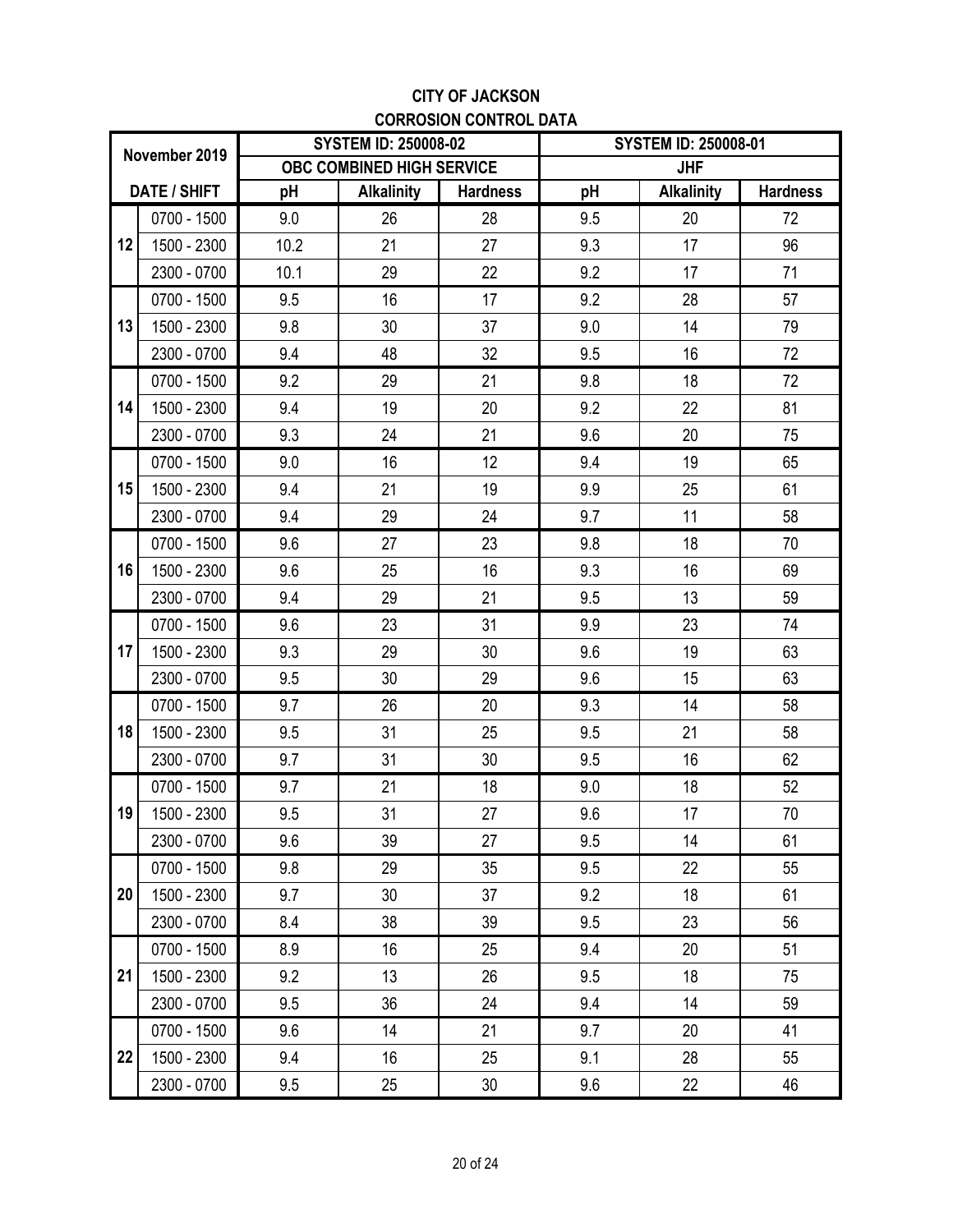## **CITY OF JACKSON CORROSION CONTROL DATA**

|    |                     |      | <b>SYSTEM ID: 250008-02</b> |                 |     | <b>SYSTEM ID: 250008-01</b> |                 |
|----|---------------------|------|-----------------------------|-----------------|-----|-----------------------------|-----------------|
|    | November 2019       |      | OBC COMBINED HIGH SERVICE   |                 |     | <b>JHF</b>                  |                 |
|    | <b>DATE / SHIFT</b> | pH   | <b>Alkalinity</b>           | <b>Hardness</b> | pH  | <b>Alkalinity</b>           | <b>Hardness</b> |
|    | 0700 - 1500         | 9.0  | 26                          | 28              | 9.5 | 20                          | 72              |
| 12 | 1500 - 2300         | 10.2 | 21                          | 27              | 9.3 | 17                          | 96              |
|    | 2300 - 0700         | 10.1 | 29                          | 22              | 9.2 | 17                          | 71              |
|    | 0700 - 1500         | 9.5  | 16                          | 17              | 9.2 | 28                          | 57              |
| 13 | 1500 - 2300         | 9.8  | 30                          | 37              | 9.0 | 14                          | 79              |
|    | 2300 - 0700         | 9.4  | 48                          | 32              | 9.5 | 16                          | 72              |
|    | 0700 - 1500         | 9.2  | 29                          | 21              | 9.8 | 18                          | 72              |
| 14 | 1500 - 2300         | 9.4  | 19                          | 20              | 9.2 | 22                          | 81              |
|    | 2300 - 0700         | 9.3  | 24                          | 21              | 9.6 | 20                          | 75              |
|    | 0700 - 1500         | 9.0  | 16                          | 12              | 9.4 | 19                          | 65              |
| 15 | 1500 - 2300         | 9.4  | 21                          | 19              | 9.9 | 25                          | 61              |
|    | 2300 - 0700         | 9.4  | 29                          | 24              | 9.7 | 11                          | 58              |
|    | 0700 - 1500         | 9.6  | 27                          | 23              | 9.8 | 18                          | 70              |
| 16 | 1500 - 2300         | 9.6  | 25                          | 16              | 9.3 | 16                          | 69              |
|    | 2300 - 0700         | 9.4  | 29                          | 21              | 9.5 | 13                          | 59              |
|    | 0700 - 1500         | 9.6  | 23                          | 31              | 9.9 | 23                          | 74              |
| 17 | 1500 - 2300         | 9.3  | 29                          | 30              | 9.6 | 19                          | 63              |
|    | 2300 - 0700         | 9.5  | 30                          | 29              | 9.6 | 15                          | 63              |
|    | 0700 - 1500         | 9.7  | 26                          | 20              | 9.3 | 14                          | 58              |
| 18 | 1500 - 2300         | 9.5  | 31                          | 25              | 9.5 | 21                          | 58              |
|    | 2300 - 0700         | 9.7  | 31                          | 30              | 9.5 | 16                          | 62              |
|    | 0700 - 1500         | 9.7  | 21                          | 18              | 9.0 | 18                          | 52              |
| 19 | 1500 - 2300         | 9.5  | 31                          | 27              | 9.6 | 17                          | 70              |
|    | 2300 - 0700         | 9.6  | 39                          | 27              | 9.5 | 14                          | 61              |
|    | 0700 - 1500         | 9.8  | 29                          | 35              | 9.5 | 22                          | 55              |
| 20 | 1500 - 2300         | 9.7  | 30                          | 37              | 9.2 | 18                          | 61              |
|    | 2300 - 0700         | 8.4  | 38                          | 39              | 9.5 | 23                          | 56              |
|    | 0700 - 1500         | 8.9  | 16                          | 25              | 9.4 | 20                          | 51              |
| 21 | 1500 - 2300         | 9.2  | 13                          | 26              | 9.5 | 18                          | 75              |
|    | 2300 - 0700         | 9.5  | 36                          | 24              | 9.4 | 14                          | 59              |
|    | 0700 - 1500         | 9.6  | 14                          | 21              | 9.7 | 20                          | 41              |
| 22 | 1500 - 2300         | 9.4  | 16                          | 25              | 9.1 | 28                          | 55              |
|    | 2300 - 0700         | 9.5  | 25                          | 30              | 9.6 | 22                          | 46              |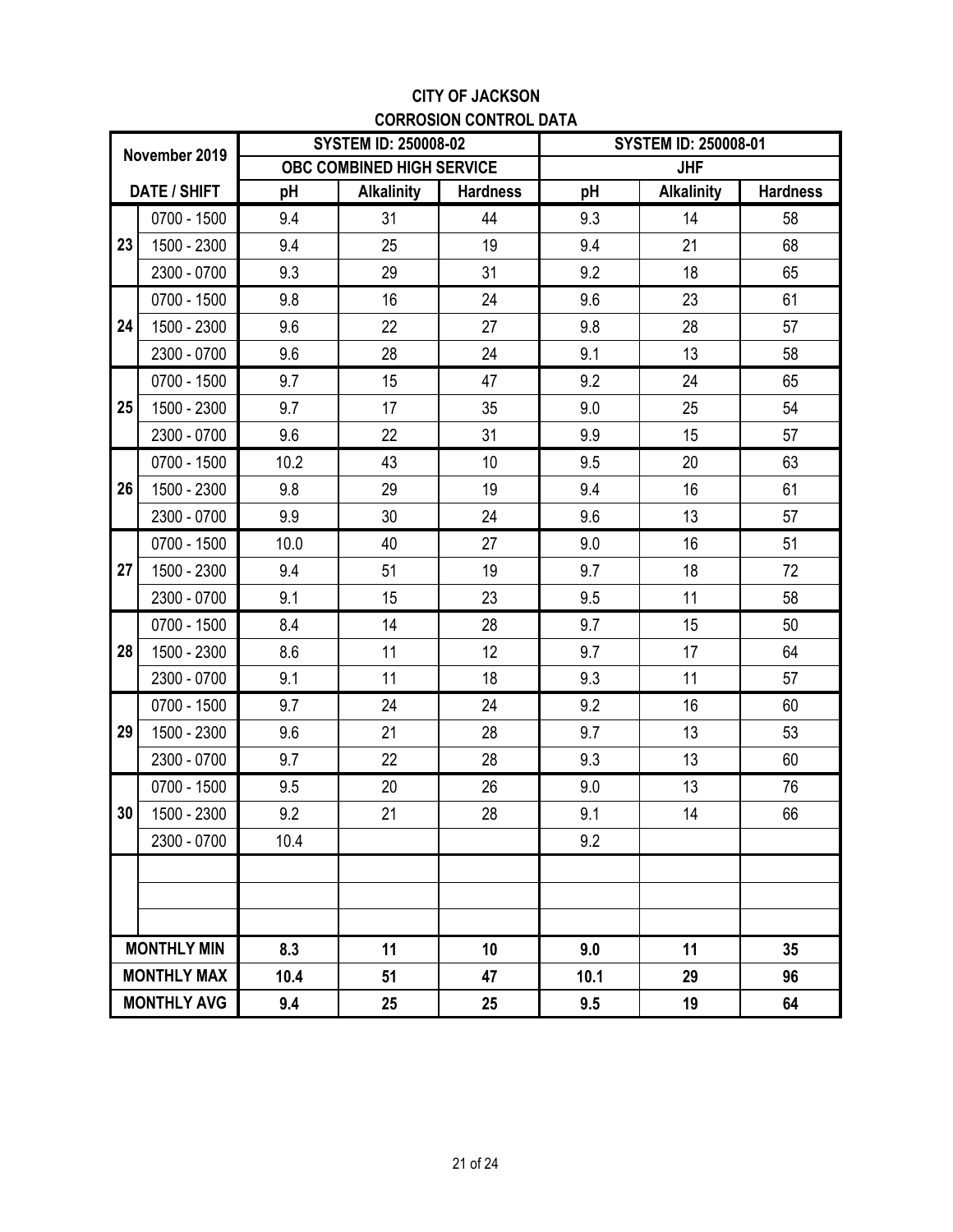## **CITY OF JACKSON CORROSION CONTROL DATA**

|                 |                     |      | <b>SYSTEM ID: 250008-02</b> |                 |                  | <b>SYSTEM ID: 250008-01</b> |                 |
|-----------------|---------------------|------|-----------------------------|-----------------|------------------|-----------------------------|-----------------|
|                 | November 2019       |      | OBC COMBINED HIGH SERVICE   |                 |                  | <b>JHF</b>                  |                 |
|                 | <b>DATE / SHIFT</b> | pH   | <b>Alkalinity</b>           | <b>Hardness</b> | pH               | <b>Alkalinity</b>           | <b>Hardness</b> |
|                 | 0700 - 1500         | 9.4  | 31                          | 44              | 9.3              | 14                          | 58              |
| 23              | 1500 - 2300         | 9.4  | 25                          | 19              | 9.4              | 21                          | 68              |
|                 | 2300 - 0700         | 9.3  | 29                          | 31              | 9.2              | 18                          | 65              |
|                 | 0700 - 1500         | 9.8  | 16                          | 24              | 9.6              | 23                          | 61              |
| 24              | 1500 - 2300         | 9.6  | 22                          | 27              | 9.8              | 28                          | 57              |
|                 | 2300 - 0700         | 9.6  | 28                          | 24              | 9.1              | 13                          | 58              |
|                 | 0700 - 1500         | 9.7  | 15                          | 47              | 9.2              | 24                          | 65              |
| 25              | 1500 - 2300         | 9.7  | 17                          | 35              | 9.0              | 25                          | 54              |
|                 | 2300 - 0700         | 9.6  | 22                          | 31              | 9.9              | 15                          | 57              |
|                 | 0700 - 1500         | 10.2 | 43                          | 10 <sup>1</sup> | 9.5              | 20                          | 63              |
| 26              | 1500 - 2300         | 9.8  | 29                          | 19              | 9.4              | 16                          | 61              |
|                 | 2300 - 0700         | 9.9  | 30                          | 24              | 9.6              | 13                          | 57              |
|                 | 0700 - 1500         | 10.0 | 40                          | 27              | 9.0              | 16                          | 51              |
| 27              | 1500 - 2300         | 9.4  | 51                          | 19              | 9.7              | 18                          | 72              |
|                 | 2300 - 0700         | 9.1  | 15                          | 23              | 9.5              | 11                          | 58              |
|                 | 0700 - 1500         | 8.4  | 14                          | 28              | 9.7              | 15                          | 50              |
| 28              | 1500 - 2300         | 8.6  | 11                          | 12              | 9.7              | 17                          | 64              |
|                 | 2300 - 0700         | 9.1  | 11                          | 18              | 9.3              | 11                          | 57              |
|                 | 0700 - 1500         | 9.7  | 24                          | 24              | 9.2              | 16                          | 60              |
| 29              | 1500 - 2300         | 9.6  | 21                          | 28              | 9.7              | 13                          | 53              |
|                 | 2300 - 0700         | 9.7  | 22                          | 28              | 9.3              | 13                          | 60              |
|                 | 0700 - 1500         | 9.5  | 20                          | 26              | 9.0              | 13                          | 76              |
| 30 <sup>°</sup> | 1500 - 2300         | 9.2  | 21                          | 28              | 9.1              | 14                          | 66              |
|                 | 2300 - 0700         | 10.4 |                             |                 | 9.2              |                             |                 |
|                 |                     |      |                             |                 |                  |                             |                 |
|                 |                     |      |                             |                 |                  |                             |                 |
|                 |                     |      |                             |                 |                  |                             |                 |
|                 | <b>MONTHLY MIN</b>  | 8.3  | 11                          | 10              | 9.0              | 11                          | 35              |
|                 | <b>MONTHLY MAX</b>  | 10.4 | 51                          | 47              | 10.1<br>29<br>96 |                             |                 |
|                 | <b>MONTHLY AVG</b>  | 9.4  | 25                          | 25              | 9.5              | 19                          | 64              |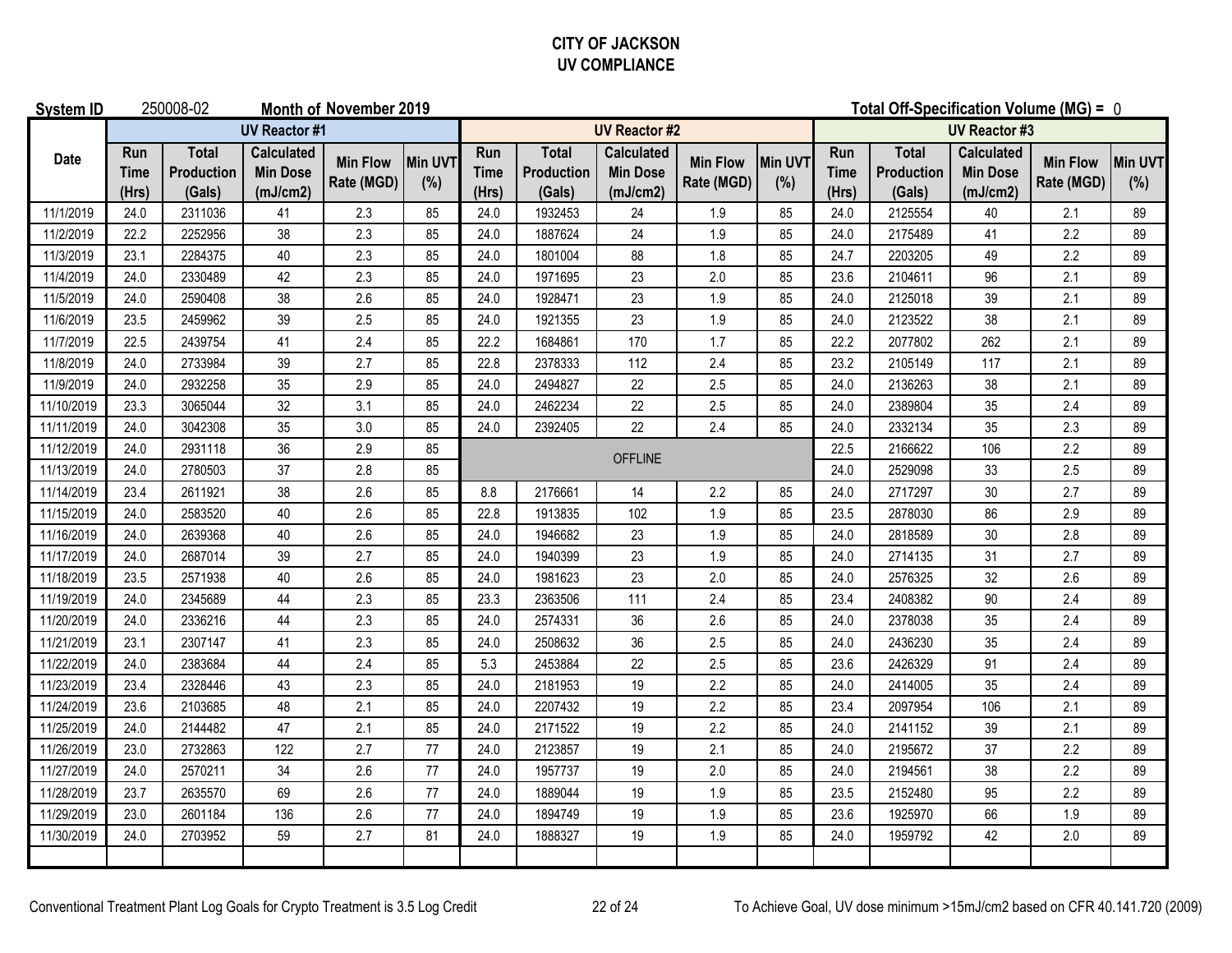## **CITY OF JACKSON UV COMPLIANCE**

| <b>System ID</b> |                             | 250008-02                            |                                                  | Month of November 2019        |                       |                             |                                      |                                                  |                               |                | Total Off-Specification Volume (MG) = 0 |                                      |                                                  |                               |                |
|------------------|-----------------------------|--------------------------------------|--------------------------------------------------|-------------------------------|-----------------------|-----------------------------|--------------------------------------|--------------------------------------------------|-------------------------------|----------------|-----------------------------------------|--------------------------------------|--------------------------------------------------|-------------------------------|----------------|
|                  |                             |                                      | <b>UV Reactor #1</b>                             |                               |                       |                             |                                      | <b>UV Reactor #2</b>                             |                               |                |                                         |                                      | <b>UV Reactor #3</b>                             |                               |                |
| Date             | Run<br><b>Time</b><br>(Hrs) | <b>Total</b><br>Production<br>(Gals) | <b>Calculated</b><br><b>Min Dose</b><br>(mJ/cm2) | <b>Min Flow</b><br>Rate (MGD) | <b>Min UVT</b><br>(%) | Run<br><b>Time</b><br>(Hrs) | <b>Total</b><br>Production<br>(Gals) | <b>Calculated</b><br><b>Min Dose</b><br>(mJ/cm2) | <b>Min Flow</b><br>Rate (MGD) | Min UVT<br>(%) | Run<br><b>Time</b><br>(Hrs)             | <b>Total</b><br>Production<br>(Gals) | <b>Calculated</b><br><b>Min Dose</b><br>(mJ/cm2) | <b>Min Flow</b><br>Rate (MGD) | Min UVT<br>(%) |
| 11/1/2019        | 24.0                        | 2311036                              | 41                                               | 2.3                           | 85                    | 24.0                        | 1932453                              | 24                                               | 1.9                           | 85             | 24.0                                    | 2125554                              | 40                                               | 2.1                           | 89             |
| 11/2/2019        | 22.2                        | 2252956                              | 38                                               | 2.3                           | 85                    | 24.0                        | 1887624                              | 24                                               | 1.9                           | 85             | 24.0                                    | 2175489                              | 41                                               | 2.2                           | 89             |
| 11/3/2019        | 23.1                        | 2284375                              | 40                                               | 2.3                           | 85                    | 24.0                        | 1801004                              | 88                                               | 1.8                           | 85             | 24.7                                    | 2203205                              | 49                                               | 2.2                           | 89             |
| 11/4/2019        | 24.0                        | 2330489                              | 42                                               | 2.3                           | 85                    | 24.0                        | 1971695                              | 23                                               | 2.0                           | 85             | 23.6                                    | 2104611                              | 96                                               | 2.1                           | 89             |
| 11/5/2019        | 24.0                        | 2590408                              | 38                                               | 2.6                           | 85                    | 24.0                        | 1928471                              | 23                                               | 1.9                           | 85             | 24.0                                    | 2125018                              | 39                                               | 2.1                           | 89             |
| 11/6/2019        | 23.5                        | 2459962                              | 39                                               | 2.5                           | 85                    | 24.0                        | 1921355                              | 23                                               | 1.9                           | 85             | 24.0                                    | 2123522                              | 38                                               | 2.1                           | 89             |
| 11/7/2019        | 22.5                        | 2439754                              | 41                                               | 2.4                           | 85                    | 22.2                        | 1684861                              | 170                                              | 1.7                           | 85             | 22.2                                    | 2077802                              | 262                                              | 2.1                           | 89             |
| 11/8/2019        | 24.0                        | 2733984                              | 39                                               | 2.7                           | 85                    | 22.8                        | 2378333                              | 112                                              | 2.4                           | 85             | 23.2                                    | 2105149                              | 117                                              | 2.1                           | 89             |
| 11/9/2019        | 24.0                        | 2932258                              | 35                                               | 2.9                           | 85                    | 24.0                        | 2494827                              | 22                                               | 2.5                           | 85             | 24.0                                    | 2136263                              | 38                                               | 2.1                           | 89             |
| 11/10/2019       | 23.3                        | 3065044                              | 32                                               | 3.1                           | 85                    | 24.0                        | 2462234                              | 22                                               | 2.5                           | 85             | 24.0                                    | 2389804                              | 35                                               | 2.4                           | 89             |
| 11/11/2019       | 24.0                        | 3042308                              | 35                                               | 3.0                           | 85                    | 24.0                        | 2392405                              | 22                                               | 2.4                           | 85             | 24.0                                    | 2332134                              | 35                                               | 2.3                           | 89             |
| 11/12/2019       | 24.0                        | 2931118                              | 36                                               | 2.9                           | 85                    |                             |                                      | <b>OFFLINE</b>                                   |                               |                | 22.5                                    | 2166622                              | 106                                              | 2.2                           | 89             |
| 11/13/2019       | 24.0                        | 2780503                              | 37                                               | 2.8                           | 85                    |                             |                                      |                                                  |                               |                | 24.0                                    | 2529098                              | 33                                               | 2.5                           | 89             |
| 11/14/2019       | 23.4                        | 2611921                              | 38                                               | 2.6                           | 85                    | 8.8                         | 2176661                              | 14                                               | 2.2                           | 85             | 24.0                                    | 2717297                              | 30                                               | 2.7                           | 89             |
| 11/15/2019       | 24.0                        | 2583520                              | 40                                               | 2.6                           | 85                    | 22.8                        | 1913835                              | 102                                              | 1.9                           | 85             | 23.5                                    | 2878030                              | 86                                               | 2.9                           | 89             |
| 11/16/2019       | 24.0                        | 2639368                              | 40                                               | 2.6                           | 85                    | 24.0                        | 1946682                              | 23                                               | 1.9                           | 85             | 24.0                                    | 2818589                              | 30                                               | 2.8                           | 89             |
| 11/17/2019       | 24.0                        | 2687014                              | 39                                               | 2.7                           | 85                    | 24.0                        | 1940399                              | 23                                               | 1.9                           | 85             | 24.0                                    | 2714135                              | 31                                               | 2.7                           | 89             |
| 11/18/2019       | 23.5                        | 2571938                              | 40                                               | 2.6                           | 85                    | 24.0                        | 1981623                              | 23                                               | 2.0                           | 85             | 24.0                                    | 2576325                              | 32                                               | 2.6                           | 89             |
| 11/19/2019       | 24.0                        | 2345689                              | 44                                               | 2.3                           | 85                    | 23.3                        | 2363506                              | 111                                              | 2.4                           | 85             | 23.4                                    | 2408382                              | 90                                               | 2.4                           | 89             |
| 11/20/2019       | 24.0                        | 2336216                              | $44\,$                                           | 2.3                           | 85                    | 24.0                        | 2574331                              | 36                                               | 2.6                           | 85             | 24.0                                    | 2378038                              | 35                                               | 2.4                           | 89             |
| 11/21/2019       | 23.1                        | 2307147                              | 41                                               | 2.3                           | 85                    | 24.0                        | 2508632                              | 36                                               | 2.5                           | 85             | 24.0                                    | 2436230                              | 35                                               | 2.4                           | 89             |
| 11/22/2019       | 24.0                        | 2383684                              | 44                                               | 2.4                           | 85                    | 5.3                         | 2453884                              | 22                                               | 2.5                           | 85             | 23.6                                    | 2426329                              | 91                                               | 2.4                           | 89             |
| 11/23/2019       | 23.4                        | 2328446                              | 43                                               | 2.3                           | 85                    | 24.0                        | 2181953                              | 19                                               | 2.2                           | 85             | 24.0                                    | 2414005                              | 35                                               | 2.4                           | 89             |
| 11/24/2019       | 23.6                        | 2103685                              | 48                                               | 2.1                           | 85                    | 24.0                        | 2207432                              | 19                                               | 2.2                           | 85             | 23.4                                    | 2097954                              | 106                                              | 2.1                           | 89             |
| 11/25/2019       | 24.0                        | 2144482                              | 47                                               | 2.1                           | 85                    | 24.0                        | 2171522                              | 19                                               | 2.2                           | 85             | 24.0                                    | 2141152                              | 39                                               | 2.1                           | 89             |
| 11/26/2019       | 23.0                        | 2732863                              | 122                                              | 2.7                           | 77                    | 24.0                        | 2123857                              | 19                                               | 2.1                           | 85             | 24.0                                    | 2195672                              | 37                                               | 2.2                           | 89             |
| 11/27/2019       | 24.0                        | 2570211                              | 34                                               | 2.6                           | $77\,$                | 24.0                        | 1957737                              | $19$                                             | 2.0                           | 85             | 24.0                                    | 2194561                              | 38                                               | 2.2                           | 89             |
| 11/28/2019       | 23.7                        | 2635570                              | 69                                               | 2.6                           | 77                    | 24.0                        | 1889044                              | $19$                                             | 1.9                           | 85             | 23.5                                    | 2152480                              | 95                                               | 2.2                           | 89             |
| 11/29/2019       | 23.0                        | 2601184                              | 136                                              | 2.6                           | 77                    | 24.0                        | 1894749                              | 19                                               | 1.9                           | 85             | 23.6                                    | 1925970                              | 66                                               | 1.9                           | 89             |
| 11/30/2019       | 24.0                        | 2703952                              | 59                                               | 2.7                           | 81                    | 24.0                        | 1888327                              | 19                                               | 1.9                           | 85             | 24.0                                    | 1959792                              | 42                                               | 2.0                           | 89             |
|                  |                             |                                      |                                                  |                               |                       |                             |                                      |                                                  |                               |                |                                         |                                      |                                                  |                               |                |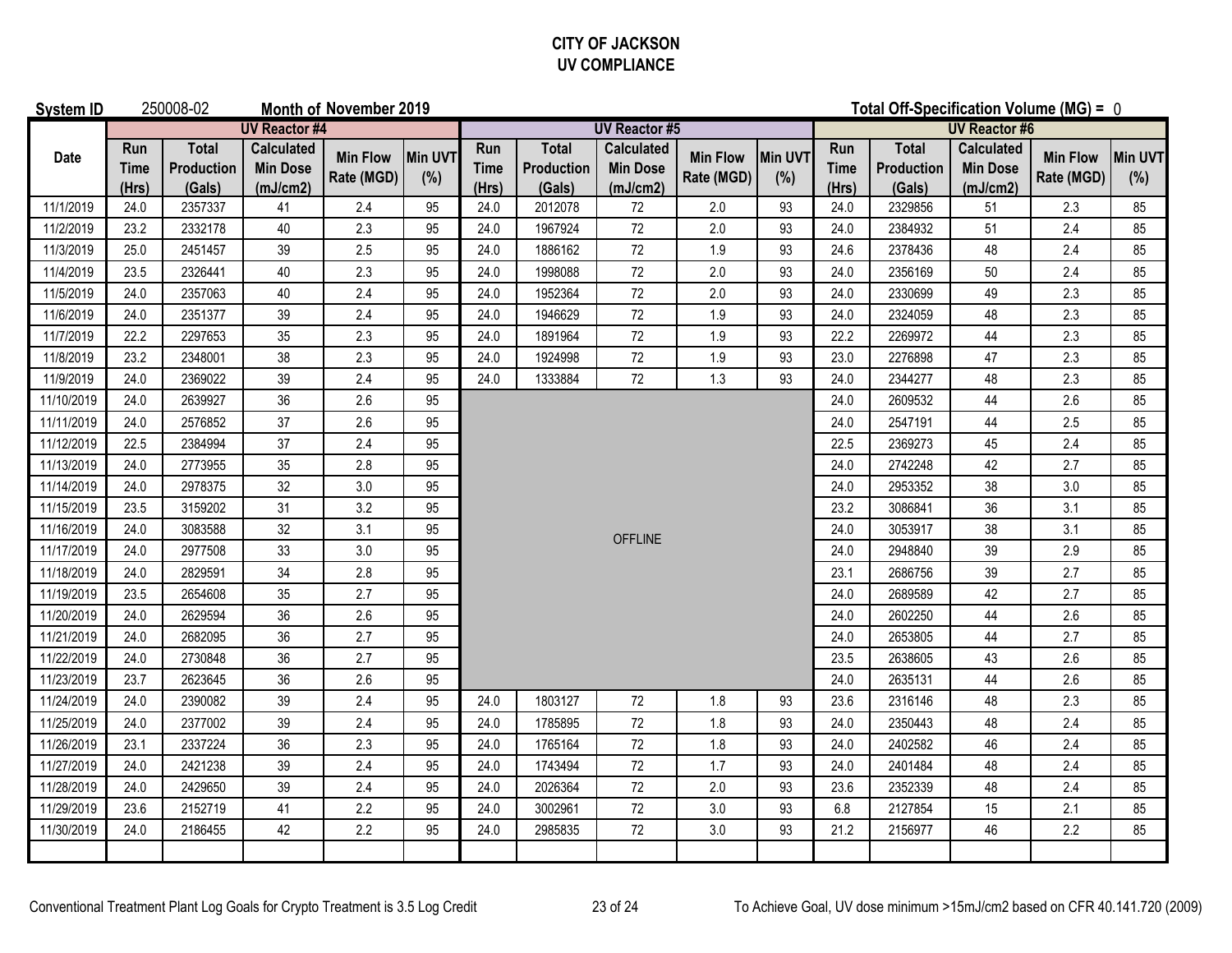## **CITY OF JACKSON UV COMPLIANCE**

| <b>System ID</b> |                             | 250008-02<br><b>Month of November 2019</b> |                                                  |                               |                |                             |                                      |                                                  |                               |                | Total Off-Specification Volume (MG) = 0 |                                      |                                                  |                               |                |
|------------------|-----------------------------|--------------------------------------------|--------------------------------------------------|-------------------------------|----------------|-----------------------------|--------------------------------------|--------------------------------------------------|-------------------------------|----------------|-----------------------------------------|--------------------------------------|--------------------------------------------------|-------------------------------|----------------|
|                  |                             |                                            | <b>UV Reactor #4</b>                             |                               |                |                             |                                      | <b>UV Reactor #5</b>                             |                               |                |                                         |                                      | <b>UV Reactor #6</b>                             |                               |                |
| <b>Date</b>      | Run<br><b>Time</b><br>(Hrs) | <b>Total</b><br>Production<br>(Gals)       | <b>Calculated</b><br><b>Min Dose</b><br>(mJ/cm2) | <b>Min Flow</b><br>Rate (MGD) | Min UVT<br>(%) | Run<br><b>Time</b><br>(Hrs) | <b>Total</b><br>Production<br>(Gals) | <b>Calculated</b><br><b>Min Dose</b><br>(mJ/cm2) | <b>Min Flow</b><br>Rate (MGD) | Min UVT<br>(%) | Run<br><b>Time</b><br>(Hrs)             | <b>Total</b><br>Production<br>(Gals) | <b>Calculated</b><br><b>Min Dose</b><br>(mJ/cm2) | <b>Min Flow</b><br>Rate (MGD) | Min UVT<br>(%) |
| 11/1/2019        | 24.0                        | 2357337                                    | 41                                               | 2.4                           | 95             | 24.0                        | 2012078                              | 72                                               | 2.0                           | 93             | 24.0                                    | 2329856                              | 51                                               | 2.3                           | 85             |
| 11/2/2019        | 23.2                        | 2332178                                    | 40                                               | 2.3                           | 95             | 24.0                        | 1967924                              | 72                                               | 2.0                           | 93             | 24.0                                    | 2384932                              | 51                                               | 2.4                           | 85             |
| 11/3/2019        | 25.0                        | 2451457                                    | 39                                               | 2.5                           | 95             | 24.0                        | 1886162                              | $72\,$                                           | 1.9                           | 93             | 24.6                                    | 2378436                              | 48                                               | 2.4                           | 85             |
| 11/4/2019        | 23.5                        | 2326441                                    | 40                                               | 2.3                           | 95             | 24.0                        | 1998088                              | $72\,$                                           | 2.0                           | 93             | 24.0                                    | 2356169                              | 50                                               | 2.4                           | 85             |
| 11/5/2019        | 24.0                        | 2357063                                    | 40                                               | 2.4                           | 95             | 24.0                        | 1952364                              | 72                                               | 2.0                           | 93             | 24.0                                    | 2330699                              | 49                                               | 2.3                           | 85             |
| 11/6/2019        | 24.0                        | 2351377                                    | 39                                               | 2.4                           | 95             | 24.0                        | 1946629                              | 72                                               | 1.9                           | 93             | 24.0                                    | 2324059                              | 48                                               | 2.3                           | 85             |
| 11/7/2019        | 22.2                        | 2297653                                    | 35                                               | 2.3                           | 95             | 24.0                        | 1891964                              | 72                                               | 1.9                           | 93             | 22.2                                    | 2269972                              | 44                                               | 2.3                           | 85             |
| 11/8/2019        | 23.2                        | 2348001                                    | 38                                               | 2.3                           | 95             | 24.0                        | 1924998                              | $72\,$                                           | 1.9                           | 93             | 23.0                                    | 2276898                              | 47                                               | 2.3                           | 85             |
| 11/9/2019        | 24.0                        | 2369022                                    | 39                                               | 2.4                           | 95             | 24.0                        | 1333884                              | 72                                               | 1.3                           | 93             | 24.0                                    | 2344277                              | 48                                               | 2.3                           | 85             |
| 11/10/2019       | 24.0                        | 2639927                                    | 36                                               | 2.6                           | 95             |                             |                                      |                                                  |                               |                | 24.0                                    | 2609532                              | 44                                               | 2.6                           | 85             |
| 11/11/2019       | 24.0                        | 2576852                                    | 37                                               | 2.6                           | 95             |                             |                                      |                                                  |                               |                | 24.0                                    | 2547191                              | 44                                               | 2.5                           | 85             |
| 11/12/2019       | 22.5                        | 2384994                                    | 37                                               | 2.4                           | 95             |                             |                                      |                                                  |                               |                | 22.5                                    | 2369273                              | 45                                               | 2.4                           | 85             |
| 11/13/2019       | 24.0                        | 2773955                                    | 35                                               | 2.8                           | 95             |                             |                                      |                                                  |                               |                | 24.0                                    | 2742248                              | 42                                               | 2.7                           | 85             |
| 11/14/2019       | 24.0                        | 2978375                                    | 32                                               | $3.0\,$                       | 95             |                             |                                      |                                                  |                               |                | 24.0                                    | 2953352                              | 38                                               | 3.0                           | 85             |
| 11/15/2019       | 23.5                        | 3159202                                    | 31                                               | 3.2                           | 95             |                             |                                      |                                                  |                               |                | 23.2                                    | 3086841                              | 36                                               | 3.1                           | 85             |
| 11/16/2019       | 24.0                        | 3083588                                    | 32                                               | 3.1                           | 95             |                             |                                      | <b>OFFLINE</b>                                   |                               |                | 24.0                                    | 3053917                              | 38                                               | 3.1                           | 85             |
| 11/17/2019       | 24.0                        | 2977508                                    | 33                                               | 3.0                           | 95             |                             |                                      |                                                  |                               |                | 24.0                                    | 2948840                              | 39                                               | 2.9                           | 85             |
| 11/18/2019       | 24.0                        | 2829591                                    | 34                                               | 2.8                           | 95             |                             |                                      |                                                  |                               |                | 23.1                                    | 2686756                              | 39                                               | 2.7                           | 85             |
| 11/19/2019       | 23.5                        | 2654608                                    | 35                                               | 2.7                           | 95             |                             |                                      |                                                  |                               |                | 24.0                                    | 2689589                              | 42                                               | 2.7                           | 85             |
| 11/20/2019       | 24.0                        | 2629594                                    | 36                                               | 2.6                           | 95             |                             |                                      |                                                  |                               |                | 24.0                                    | 2602250                              | 44                                               | 2.6                           | 85             |
| 11/21/2019       | 24.0                        | 2682095                                    | 36                                               | 2.7                           | 95             |                             |                                      |                                                  |                               |                | 24.0                                    | 2653805                              | $44\,$                                           | 2.7                           | 85             |
| 11/22/2019       | 24.0                        | 2730848                                    | 36                                               | 2.7                           | 95             |                             |                                      |                                                  |                               |                | 23.5                                    | 2638605                              | 43                                               | 2.6                           | 85             |
| 11/23/2019       | 23.7                        | 2623645                                    | 36                                               | 2.6                           | 95             |                             |                                      |                                                  |                               |                | 24.0                                    | 2635131                              | 44                                               | 2.6                           | 85             |
| 11/24/2019       | 24.0                        | 2390082                                    | 39                                               | 2.4                           | 95             | 24.0                        | 1803127                              | 72                                               | 1.8                           | 93             | 23.6                                    | 2316146                              | 48                                               | 2.3                           | 85             |
| 11/25/2019       | 24.0                        | 2377002                                    | 39                                               | 2.4                           | 95             | 24.0                        | 1785895                              | $72\,$                                           | 1.8                           | 93             | 24.0                                    | 2350443                              | 48                                               | 2.4                           | 85             |
| 11/26/2019       | 23.1                        | 2337224                                    | 36                                               | 2.3                           | 95             | 24.0                        | 1765164                              | 72                                               | 1.8                           | 93             | 24.0                                    | 2402582                              | 46                                               | 2.4                           | 85             |
| 11/27/2019       | 24.0                        | 2421238                                    | 39                                               | 2.4                           | 95             | 24.0                        | 1743494                              | $72\,$                                           | 1.7                           | 93             | 24.0                                    | 2401484                              | 48                                               | 2.4                           | 85             |
| 11/28/2019       | 24.0                        | 2429650                                    | 39                                               | 2.4                           | 95             | 24.0                        | 2026364                              | 72                                               | 2.0                           | 93             | 23.6                                    | 2352339                              | 48                                               | 2.4                           | 85             |
| 11/29/2019       | 23.6                        | 2152719                                    | 41                                               | 2.2                           | 95             | 24.0                        | 3002961                              | $72\,$                                           | 3.0                           | 93             | 6.8                                     | 2127854                              | 15                                               | 2.1                           | 85             |
| 11/30/2019       | 24.0                        | 2186455                                    | 42                                               | 2.2                           | 95             | 24.0                        | 2985835                              | 72                                               | 3.0                           | 93             | 21.2                                    | 2156977                              | 46                                               | 2.2                           | 85             |
|                  |                             |                                            |                                                  |                               |                |                             |                                      |                                                  |                               |                |                                         |                                      |                                                  |                               |                |